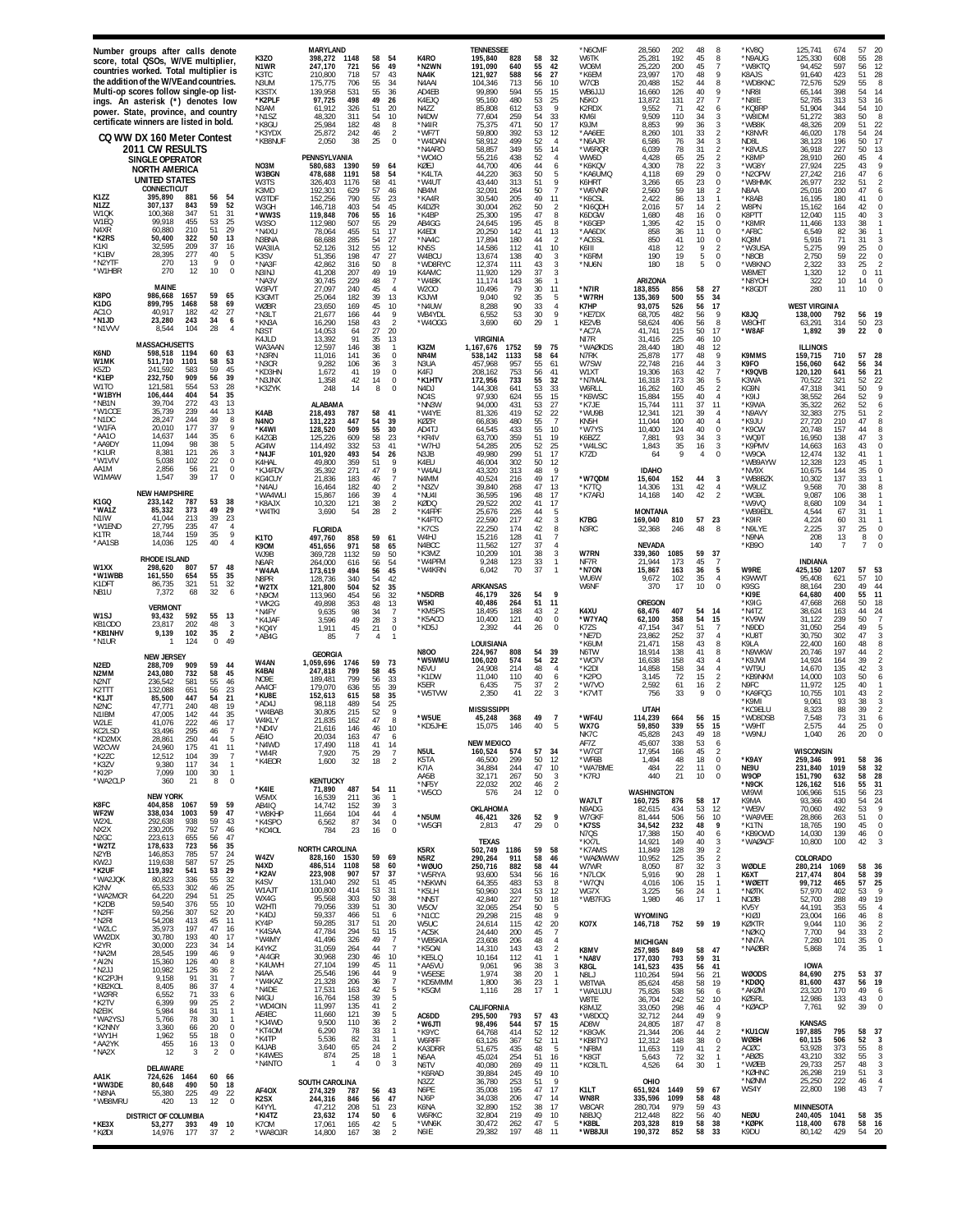|                                                                                                                                                                    | Number groups after calls denote<br>score, total QSOs, W/VE multiplier,<br>countries worked. Total multiplier is<br>the addition of the W/VE and countries.<br>Multi-op scores follow single-op list-<br>ings. An asterisk (*) denotes low<br>power. State, province, and country<br>certificate winners are listed in bold.<br>CQ WW DX 160 Meter Contest<br><b>2011 CW RESULTS</b><br><b>SINGLE OPERATOR</b><br><b>NORTH AMERICA</b> |                                                                                                                                                                                  | K3ZO<br>N <sub>1</sub> WR<br>K3TC<br>N3UM<br>K3STX<br>*K2PLF<br>N3AM<br>*N1S7<br>*K8GU<br>*K3YDX<br>*KB8NUF<br>NO3M<br>W3BGN  | MARYLAND<br>398,272<br>1148<br>247,170<br>721<br>210,800<br>718<br>175,775<br>706<br>139,958<br>531<br>97.725<br>498<br>61.912<br>326<br>48.320<br>311<br>25,984<br>182<br>25,872<br>242<br>2,050<br>38<br>PENNSYLVANIA<br>580,683<br>1390<br>478,688<br>1191              | 58<br>54<br>56<br>49<br>57<br>43<br>55<br>34<br>55<br>36<br>49<br>26<br>51<br>20<br>54<br>10<br>48<br>8<br>46<br>2<br>25<br>59<br>64<br>58<br>54                                            | K4RO<br>*N2WN<br>NA4K<br>N4AAI<br>AD4EB<br>K4F.IO<br>N4ZZ<br>N <sub>4</sub> DW<br>*N4IR<br>*WF7T<br>*W4DAN<br>*N4ARO<br>*W040<br>KØEJ<br>*K4LTA   | <b>TENNESSEE</b><br>195,840<br>828<br>58<br>191.090<br>640<br>55<br>121,927<br>588<br>56<br>713<br>56<br>104.346<br>99,890<br>594<br>55<br>480<br>95,160<br>53<br>85,808<br>612<br>53<br>54<br>77,604<br>259<br>75,375<br>471<br>50<br>59,800<br>392<br>53<br>58,912<br>499<br>52<br>349<br>55<br>58,857<br>438<br>52<br>55,216<br>44,700<br>406<br>44<br>44,220<br>363<br>50          | *N6CMF<br>32<br>W6TK<br>42<br><b>WO6M</b><br>27<br>*K6EM<br>10<br>W7CB<br>15<br>WB6JJJ<br>25<br>N5KO<br>-9<br>K2RDX<br>33<br>KM6I<br>17<br>K9JM<br>12<br>*AA6EE<br>$\overline{4}$<br>*N6AJR<br>14<br>*W6RQR<br>4<br>WW6D<br>6<br>*K6KQV<br>5<br>*KA6UMQ  | 28,560<br>202<br>48<br>8<br>192<br>45<br>25,281<br>8<br>200<br>45<br>25,220<br>7<br>23,997<br>170<br>48<br>9<br>20,488<br>152<br>44<br>8<br>16,660<br>126<br>40<br>Q<br>27<br>13,872<br>131<br>42<br>9.552<br>71<br>6<br>9,509<br>110<br>34<br>3<br>8,853<br>99<br>36<br>3<br>101<br>33<br>8,260<br>$\overline{2}$<br>6,586<br>76<br>34<br>3<br>31<br>6,039<br>78<br>$\overline{2}$<br>25<br>4,428<br>65<br>$\mathcal{P}$<br>78<br>22<br>4,300<br>3<br>4,118<br>69<br>29<br>$\Omega$ | *KV8Q<br>*N9AUG<br>*W8KTQ<br>K8AJS<br>*WD8KNC<br>*NR8I<br>*N8IE<br>*KQ8RP<br>*W8IDM<br>*WB8K<br>*K8NVR<br>ND8L<br>*K8VUS<br>*K8MP<br>*WG8Y<br>*N2OPW | 125,741<br>674<br>125,330<br>608<br>94.452<br>597<br>91,640<br>423<br>529<br>72.576<br>65,144<br>398<br>52.785<br>313<br>51,904<br>344<br>51,272<br>383<br>48,326<br>209<br>46,020<br>178<br>38,123<br>196<br>36,918<br>227<br>28,910<br>260<br>225<br>27.924<br>27,242<br>216    | 57<br>20<br>28<br>55<br>12<br>56<br>51<br>28<br>8<br>55<br>54<br>14<br>53<br>16<br>54<br>10<br>50<br>8<br>51<br>22<br>54<br>24<br>50<br>17<br>50<br>13<br>45<br>$\overline{4}$<br>9<br>43<br>47<br>6                                          |
|--------------------------------------------------------------------------------------------------------------------------------------------------------------------|----------------------------------------------------------------------------------------------------------------------------------------------------------------------------------------------------------------------------------------------------------------------------------------------------------------------------------------------------------------------------------------------------------------------------------------|----------------------------------------------------------------------------------------------------------------------------------------------------------------------------------|-------------------------------------------------------------------------------------------------------------------------------|----------------------------------------------------------------------------------------------------------------------------------------------------------------------------------------------------------------------------------------------------------------------------|---------------------------------------------------------------------------------------------------------------------------------------------------------------------------------------------|---------------------------------------------------------------------------------------------------------------------------------------------------|----------------------------------------------------------------------------------------------------------------------------------------------------------------------------------------------------------------------------------------------------------------------------------------------------------------------------------------------------------------------------------------|----------------------------------------------------------------------------------------------------------------------------------------------------------------------------------------------------------------------------------------------------------|--------------------------------------------------------------------------------------------------------------------------------------------------------------------------------------------------------------------------------------------------------------------------------------------------------------------------------------------------------------------------------------------------------------------------------------------------------------------------------------|------------------------------------------------------------------------------------------------------------------------------------------------------|-----------------------------------------------------------------------------------------------------------------------------------------------------------------------------------------------------------------------------------------------------------------------------------|-----------------------------------------------------------------------------------------------------------------------------------------------------------------------------------------------------------------------------------------------|
| K1ZZ<br><b>N177</b><br>W <sub>1</sub> OK<br>W1EQ<br>N4XR<br>*K2RS<br>K1KI<br>*K1BV<br>*N2YTF<br>*W1HBR                                                             | <b>UNITED STATES</b><br><b>CONNECTICUT</b><br>395,890<br>881<br>307,137<br>843<br>100,368<br>347<br>455<br>99.918<br>60,880<br>210<br>322<br>50,400<br>209<br>32.595<br>277<br>28,395<br>270<br>13<br>270<br>12<br>MAINE                                                                                                                                                                                                               | 56<br>54<br>59<br>52<br>51<br>31<br>25<br>53<br>51<br>29<br>50<br>13<br>37<br>16<br>40<br>5<br>9<br>$\theta$<br>10<br>$\theta$                                                   | W3TS<br>K3MD<br>W3TDF<br>W3GH<br>*WW3S<br>W3SO<br>*N4XU<br>N3BNA<br>WA3IIA<br>K3SV<br>*NA3F<br>N3INJ<br>*NA3V<br>W3FVT        | 326,403<br>1176<br>192.301<br>629<br>152,256<br>790<br>146,718<br>403<br>119,848<br>706<br>112,980<br>507<br>455<br>78.064<br>285<br>68.688<br>312<br>52.126<br>198<br>51.356<br>42,862<br>316<br>41.208<br>207<br>30,745<br>229<br>27.097<br>240                          | 58<br>41<br>57<br>46<br>55<br>23<br>54<br>45<br>55<br>16<br>55<br>29<br>51<br>17<br>54<br>27<br>55<br>12<br>27<br>47<br>50<br>8<br>49<br>19<br>48<br>$\overline{7}$<br>45<br>$\overline{4}$ | *W4UT<br>NB4M<br>*KA4R<br>K4DZR<br>*K4BP<br>AB4GG<br>K4EDI<br><b>NA4C</b><br>KN <sub>5</sub> S<br>W4BCU<br>*WD8RYC<br>K4AMC<br>*W4BK<br>W200      | 43,440<br>313<br>51<br>32.091<br>50<br>264<br>30,540<br>205<br>49<br>30,004<br>262<br>50<br>25,300<br>195<br>47<br>195<br>45<br>24,645<br>20,250<br>142<br>41<br>17.894<br>180<br>44<br>14,586<br>112<br>41<br>13,674<br>138<br>40<br>12,374<br>111<br>43<br>11,920<br>129<br>37<br>11,174<br>143<br>36<br>79<br>30<br>10,496                                                          | 9<br>K6HRT<br>$\overline{7}$<br>*W6VNR<br>11<br>*K6CSL<br>$\overline{2}$<br>*KI6QDH<br>8<br>K6DGW<br>8<br>*K6GEP<br>13<br>*AA6DX<br>$\overline{2}$<br>*AC6SL<br>10<br>K6III<br>3<br>*K6RM<br>3<br>*NU6N<br>$\overline{3}$<br>$\mathbf{1}$<br>*N7IR<br>11 | 65<br>23<br>3,266<br>$\Omega$<br>59<br>18<br>2,560<br>$\overline{2}$<br>2,422<br>86<br>13<br>57<br>2,016<br>14<br>$\mathcal{P}$<br>1,680<br>48<br>16<br>$\Omega$<br>42<br>1,395<br>15<br>$\Omega$<br>858<br>36<br>11<br>$\Omega$<br>850<br>41<br>10<br>$\Omega$<br>418<br>12<br>9<br>$\overline{2}$<br>190<br>19<br>5<br>0<br>180<br>18<br>5<br>$\Omega$<br>ARIZONA<br>58<br>27<br>183,855<br>856                                                                                    | *W8HMK<br>N8AA<br>*K8AB<br>W8PN<br>K8PTT<br>*K8MR<br>*AF8C<br>KQ8M<br>*W3USA<br>*N8OB<br>*W8KNO<br>W8MET<br>*N8YOH<br>*K8GDT                         | 26,977<br>232<br>25.016<br>200<br>16,195<br>180<br>15,162<br>164<br>12,040<br>115<br>11,466<br>133<br>6,549<br>82<br>5.916<br>71<br>5,275<br>99<br>59<br>2,750<br>33<br>2,322<br>12<br>1,320<br>322<br>10<br>280<br>11                                                            | $\overline{2}$<br>51<br>47<br>6<br>41<br>$\theta$<br>$\mathbf 0$<br>42<br>40<br>3<br>38<br>$\mathbf{1}$<br>36<br>31<br>3<br>25<br>$\theta$<br>22<br>$\mathbf 0$<br>25<br>$\overline{2}$<br>$\Omega$<br>11<br>14<br>$\theta$<br>10<br>$\Omega$ |
| K8PO<br>K1DG<br>AC10<br>*N1JD<br>*N1VVV                                                                                                                            | 986.668<br>1657<br>899,795<br>1468<br>182<br>40.917<br>23,280<br>243<br>104<br>8.544                                                                                                                                                                                                                                                                                                                                                   | 59<br>65<br>58<br>69<br>42<br>27<br>34<br>6<br>28<br>$\overline{4}$                                                                                                              | K3GMT<br>WØBR<br>*N3LT<br>*KN3A<br>N3ST<br>K4JLD                                                                              | 25,064<br>182<br>169<br>23,650<br>21,677<br>166<br>16,290<br>158<br>14.053<br>64<br>13,392<br>91                                                                                                                                                                           | 39<br>13<br>45<br>10<br>44<br>9<br>43<br>$\overline{2}$<br>27<br>20<br>35<br>13                                                                                                             | K3JWI<br>*N4UW<br>WB4YDL<br>*W4OGG                                                                                                                | 9,040<br>92<br>35<br>90<br>8,288<br>33<br>6,552<br>53<br>30<br>3,690<br>60<br>29<br>VIRGINIA                                                                                                                                                                                                                                                                                           | 5<br>*W7RH<br>K7HP<br>$\overline{4}$<br>9<br>*KE7DX<br>$\mathbf{1}$<br>KE2VB<br>*AC7A<br>NI7R                                                                                                                                                            | 55<br>34<br>135,369<br>500<br>17<br>93,075<br>526<br>56<br>68.705<br>482<br>56<br>9<br>58,624<br>56<br>8<br>406<br>50<br>41.741<br>215<br>17<br>31,416<br>225<br>46<br>10                                                                                                                                                                                                                                                                                                            | K8JQ<br>W8OHT<br>*W8AF                                                                                                                               | <b>WEST VIRGINIA</b><br>138,000<br>792<br>63,291<br>314<br>1,892<br>39                                                                                                                                                                                                            | 56<br><b>19</b><br>50<br>23<br>22<br>$\mathbf{0}$                                                                                                                                                                                             |
| K6ND<br>W1MK<br>K5ZD<br>*K1EP<br>W1TO<br>*W1BYH<br>*NB1N<br>*W1CCE<br>N <sub>1DC</sub><br>*W1FA<br>*AA10<br>*AA9DY<br>'K1UR<br>*W1VIV<br>AA1M                      | <b>MASSACHUSETTS</b><br>598,518<br>1194<br>511.710<br>1101<br>241,592<br>583<br>909<br>232,750<br>121,581<br>554<br>106,444<br>404<br>39,704<br>272<br>35,739<br>239<br>244<br>28.247<br>20,010<br>177<br>144<br>14.637<br>11,094<br>98<br>121<br>$8.38^{\circ}$<br>5,038<br>102<br>2,856<br>56                                                                                                                                        | 60<br>63<br>58<br>53<br>59<br>45<br>39<br>56<br>28<br>53<br>35<br>54<br>43<br>13<br>44<br>13<br>39<br>8<br>37<br>9<br>35<br>6<br>38<br>5<br>3<br>26<br>22<br>0<br>21<br>$\theta$ | WA3AAN<br>*N3RN<br>*N3CR<br>*KD3HN<br>*N3JNX<br>*K3ZYK<br>K4AB<br>N4NO<br>*K4WI<br>K47GB<br>AG4W<br>*N4JF<br>K4HAL<br>*KJ4FD\ | 12.597<br>146<br>11,016<br>141<br>9,282<br>106<br>1,672<br>41<br>1,358<br>42<br>248<br>14<br>ALABAMA<br>787<br>218,493<br>131,223<br>447<br>128,520<br>509<br>125,226<br>609<br>114.492<br>332<br>101.920<br>493<br>49,800<br>359<br>271<br>35,392                         | 38<br>$\mathbf{1}$<br>36<br>$\mathbf 0$<br>36<br>3<br>19<br>0<br>14<br>$\Omega$<br>8<br>58<br>41<br>54<br>39<br>30<br>55<br>58<br>23<br>53<br>41<br>54<br>26<br>51<br>9<br>47<br>9          | K3ZM<br>NR4M<br>N3UA<br>K4FJ<br>*K1HTV<br>N <sub>4</sub> DJ<br>NC4S<br>*NN3W<br>*W4YE<br>KØZR<br>AD4TJ<br>*KR4V<br>*W7HJ<br>N3JB<br>K4EU<br>'W4AU | 1752<br>59<br>1,167,676<br>538,142<br>58<br>1133<br>457,968<br>957<br>55<br>753<br>56<br>208.162<br>733<br>172,956<br>55<br>144,308<br>641<br>53<br>97,930<br>55<br>624<br>94,000<br>431<br>53<br>419<br>52<br>81,326<br>55<br>66,836<br>480<br>55<br>433<br>64,545<br>63,700<br>359<br>51<br>54,285<br>205<br>52<br>49.980<br>299<br>51<br>46,004<br>302<br>50<br>313<br>48<br>43,320 | 75<br>*WAØKDS<br>N7RK<br>64<br>W7SW<br>61<br>41<br>W1XT<br>32<br>*N7MAL<br>33<br>W6RLL<br>15<br>*K6WSC<br>27<br>*K7JE<br>22<br>*WU9B<br>$\overline{7}$<br>KN5H<br>10<br>*W7YS<br>19<br>K6BZZ<br>25<br>*W4LSC<br>17<br>K7ZD<br>12<br>9                    | 48<br>28,440<br>180<br>12<br>25,878<br>177<br>48<br>9<br>22.748<br>216<br>44<br>3<br>19,306<br>163<br>42<br>16,318<br>173<br>36<br>5<br>16,262<br>160<br>45<br>$\mathcal{P}$<br>15,884<br>155<br>40<br>$\overline{4}$<br>37<br>15,744<br>111<br>11<br>12,341<br>121<br>39<br>$\overline{4}$<br>11,044<br>100<br>40<br>10,400<br>40<br>$\Omega$<br>124<br>93<br>34<br>7,881<br>3<br>1,843<br>35<br>16<br>3<br>$\mathsf{Q}$<br>$\Omega$<br>64<br>Δ<br><b>IDAHO</b>                     | K9MMS<br>K9FO<br>*K9QVB<br>K3WA<br>KG9N<br>*K9IJ<br>*K9WA<br>*N9AVY<br>*K9JU<br>*K9CW<br>*WQ9T<br>*K9PMV<br>*W90A<br>*WB9AYW<br>*NV9X                | <b>ILLINOIS</b><br>159,715<br>710<br>642<br>156.060<br>120,120<br>641<br>70.522<br>321<br>47,318<br>341<br>38,552<br>264<br>35,322<br>262<br>275<br>32,383<br>27,720<br>210<br>20,748<br>157<br>16,950<br>138<br>14,663<br>163<br>12,474<br>132<br>12,328<br>123<br>10,675<br>144 | 57<br>28<br>34<br>56<br>56<br>21<br>52<br>22<br>50<br>9<br>52<br>52<br>6<br>51<br>$\overline{\mathbf{2}}$<br>8<br>47<br>8<br>44<br>47<br>3<br>43<br>$\theta$<br>41<br>45<br>$\bf 0$<br>35                                                     |
| W1MAW<br>K1GQ<br>*WA1Z<br>N1IW<br>'W1FND<br>K1TR<br>*AA1SE                                                                                                         | 1,547<br>39<br><b>NEW HAMPSHIRE</b><br>233,142<br>787<br>85,332<br>373<br>213<br>41.044<br>27.795<br>235<br>18,744<br>159<br>125<br>14,036                                                                                                                                                                                                                                                                                             | 17<br>$\Omega$<br>53<br>38<br>49<br>29<br>39<br>23<br>47<br>$\overline{4}$<br>9<br>35<br>40<br>$\overline{4}$                                                                    | KG4CUY<br>*N4AU<br>*WA4WLI<br>*K8AJX<br>*W4TKI<br>K1TO<br>K90M<br>WJ9B                                                        | 21,836<br>183<br>16,464<br>182<br>15,867<br>166<br>10,320<br>121<br>3,690<br>54<br><b>FLORIDA</b><br>497,760<br>858<br>451,656<br>971<br>369,728<br>1132                                                                                                                   | 46<br>$\overline{7}$<br>40<br>$\overline{2}$<br>39<br>$\overline{4}$<br>38<br>$\overline{2}$<br>28<br>$\mathfrak{p}$<br>59<br>61<br>65<br>58<br>59<br>50                                    | N4MM<br>*N37V<br>*NU4I<br>KØDQ<br>*K4FPF<br>*K4FTO<br>*K7CS<br>W4HJ<br>N4BCC<br>*K3MZ                                                             | 40,524<br>216<br>49<br>39,840<br>268<br>47<br>36,595<br>196<br>48<br>29,522<br>202<br>41<br>25,676<br>226<br>44<br>217<br>42<br>22.590<br>22,250<br>174<br>42<br>15,216<br>128<br>41<br>11,562<br>127<br>37<br>10,209<br>101<br>38                                                                                                                                                     | 17<br>*W7QDM<br>13<br>*K7TO<br>17<br>*K7ARJ<br>17<br>5<br>3<br>K7BG<br>8<br>N3RC<br>7<br>$\overline{4}$<br>3<br>W7RN                                                                                                                                     | 15,604<br>152<br>44<br>3<br>131<br>42<br>14.306<br>$\overline{4}$<br>14,168<br>140<br>42<br>$\overline{2}$<br><b>MONTANA</b><br>810<br>57<br>23<br>169.040<br>32,368<br>246<br>48<br>8<br><b>NEVADA</b><br>37<br>1085<br>59<br>339,360                                                                                                                                                                                                                                               | *WB8BZK<br>*W9LIZ<br>*WG9L<br>*W9VQ<br>*WB9EDL<br>*K9IR<br>*N9LYE<br>*N9NA<br>*KB90                                                                  | 10,302<br>137<br>9.568<br>70<br>9,087<br>106<br>8,680<br>109<br>4,544<br>67<br>4,224<br>60<br>2,225<br>37<br>13<br>208<br>140                                                                                                                                                     | 33<br>38<br>8<br>38<br>$\mathbf{1}$<br>34<br>$\mathbf{1}$<br>31<br>31<br>$\mathbf{1}$<br>25<br>$\theta$<br>8<br>$\theta$<br>$\Omega$                                                                                                          |
| W1XX<br><b>W1WBB</b><br>K1DFT<br>NB1U<br>W1SJ<br>KB10DO<br>*KB1NHV<br>*N1UR                                                                                        | RHODE ISLAND<br>298,620<br>807<br>654<br>161.550<br>86.735<br>321<br>68<br>7,372<br>VERMONT<br>93,432<br>592<br>202<br>23.817<br>9,139<br>102<br>124                                                                                                                                                                                                                                                                                   | 57<br>48<br>55<br>35<br>51<br>32<br>32<br>6<br>55<br>13<br>48<br>$\frac{3}{2}$<br>35<br>$\mathbf 0$<br>49                                                                        | N6AR<br>*W4AA<br>N8PR<br>*W2TX<br>*N9CM<br>*WK2G<br>*N4FY<br>*K4 JAF<br>*KQ4Y<br>*AB4G                                        | 264.000<br>616<br>173,619<br>494<br>128,736<br>340<br>121,800<br>504<br>454<br>113.960<br>49.898<br>353<br>9.635<br>98<br>49<br>3,596<br>1,911<br>45<br>85<br>-7                                                                                                           | 54<br>56<br>56<br>45<br>54<br>42<br>52<br>35<br>56<br>32<br>48<br>13<br>34<br>7<br>28<br>3<br>21<br>$\mathbf 0$<br>$\overline{4}$                                                           | *W4PFM<br>*W4KRN<br>*N5DRB<br>W5KI<br>KM5PS<br>*K5ACO<br>*KD5J                                                                                    | 9,248<br>123<br>33<br>6,042<br>70<br>37<br>ARKANSAS<br>326<br>54<br>46.179<br>40,486<br>264<br>51<br>18.495<br>188<br>43<br>10,400<br>121<br>40<br>2,392<br>26<br>44<br>LOUISIANA                                                                                                                                                                                                      | $\mathbf{1}$<br>NF7R<br>*N7ON<br>$\mathbf{1}$<br><b>WIJ6W</b><br>W6NF<br>9<br>11<br>K4XU<br>$\overline{2}$<br>$\pmb{0}$<br>*W7YAQ<br>$\Omega$<br>K7ZS<br>*NE7D<br>*K6UM                                                                                  | 45<br>21.944<br>173<br>$\overline{7}$<br>15,867<br>163<br>36<br>5<br>35<br>102<br>$\overline{4}$<br>9,672<br>370<br>17<br>10<br>$\Omega$<br><b>OREGON</b><br>407<br>54<br>68,476<br>14<br>358<br>54<br>15<br>62,100<br>347<br>51<br>47,154<br>$\overline{7}$<br>37<br>23,862<br>252<br>158<br>43<br>21,471<br>8                                                                                                                                                                      | W9RE<br>K9WWT<br>K9SG<br>*KI9E<br>*K9IG<br>*N4TZ<br>*KV9W<br>*N9DD<br>*KU8T<br>K9LA                                                                  | <b>INDIANA</b><br>425,150<br>1207<br>95,408<br>621<br>88,164<br>230<br>400<br>64,680<br>47,668<br>268<br>38.624<br>163<br>31,122<br>239<br>31,050<br>254<br>30,750<br>302<br>22,400<br>160                                                                                        | 57<br>53<br>10<br>57<br>49<br>44<br>11<br>55<br>50<br>18<br>44<br>24<br>50<br>$\overline{7}$<br>49<br>5<br>47<br>3<br>8<br>48                                                                                                                 |
| N2ED<br>N <sub>2</sub> MM<br>N <sub>2</sub> NT<br>K2TTT<br>*K1JT<br>N <sub>2</sub> N <sub>C</sub><br>N1IBM<br>W2I F<br>KC2LSD<br>'KD2M)<br>W2CVW<br>*K2ZC<br>*K3ZV | <b>NEW JERSEY</b><br>288,709<br>909<br>243,080<br>732<br>236,542<br>581<br>132.088<br>651<br>85,500<br>447<br>240<br>47.77<br>142<br>47.005<br>222<br>41.076<br>33,496<br>295<br>24,960<br>175<br>12,512<br>104<br>9,380<br>117                                                                                                                                                                                                        | 59<br>44<br>45<br>58<br>55<br>46<br>56<br>23<br>54<br>21<br>48<br>19<br>44<br>35<br>17<br>46<br>46<br>$\overline{7}$<br>41<br>11<br>$\overline{7}$<br>39<br>34<br>$\mathbf{1}$   | W4AN<br>K4BAI<br>NO9E<br>AA4CF<br>*KU8E<br>*AD4.<br>*W4BAB<br>W4KI Y<br>*ND4V<br>AF40<br>N4WD*<br>*WI4R<br>*K4EOR             | <b>GEORGIA</b><br>1,059,696<br>1746<br>247,818<br>799<br>799<br>189.481<br>179,070<br>636<br>152,613<br>615<br>489<br>98.118<br>30,805<br>215<br>21.835<br>162<br>21.616<br>146<br>20,034<br>163<br>17,490<br>118<br>7,920<br>75<br>1,600<br>32                            | 59<br>73<br>58<br>45<br>56<br>33<br>39<br>55<br>35<br>58<br>54<br>25<br>52<br>9<br>47<br>8<br>46<br>10<br>47<br>h<br>41<br>14<br>29<br>$\overline{7}$<br>18<br>$\overline{2}$               | <b>N8OO</b><br>*W5WMU<br>N5VU<br>*K1DW<br>K5FR<br>*W5TVW<br>*W5UE<br>*KD5JHE<br>N5UL<br>K5TA                                                      | 54<br>224,967<br>808<br>574<br>106.020<br>54<br>24,908<br>214<br>48<br>11,040<br>110<br>40<br>37<br>6,435<br>75<br>2,350<br>41<br>22<br><b>MISSISSIPPI</b><br>49<br>45,248<br>368<br>15,075<br>40<br>146<br><b>NEW MEXICO</b><br>160,524<br>574<br>57<br>46,500<br>299<br>50                                                                                                           | 39<br>N6TW<br>22<br>*WO7V<br>*K2DI<br>$\overline{4}$<br>6<br>*K2PO<br>$\frac{2}{3}$<br>*W7VO<br>*K7VIT<br>*WF4U<br>$\overline{7}$<br>5<br>WX7G<br>NK7C<br>AF7Z<br>*W7GT<br>34<br>12<br>*WF6B                                                             | 18,914<br>138<br>41<br>8<br>16,638<br>158<br>43<br>Δ<br>14,858<br>158<br>34<br>15<br>$\overline{2}$<br>3,145<br>72<br>2,592<br>61<br>16<br>$\overline{2}$<br>756<br>33<br>9<br>$\mathbf 0$<br>UTAH<br>114,239<br>56<br>15<br>664<br>59,850<br>339<br>55<br>15<br>49<br>243<br>18<br>45.828<br>45.607<br>338<br>53<br>6<br>17,954<br>166<br>45<br>$\overline{2}$<br>18<br>1,494<br>48<br>0                                                                                            | *N9WKW<br>*K9JWI<br>*WT9U<br>*KB9NKM<br>N9FC<br>*KA9FQG<br>*K9MI<br>*KC9ELU<br>*WD8DSB<br>*W9HT<br>*W9NU<br>*K9AY                                    | 20,746<br>197<br>14.924<br>164<br>14,670<br>135<br>14,000<br>103<br>125<br>11.972<br>10,755<br>101<br>9,061<br>93<br>88<br>8.323<br>7.548<br>73<br>2,575<br>44<br>1.040<br>26<br>WISCONSIN<br>259,346<br>991                                                                      | 44<br>$\overline{2}$<br>39<br>$\overline{2}$<br>42<br>3<br>6<br>50<br>40<br>$\mathbf{1}$<br>43<br>$\overline{2}$<br>38<br>3<br>39<br>$\overline{2}$<br>31<br>6<br>25<br>$\theta$<br>$\Omega$<br>20<br>58<br>36                                |
| *KI2P<br>*WA2CLP<br>K8FC<br>WF2W<br>W2XL<br>NX2X<br>N <sub>2</sub> GC                                                                                              | 7,099<br>100<br>360<br>21<br><b>NEW YORK</b><br>1067<br>404,858<br>338,034<br>1003<br>292,638<br>938<br>230,205<br>792<br>223,613<br>655                                                                                                                                                                                                                                                                                               | 30<br>$\mathbf{1}$<br>$\bf 0$<br>8<br>59<br>59<br>59<br>47<br>43<br>59<br>57<br>46<br>56<br>47                                                                                   | *K4IE<br>W5MX<br>AB4IQ<br>*W8KHP<br>*K4SPO<br>*K040L                                                                          | <b>KENTUCKY</b><br>71,890<br>487<br>16,539<br>211<br>14,742<br>152<br>104<br>11.664<br>6,562<br>87<br>784<br>23                                                                                                                                                            | 54<br>-11<br>36<br>-1<br>39<br>3<br>44<br>4<br>34<br>$\mathbf 0$<br>16<br>$\mathbf 0$                                                                                                       | K7IA<br>AA5B<br>*NF5Y<br>*W5CO<br>*N5UM<br>'W5GFI                                                                                                 | 47<br>244<br>34,884<br>50<br>32,171<br>267<br>202<br>22,032<br>46<br>12<br>576<br>24<br>OKLAHOMA<br>46,421<br>326<br>52<br>29<br>47<br>2,813<br><b>TEXAS</b>                                                                                                                                                                                                                           | 10<br>*WA7BME<br>3<br>*K7RJ<br>$\overline{2}$<br>$\mathbf 0$<br>WA7LT<br>N9ADG<br>- 9<br>W7GKF<br>$\overline{0}$<br>*K7SS<br>N7QS<br>*KX7L                                                                                                               | 484<br>22<br>11<br>$^{\circ}$<br>10<br>440<br>21<br>0<br>WASHINGTON<br>17<br>160,725<br>876<br>58<br>82,615<br>53<br>12<br>434<br>81,444<br>506<br>56<br>10<br>34,542<br>48<br>232<br>9<br>17,388<br>150<br>40<br>6<br>40<br>14,921<br>149<br>3                                                                                                                                                                                                                                      | NE9U<br>W9OP<br>*N9CK<br>WI9WI<br>K9MA<br>*WE9V<br>*WA9VEE<br>*K1TN<br>*KB90WD<br>*WAØACF                                                            | 231,840<br>1019<br>151,790<br>632<br>126,162<br>516<br>106,966<br>515<br>93,366<br>430<br>70,060<br>492<br>28,866<br>263<br>190<br>18,765<br>14,030<br>139<br>10,800<br>100                                                                                                       | 32<br>58<br>58<br>28<br>55<br>31<br>56<br>$\substack{23 \\ 24}$<br>54<br>9<br>53<br>$\bf 0$<br>51<br>$\bf 0$<br>45<br>46<br>$\bf{0}$<br>3<br>42                                                                                               |
| *W2TZ<br>N2YB<br>KW <sub>2</sub> J<br>*K2UF<br>*WA2JOK<br>K2NV<br>*WA2MCR<br>*K2DB<br>*N2FF<br>*N2RI<br>*W2LC<br>WW2DX<br>K2YR<br>*NA2M<br>*AI2N                   | 178,633<br>723<br>146,853<br>785<br>119,638<br>587<br>119,392<br>541<br>80,823<br>336<br>65,533<br>302<br>64,220<br>294<br>59,540<br>376<br>59,256<br>307<br>54,208<br>413<br>35,973<br>197<br>30,780<br>193<br>223<br>30,000<br>28,545<br>199<br>15,360<br>126                                                                                                                                                                        | 35<br>56<br>57<br>24<br>57<br>25<br>53<br>29<br>32<br>55<br>46<br>25<br>25<br>51<br>55<br>10<br>52<br>20<br>45<br>11<br>47<br>16<br>17<br>40<br>34<br>14<br>46<br>9<br>40<br>8   | W4ZV<br>N4XD<br>*K2AV<br>K4SV<br>W1AJT<br>WX4G<br>W2HTI<br>*K4DJ<br>KY4P<br>*K4SAA<br>*W4MY<br>K4YKZ<br>*AI4GR<br>*K4UWH      | <b>NORTH CAROLINA</b><br>828,160<br>1530<br>486,514<br>1108<br>223,908<br>907<br>131,040<br>292<br>100,800<br>414<br>95,568<br>303<br>79,056<br>339<br>59,337<br>466<br>59,285<br>317<br>47,784<br>294<br>41,496<br>326<br>31,059<br>264<br>30,968<br>230<br>27,104<br>199 | 59<br>69<br>58<br>60<br>57<br>37<br>51<br>45<br>53<br>31<br>50<br>38<br>51<br>30<br>51<br>6<br>51<br>20<br>51<br>15<br>49<br>$\overline{7}$<br>44<br>$\overline{7}$<br>46<br>10<br>45<br>11 | K5RX<br>N5RZ<br>*wøuo<br>*W5RYA<br>*N5KWN<br>*K5LH<br>*NN5T<br>W5OV<br>*N1CC<br>W5UC<br>*AC5K<br>*WB5KIA<br>*K5OAI<br>*KE5LQ<br>*AA5VU            | 502,749<br>1186<br>59<br>290,264<br>58<br>911<br>250,716<br>882<br>58<br>93,600<br>534<br>56<br>64,355<br>483<br>53<br>50,960<br>53<br>324<br>42,840<br>50<br>227<br>32,065<br>254<br>50<br>29,298<br>48<br>215<br>42<br>24,614<br>115<br>24,440<br>200<br>45<br>23,608<br>206<br>48<br>14,310<br>143<br>43<br>10,164<br>112<br>41<br>38<br>9,061<br>96                                | 58<br>*K7AMS<br>*WAØWWW<br>46<br>44<br>W7WR<br>*N7LOX<br>16<br>8<br>*W7QN<br>12<br>WG7X<br>18<br>*WB7FJG<br>5<br>9<br>KO7X<br>20<br>$\overline{7}$<br>$\overline{4}$<br>$\overline{2}$<br>K8MV<br>$\mathbf{1}$<br>*NA8V<br>3                             | 11,849<br>128<br>39<br>$\overline{2}$<br>10,952<br>35<br>125<br>$\overline{2}$<br>8,050<br>87<br>32<br>3<br>5,916<br>90<br>28<br>$\mathbf{1}$<br>4,016<br>106<br>15<br>$\mathbf{1}$<br>3,225<br>56<br>-24<br>$\overline{1}$<br>17<br>1,980<br>46<br>$\overline{1}$<br><b>WYOMING</b><br>752<br>59<br>19<br>146,718<br><b>MICHIGAN</b><br>257,985<br>849<br>58<br>47<br>177,030<br>793<br>59<br>31                                                                                    | WØDLE<br>K6XT<br>*WØETT<br>*NØTK<br>NCØB<br>KV5Y<br>*KIØJ<br>KØXTR<br>*NØKQ<br>*NN7A<br>*NAØBR                                                       | COLORADO<br>280,214<br>1069<br>217,474<br>804<br>99,712<br>465<br>57,970<br>402<br>52,700<br>288<br>44,191<br>353<br>23,004<br>166<br>9,044<br>110<br>7,700<br>94<br>7,280<br>101<br>74<br>5,868<br><b>IOWA</b>                                                                   | 58<br>36<br>39<br>58<br>57<br>$\frac{25}{9}$<br>53<br>49<br>19<br>$\overline{4}$<br>55<br>8<br>46<br>$\overline{2}$<br>36<br>33<br>$\overline{\mathbf{c}}$<br>$\,0\,$<br>35<br>35<br>$\mathbf{1}$                                             |
| *N2JJ<br>*KC2PJH<br>*KB2KOL<br>*W2RR<br>*K2TV<br>N2EIK<br>*WA2YSJ<br>*K2NNY<br>*WY1H                                                                               | 10,982<br>125<br>9,158<br>91<br>8,405<br>86<br>6,552<br>71<br>6,399<br>99<br>5,984<br>84<br>5,766<br>78<br>3,360<br>66<br>55<br>1,962                                                                                                                                                                                                                                                                                                  | 36<br>$\overline{2}$<br>31<br>$\overline{7}$<br>37<br>4<br>33<br>6<br>25<br>$\overline{2}$<br>31<br>$\mathbf{1}$<br>30<br>1<br>20<br>0<br>0<br>18                                | N4AA<br>*W4KAZ<br>*N4DE<br>N4GU<br>*WD4OIN<br>AE4EC<br>*KJ4WD<br>*KT4OM                                                       | 25,546<br>196<br>21,328<br>206<br>17,531<br>163<br>16,764<br>158<br>11,997<br>135<br>11,660<br>121<br>9,500<br>110<br>6,290<br>78                                                                                                                                          | 9<br>44<br>36<br>$\overline{7}$<br>42<br>5<br>39<br>5<br>41<br>$\overline{2}$<br>39<br>5<br>36<br>$\overline{2}$<br>33<br>$\mathbf{1}$                                                      | *W5ESE<br>*KD5MMM<br>*K5GM<br>AC6DD<br>*W6JTI<br>*K9YC                                                                                            | 1,974<br>38<br>20<br>1,800<br>23<br>36<br>1,116<br>28<br>17<br>CALIFORNIA<br>57<br>295,500<br>793<br>57<br>98,496<br>544<br>64,768<br>414<br>52                                                                                                                                                                                                                                        | K8GL<br>$\mathbf{1}$<br>N8L J<br>$\mathbf{1}$<br>W8TWA<br>$\overline{1}$<br>*WA1UJU<br>W8TE<br>K8MJZ<br>43<br>*W8DCQ<br>15<br>AD8W<br>12<br>*K8GVK                                                                                                       | 141,523<br>435<br>56<br>41<br>110,264<br>594<br>56<br>21<br>85,624<br>458<br>58<br>19<br>75,826<br>538<br>56<br>6<br>36,704<br>242<br>52<br>10<br>33,050<br>298<br>46<br>$\overline{4}$<br>32,712<br>49<br>244<br>9<br>24,805<br>187<br>47<br>8<br>21,344<br>206<br>44<br>$\overline{2}$                                                                                                                                                                                             | <b>WØODS</b><br>*KDØQ<br>*AKØM<br>KØSRL<br>*KØACP<br>*KU1CW                                                                                          | 84,690<br>275<br>437<br>81,600<br>170<br>23,320<br>12,986<br>133<br>7,761<br>92<br><b>KANSAS</b><br>795<br>197,885                                                                                                                                                                | 53<br>37<br>19<br>56<br>49<br>6<br>$\,0\,$<br>43<br>39<br>$\bf 0$<br>58<br>37                                                                                                                                                                 |
| *AA2YK<br>*NA2X<br>AA1K<br>*WW3DE<br>*N8NA                                                                                                                         | 455<br>16<br>12<br>3<br><b>DELAWARE</b><br>724,626 1464<br>490<br>80,648<br>55,380<br>225                                                                                                                                                                                                                                                                                                                                              | 13<br>0<br>$\overline{2}$<br>$\theta$<br>60<br>66<br>18<br>50<br>49<br>22                                                                                                        | *K4TP<br>K4JAB<br>*K4WES<br>*N4NTO<br>AF4OX<br>K2SX                                                                           | 5,536<br>82<br>3,640<br>65<br>874<br>25<br>$\overline{4}$<br>-1<br>SOUTH CAROLINA<br>274,329<br>787<br>244,316<br>846                                                                                                                                                      | 31<br>1<br>24<br>$\overline{2}$<br>18<br>$\mathbf{1}$<br>$\mathbf 0$<br>3<br>56<br>43<br>56<br>47                                                                                           | W6RFF<br>KA3DRR<br>N6AA<br>N6TV<br>*K6RAD<br>N377<br>N6PE<br>NJ6P                                                                                 | 52<br>63,126<br>367<br>51,675<br>435<br>48<br>254<br>45,024<br>-51<br>40,080<br>269<br>49<br>39,884<br>245<br>49<br>253<br>36,780<br>51<br>35,008<br>195<br>47<br>206<br>34,038<br>47                                                                                                                                                                                                  | 11<br>*KB8TYJ<br>-5<br>*NF8M<br>16<br>*K8GT<br>11<br>*KC8LTL<br>10<br>-9<br>17<br>K1LT<br>WN8R<br>14                                                                                                                                                     | 12,312<br>148<br>38<br>0<br>41<br>11,653<br>119<br>$\overline{2}$<br>32<br>5,643<br>72<br>$\mathbf{1}$<br>30<br>4,526<br>$\overline{1}$<br>64<br>OHIO<br>651,924<br>1449<br>59<br>67<br>335,596<br>1099<br>58<br>48                                                                                                                                                                                                                                                                  | WØBH<br>ACØC<br>*ABØS<br>*WØEB<br>*KØHNC<br>*NØNM<br>WS4Y                                                                                            | 60,115<br>506<br>53,928<br>373<br>43,210<br>332<br>29,733<br>257<br>26,298<br>219<br>25,250<br>222<br>22,800<br>198                                                                                                                                                               | 52<br>3<br>55<br>8<br>55<br>3<br>48<br>$\frac{3}{3}$<br>51<br>46<br>$\overline{4}$<br>$\overline{7}$<br>43                                                                                                                                    |
| *WB8MRU<br>*KE3X<br>*KØDI                                                                                                                                          | 420<br>13<br>DISTRICT OF COLUMBIA<br>53,277<br>393<br>177<br>14,976                                                                                                                                                                                                                                                                                                                                                                    | $\mathbf 0$<br>12<br>49<br>10<br>37<br>$\overline{2}$                                                                                                                            | K4YYL<br>*KI4TZ<br>K70M<br>*WA8OJR                                                                                            | 47.212<br>208<br>23,632<br>174<br>17.061<br>165<br>14,800<br>167                                                                                                                                                                                                           | 51<br>23<br>50<br>6<br>42<br>5<br>38<br>$\overline{2}$                                                                                                                                      | K6NA<br>W6RKC<br>*WN6K<br>N6IE                                                                                                                    | 32,890<br>152<br>38<br>32,804<br>219<br>49<br>30,472<br>262<br>47<br>29,382<br>197<br>48                                                                                                                                                                                                                                                                                               | 17<br>W8CAR<br>10<br>N8BJQ<br>-5<br>*K8BL<br>11<br>*WB8JUI                                                                                                                                                                                               | 280,704<br>979<br>59<br>43<br>56<br>212,448<br>822<br>40<br>203,328<br>819<br>58<br>38<br>190,372<br>852<br>58<br>33                                                                                                                                                                                                                                                                                                                                                                 | <b>NEØU</b><br>*KØPK<br>K9DU                                                                                                                         | <b>MINNESOTA</b><br>240,405 1041<br>118,400<br>678<br>429<br>80,142                                                                                                                                                                                                               | 58<br>35<br>58<br>16<br>20<br>54                                                                                                                                                                                                              |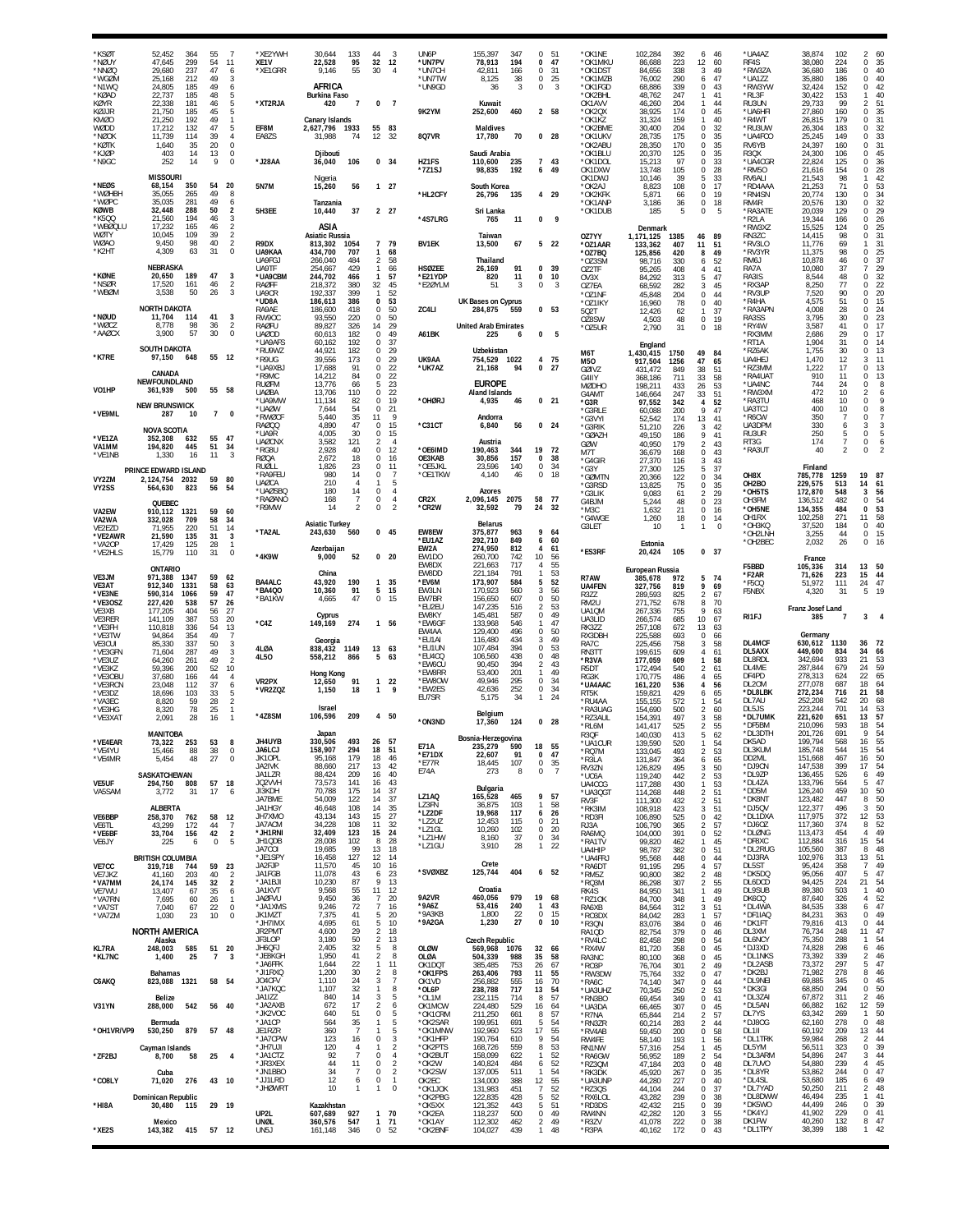| <b>KSØT</b><br>*NØUY<br>*NNØQ<br>*WGØM<br>*N1WQ<br>*KØAD<br>KØYR<br>KØJJR<br>KMØO<br>WØDD<br>*NØOK<br>*KØTK | 52.452<br>47,645<br>29,680<br>25,168<br>24,805<br>22,737<br>22.338<br>21,750<br>21,250<br>17,212<br>11.739<br>1,640 | 364<br>299<br>237<br>212<br>185<br>185<br>181<br>185<br>192<br>132<br>114<br>35 | 55<br>54<br>47<br>49<br>49<br>48<br>46<br>45<br>49<br>47<br>39<br>20 | 7<br>11<br>6<br>3<br>6<br>5<br>5<br>5<br>-1<br>5<br>$\overline{4}$<br>$\theta$ | *XE2YWH<br>XE1V<br>*XE1GRR<br>*XT2RJA<br>EF8M<br>EA8ZS | 30.644<br>22,528<br>9,146<br>AFRICA<br><b>Burkina Faso</b><br>420<br><b>Canary Islands</b><br>2.627.796 1933<br>31,988 | 133<br>95<br>55<br>$\overline{7}$<br>74 | 44<br>32<br>30<br>0<br>55<br>12                     | 3<br>12<br>4<br>$\overline{7}$<br>83<br>32             | UN6P<br>*UN7PV<br>*UN7CH<br>*UN7TW<br>*UN9GD<br>9K2YM<br>8Q7VR | 155.397<br>347<br>78,913<br>194<br>42,811<br>166<br>8,125<br>38<br>36<br>3<br>Kuwait<br>252,600<br>460<br><b>Maldives</b><br>70<br>17,780 | $\Omega$<br>0<br>0<br>0<br>$\bf 0$ | 51<br>47<br>31<br>25<br>$\overline{\mathbf{3}}$<br>2 58<br>0 <sub>28</sub> | *OK1NE<br>*OK1MKU<br>*OK1DST<br>*OK1MZB<br>*OK1FGD<br>*OK2BHL<br>OK1AVV<br>*OK2QX<br>*OK1KZ<br>*OK2BME<br>*OK1UKV<br>*OK2ABU | 102,284<br>86,688<br>84,656<br>76,002<br>68,886<br>48,762<br>46,260<br>38,925<br>31,324<br>30,400<br>28,735<br>28,350 | 392<br>223<br>338<br>290<br>339<br>247<br>204<br>174<br>159<br>204<br>175<br>170 | 6<br>12<br>3<br>6<br>$\Omega$<br>$\mathbf{1}$<br>-1<br>0<br>-1<br>$\Omega$<br>$\Omega$<br>$\Omega$ | 46<br>60<br>49<br>47<br>43<br>41<br>44<br>45<br>40<br>32<br>35<br>35 | *UA4AZ<br>RF4S<br>*RW3ZA<br>*UA1ZZ<br>*RW3YW<br>*RL3F<br>RU3UN<br>*UA6HFI<br>*R4WT<br>*RU3UW<br>*UA4FCO<br>RV6YB | 38,874<br>38,080<br>36,680<br>35,880<br>32,424<br>30,422<br>29,733<br>27,860<br>26,815<br>26,304<br>25,245<br>24,397 | 102<br>224<br>186<br>186<br>152<br>153<br>99<br>160<br>179<br>183<br>149<br>160 | 60<br>$\mathcal{P}$<br>0<br>35<br>$\bf 0$<br>40<br>0<br>40<br>0<br>42<br>40<br>1<br>$\mathfrak{D}$<br>51<br>35<br>0<br>31<br>$\Omega$<br>32<br>$\Omega$<br>33<br>$\Omega$<br>31<br>$\Omega$ |
|-------------------------------------------------------------------------------------------------------------|---------------------------------------------------------------------------------------------------------------------|---------------------------------------------------------------------------------|----------------------------------------------------------------------|--------------------------------------------------------------------------------|--------------------------------------------------------|------------------------------------------------------------------------------------------------------------------------|-----------------------------------------|-----------------------------------------------------|--------------------------------------------------------|----------------------------------------------------------------|-------------------------------------------------------------------------------------------------------------------------------------------|------------------------------------|----------------------------------------------------------------------------|------------------------------------------------------------------------------------------------------------------------------|-----------------------------------------------------------------------------------------------------------------------|----------------------------------------------------------------------------------|----------------------------------------------------------------------------------------------------|----------------------------------------------------------------------|------------------------------------------------------------------------------------------------------------------|----------------------------------------------------------------------------------------------------------------------|---------------------------------------------------------------------------------|---------------------------------------------------------------------------------------------------------------------------------------------------------------------------------------------|
| *KJØP<br>*N9GC                                                                                              | 403<br>252<br><b>MISSOURI</b>                                                                                       | 14<br>14                                                                        | 13<br>9                                                              | 0<br>$\bf 0$                                                                   | *J28AA                                                 | Djibouti<br>36,040<br>Nigeria                                                                                          | 106                                     | 0, 34                                               |                                                        | HZ1FS<br>*7Z1SJ                                                | Saudi Arabia<br>110.600<br>235<br>98,835<br>192                                                                                           | $\overline{7}$<br>6                | 43<br>49                                                                   | *OK1BLL<br>*OK1DOL<br>OK1DXW<br>OK1DWJ                                                                                       | 20,370<br>15,213<br>13,748<br>10,146                                                                                  | 125<br>97<br>105<br>39                                                           | 0<br>$\Omega$<br>$\Omega$<br>5                                                                     | 35<br>33<br>28<br>33                                                 | R3QX<br>*UA4CGR<br>*RM50<br>RV6ALI                                                                               | 24,300<br>22,824<br>21,616<br>21,543                                                                                 | 106<br>125<br>154<br>98                                                         | 0<br>45<br>36<br>0<br>0<br>28<br>42                                                                                                                                                         |
| *NEØS<br>*WØHBH<br>*WØPC<br>KØWB                                                                            | 68,154<br>35,055<br>35,035<br>32,448                                                                                | 350<br>265<br>281<br>288                                                        | 54<br>49<br>49<br>50                                                 | 20<br>8<br>6<br>$\boldsymbol{2}$                                               | <b>5N7M</b><br>5H3EE                                   | 15,260<br>Tanzania                                                                                                     | 56<br>37                                | $1 \quad 27$<br>2 27                                |                                                        | *HL2CFY                                                        | South Korea<br>26,796<br>135                                                                                                              |                                    | 4 29                                                                       | *OK2AJ<br>*OK2KFK<br>*OK1ANP<br>*OK1DUB                                                                                      | 8,823<br>5,871<br>3,186<br>185                                                                                        | 108<br>66<br>36<br>5                                                             | 0<br>$\Omega$<br>$\bf{0}$<br>$\bf{0}$                                                              | 17<br>19<br>18<br>5                                                  | *RD4AAA<br>*RN4SN<br>RM4R                                                                                        | 21,253<br>20.774<br>20,576                                                                                           | 71<br>130<br>130<br>129                                                         | 0<br>53<br>34<br>$\mathbf 0$<br>32<br>0<br>29<br>0                                                                                                                                          |
| *K500<br>*WBØQLU<br>WØTY                                                                                    | 21,560<br>17,232<br>10,045                                                                                          | 194<br>165<br>109                                                               | 46<br>46<br>39                                                       | 3<br>$\frac{2}{2}$                                                             |                                                        | 10,440<br>ASIA<br><b>Asiatic Russia</b>                                                                                |                                         |                                                     |                                                        | *4S7LRG                                                        | Sri Lanka<br>765<br>11<br>Taiwan                                                                                                          | 0                                  | 9                                                                          | OZ7YY                                                                                                                        | Denmark<br>1,171,125                                                                                                  | 1385                                                                             | 46                                                                                                 | 89                                                                   | *RA3ATE<br>*R2LA<br>*RW3XZ<br>RN3ZC                                                                              | 20,039<br>19,344<br>15,525<br>14,415                                                                                 | 166<br>124<br>98                                                                | 26<br>$\Omega$<br>25<br>0<br>31<br>$\mathbf 0$                                                                                                                                              |
| <b>WØAO</b><br>*K2HT                                                                                        | 9.450<br>4,309                                                                                                      | 98<br>63                                                                        | 40<br>31                                                             | $\sqrt{2}$<br>$\theta$                                                         | R9DX<br>UA9KAA<br>UA9FGJ                               | 813,302<br>434,700<br>266,040                                                                                          | 1054<br>707<br>484                      | 7 79<br>$\mathbf{1}$<br>2                           | 68<br>58                                               | <b>BV1EK</b>                                                   | 13,500<br>67<br>Thailand                                                                                                                  |                                    | 522                                                                        | *OZ1AAR<br>*OZ7BQ<br>*OZ3SM                                                                                                  | 133,362<br>125,856<br>98,716                                                                                          | 407<br>420<br>330                                                                | 11<br>8<br>6                                                                                       | 51<br>49<br>52                                                       | *RV3LO<br>*RV3YR<br>RM6J                                                                                         | 11,776<br>11,375<br>10,878                                                                                           | 69<br>98<br>46                                                                  | 31<br>25<br>$\Omega$<br>37<br>0                                                                                                                                                             |
| <b>*KØNE</b><br>*NSØR                                                                                       | <b>NEBRASKA</b><br>20,650<br>17,520                                                                                 | 189<br>161                                                                      | 47<br>46                                                             | 3<br>$\frac{2}{3}$                                                             | UA9TF<br>*UA9CBM<br>RAØFF                              | 254,667<br>244,702<br>218,372                                                                                          | 429<br>466<br>380                       | $\mathbf{1}$<br>$\mathbf{1}$<br>32                  | 66<br>57<br>45                                         | <b>HSØZEE</b><br>*E21YDP<br>*E2ØYLM                            | 26,169<br>91<br>820<br>11<br>51<br>3                                                                                                      | 0<br>0<br>$\Omega$                 | 39<br>10<br>3                                                              | OZ2TF<br>OV3X<br>OZ7EA                                                                                                       | 95,265<br>84,292<br>68,592                                                                                            | 408<br>313<br>282                                                                | 4<br>5<br>3                                                                                        | 41<br>47<br>45                                                       | RA7A<br>RA3IS<br>*RX3AP                                                                                          | 10,080<br>8,544<br>8,250                                                                                             | 37<br>48<br>77                                                                  | 29<br>7<br>0<br>32<br>22<br>$\Omega$                                                                                                                                                        |
| *WBØM<br>*NØUD                                                                                              | 3,538<br><b>NORTH DAKOTA</b><br>11,704                                                                              | 50<br>114                                                                       | 26<br>41                                                             | 3                                                                              | UA9CR<br>*UD8A<br>RA9AE<br>RW90C                       | 192,337<br>186,613<br>186,600<br>93.550                                                                                | 399<br>386<br>418<br>220                | 1<br>$\Omega$<br>0<br>$\Omega$                      | 52<br>53<br>50<br>50                                   | ZC4LI                                                          | UK Bases on Cyprus<br>284,875<br>559                                                                                                      |                                    | 0 <sub>53</sub>                                                            | $^{\star}$ O71NF<br>*OZ1IKY<br>502T                                                                                          | 45,848<br>16,960<br>12,426                                                                                            | 204<br>78<br>$62\,$                                                              | $\Omega$<br>0<br>$\mathbf{1}$                                                                      | 44<br>40<br>37                                                       | *RV3UP<br>*R4HA<br>*RA3APN<br>RA3SS                                                                              | 7,520<br>4,575<br>4,008<br>3.795                                                                                     | 90<br>51<br>28<br>30                                                            | 0<br>20<br>$\mathbf 0$<br>15<br>24<br>0<br>23<br>$\Omega$                                                                                                                                   |
| *WØC.7<br>*AAØCX                                                                                            | 8.778<br>3.900                                                                                                      | 98<br>57                                                                        | 36<br>30                                                             | $\sqrt{2}$<br>0                                                                | <b>RAØFU</b><br>UAØOD<br>*UA9AFS                       | 89,827<br>60,613<br>60,162                                                                                             | 326<br>182<br>192                       | 14<br>$\Omega$<br>$\Omega$                          | 29<br>49<br>37                                         | A61BK                                                          | <b>United Arab Emirates</b><br>225<br>6                                                                                                   | $\Omega$                           | 5                                                                          | OZ8SW<br>*OZ5UR                                                                                                              | 4,503<br>2,790                                                                                                        | 48<br>31                                                                         | $\bf{0}$<br>$\Omega$                                                                               | 19<br>18                                                             | *RY4W<br>*RX3MM<br>*RT1A                                                                                         | 3,587<br>2,686<br>1,904                                                                                              | 41<br>29<br>31                                                                  | 0<br>17<br>17<br>$\Omega$<br>$\mathbf 0$<br>14                                                                                                                                              |
| *K7RE                                                                                                       | <b>SOUTH DAKOTA</b><br>97,150                                                                                       | 648                                                                             | 55 12                                                                |                                                                                | *RU9WZ<br>*R9UG<br>*UA9XBJ                             | 44,921<br>39,556<br>17,688                                                                                             | 182<br>173<br>91                        | $\Omega$<br>$\Omega$<br>$\Omega$                    | 29<br>29<br>22                                         | UK9AA<br>*UK7AZ                                                | Uzbekistan<br>754,529<br>1022<br>21,168<br>94                                                                                             | 4                                  | 75<br>0 <sub>27</sub>                                                      | M6T<br>M50<br>GØIVZ                                                                                                          | England<br>1,430,415<br>917,504<br>431,472                                                                            | 1750<br>1256<br>849                                                              | 49<br>47<br>38                                                                                     | 84<br>65<br>51                                                       | *RZ6AK<br>UA4HEJ<br>*RZ3MM                                                                                       | 1,755<br>1,470<br>1,222                                                                                              | 30<br>12<br>17                                                                  | $^{\circ}$<br>13<br>3<br>11<br>$\Omega$<br>13                                                                                                                                               |
| VO1HP                                                                                                       | CANADA<br>NEWFOUNDLAND<br>361,939                                                                                   | 500                                                                             | 55 58                                                                |                                                                                | *R9MC<br><b>RUØFM</b><br><b>UAØBA</b>                  | 14,212<br>13.776<br>13,706                                                                                             | 84<br>66<br>110                         | $\Omega$<br>5<br>$\Omega$                           | 22<br>23<br>22                                         |                                                                | <b>EUROPE</b><br><b>Aland Islands</b>                                                                                                     |                                    |                                                                            | G4IIY<br><b>MØDHO</b><br>G4AMT                                                                                               | 368,186<br>198,211<br>146,664                                                                                         | 711<br>433<br>247                                                                | 33<br>26<br>33                                                                                     | 58<br>53<br>51                                                       | *RA4UA1<br>*UA4NC<br>*RW3XM                                                                                      | 910<br>744<br>472                                                                                                    | 11<br>24<br>10                                                                  | $\mathbf 0$<br>13<br>0<br>8<br>$\overline{2}$<br>6                                                                                                                                          |
| *VE9ML                                                                                                      | <b>NEW BRUNSWICK</b><br>287                                                                                         | 10                                                                              | $\overline{7}$                                                       | $\Omega$                                                                       | *UA9MW<br>*UAØW<br>*RWØCF<br><b>RAØQQ</b>              | 11,134<br>7,644<br>5,440<br>4.890                                                                                      | 82<br>54<br>35<br>47                    | 0<br>$\Omega$<br>11<br>$\Omega$                     | 19<br>21<br>-9<br>15                                   | *OHØRJ<br>$*$ C31CT                                            | 4,935<br>46<br>Andorra<br>6,840<br>56                                                                                                     |                                    | 0 <sub>21</sub><br>$0$ 24                                                  | *G3R<br>*G3RLE<br>*G3VYI                                                                                                     | 97,552<br>60,088<br>52,542                                                                                            | 342<br>200<br>174                                                                | $\overline{4}$<br>9<br>13                                                                          | 52<br>47<br>41                                                       | *RA3TU<br>UA3TCJ<br>*R6CW<br>UA3DPM                                                                              | 468<br>400<br>350<br>330                                                                                             | 10<br>10<br>$\overline{7}$<br>6                                                 | 0<br>9<br>8<br>0<br>$\overline{7}$<br>0<br>3<br>3                                                                                                                                           |
| *VE1ZA<br>VA1MM                                                                                             | <b>NOVA SCOTIA</b><br>352,308<br>194,820                                                                            | 632<br>445                                                                      | 55<br>51                                                             | 47<br>34                                                                       | *UA9R<br><b>UAØCNX</b><br>*RG8U                        | 4,005<br>3.582<br>2,928                                                                                                | 30<br>121<br>40                         | 0<br>2<br>$\Omega$                                  | 15<br>$\overline{4}$<br>12                             | *OE6IMD                                                        | Austria<br>190,463<br>344                                                                                                                 | 19                                 | 72                                                                         | *G3RIK<br>*GØAZH<br>GØW<br>M7T                                                                                               | 51,210<br>49,150<br>40,950<br>36,679                                                                                  | 226<br>186<br>179<br>168                                                         | 3<br>9<br>$\overline{2}$<br>0                                                                      | 42<br>41<br>43<br>43                                                 | RU3UR<br>RT3G<br>*RA3UT                                                                                          | 250<br>174<br>40                                                                                                     | 5<br>$\overline{7}$<br>2                                                        | 5<br>$\theta$<br>6<br>0<br>$\overline{2}$                                                                                                                                                   |
| 'VE1NB<br>VY2ZM                                                                                             | 1,330<br>PRINCE EDWARD ISLAND<br>2.124.754 2032                                                                     | 16                                                                              | 11<br>59                                                             | $\mathbf{3}$<br>80                                                             | <b>RØQA</b><br><b>RUØLL</b><br>*RA9FEU                 | 2,672<br>1,826<br>980                                                                                                  | 18<br>23<br>14                          | $\Omega$<br>$\Omega$<br>$\Omega$                    | 16<br>11<br>7                                          | OE3KAB<br>OE5JKL*<br>*OE1TKW                                   | 30,856<br>157<br>23,596<br>140<br>4,140<br>46                                                                                             | $\Omega$<br>0<br>0                 | 38<br>34<br>18                                                             | *G4GIR<br>*G3Y<br>*GØMTN                                                                                                     | 27,370<br>27,300<br>20,366                                                                                            | 116<br>125<br>122                                                                | 3<br>5<br><sup>n</sup>                                                                             | 43<br>37<br>34                                                       | OH8X                                                                                                             | Finland<br>785,778                                                                                                   | 1259                                                                            | 19<br>87                                                                                                                                                                                    |
| VY2SS                                                                                                       | 564,630<br>QUEBEC                                                                                                   | 823                                                                             | 56                                                                   | -54                                                                            | <b>UAØCA</b><br>*UAØSBQ<br>*RAØANO<br>*R9MW            | 210<br>180<br>168<br>14                                                                                                | 14<br>7<br>2                            | $\Omega$<br>$\Omega$<br>$\Omega$                    | 5<br>$\overline{4}$<br>$\overline{4}$<br>$\mathcal{P}$ | CR <sub>2</sub> X<br>*CR2W                                     | Azores<br>2,096,145<br>2075<br>32,592<br>79                                                                                               | 58<br>24                           | 77<br>32                                                                   | *G3RSD<br>*G3LIK<br>G4BJM                                                                                                    | 13,825<br>9,083<br>5,244                                                                                              | 75<br>61<br>48                                                                   | $\Omega$<br>2<br>$\Omega$                                                                          | 35<br>29<br>23                                                       | OH <sub>2</sub> BO<br>*OH5TS<br>OH3FM                                                                            | 229,575<br>172,870<br>136,512                                                                                        | 513<br>548<br>482                                                               | 14<br>61<br>3<br>56<br>54<br>$^{\circ}$                                                                                                                                                     |
| VA2EW<br>VA2WA<br>VE2EZD                                                                                    | 910.112<br>332,028<br>71,955                                                                                        | 1321<br>709<br>220                                                              | 59<br>58<br>51                                                       | 60<br>34<br>14                                                                 | *TA2AL                                                 | <b>Asiatic Turkey</b><br>243,630                                                                                       | 560                                     | $0$ 45                                              |                                                        | EW8EW                                                          | <b>Belarus</b><br>963<br>375.877                                                                                                          | 9                                  | 64                                                                         | *M3C<br>*G4WGE<br>G3LET                                                                                                      | 1,632<br>1,260<br>10                                                                                                  | 21<br>18<br>$\mathbf{1}$                                                         | 0<br>0<br>$\mathbf{1}$                                                                             | 16<br>14<br>$\overline{0}$                                           | *OH5NE<br>OH1RX<br>*OH3KQ<br>*OH2LNH                                                                             | 134,355<br>102,258<br>37,520<br>3,255                                                                                | 484<br>271<br>184<br>44                                                         | 53<br>0<br>58<br>11<br>40<br>$\Omega$<br>0<br>15                                                                                                                                            |
| *VE2AWR<br>*VA2OP<br>*VE2HLS                                                                                | 21,590<br>17,429<br>15,779                                                                                          | 135<br>125<br>110                                                               | 31<br>28<br>31                                                       | 3<br>1<br>$\bf 0$                                                              | *4K9W                                                  | Azerbaijan<br>9,000                                                                                                    | 52                                      | 0 <sub>20</sub>                                     |                                                        | *EU1AZ<br>EW2A<br>EW1DO                                        | 292,710<br>849<br>274,950<br>812<br>260,700<br>742                                                                                        | 6<br>$\overline{4}$<br>10          | 60<br>61<br>-56                                                            | *ES3RF                                                                                                                       | Estonia<br>20,424                                                                                                     | 105                                                                              |                                                                                                    | 0, 37                                                                | *OH2BEC                                                                                                          | 2,032<br>France                                                                                                      | 26                                                                              | $\mathbf 0$<br>16                                                                                                                                                                           |
| VE3JM<br>VE3AT                                                                                              | <b>ONTARIO</b><br>971,388<br>912,340                                                                                | 1347<br>1331                                                                    | 59<br>58                                                             | 62<br>63                                                                       | <b>BA4ALC</b><br>*BA4Q0                                | China<br>43,920                                                                                                        | 190<br>91                               | $\mathbf{1}$<br>5                                   | 35<br>15                                               | EW8DX<br>EW8DD<br>*EV6M<br>EW3LN                               | 717<br>221,663<br>221,184<br>791<br>173,907<br>584<br>170,923                                                                             | 4<br>1<br>5<br>3                   | 55<br>53<br>52<br>56                                                       | R7AW<br><b>UA4FEN</b>                                                                                                        | European Russia<br>385,678<br>327,756                                                                                 | 972<br>819                                                                       | 5<br>9                                                                                             | 74<br>69                                                             | F5BBD<br>*F2AR<br>*F5CQ                                                                                          | 105,336<br>71,626<br>51,972                                                                                          | 314<br>223<br>111                                                               | 13 50<br>15<br>44<br>24<br>47                                                                                                                                                               |
| *VE3NE                                                                                                      | 590,314                                                                                                             | 1066                                                                            | 59                                                                   | 47                                                                             |                                                        |                                                                                                                        |                                         |                                                     |                                                        |                                                                |                                                                                                                                           |                                    |                                                                            |                                                                                                                              |                                                                                                                       |                                                                                  |                                                                                                    |                                                                      |                                                                                                                  |                                                                                                                      |                                                                                 |                                                                                                                                                                                             |
| *VE3OSZ<br>VE3XB                                                                                            | 227,420<br>177,205                                                                                                  | 538<br>404                                                                      | 57<br>56                                                             | 26<br>27                                                                       | *BA1KW                                                 | 10,360<br>4,665                                                                                                        | 47                                      | $\Omega$                                            | 15                                                     | EW7BR<br>*EU2EU<br>EW8KY                                       | 560<br>156,650<br>607<br>147,235<br>516                                                                                                   | $\Omega$<br>$\mathfrak{p}$<br>0    | 50<br>53<br>49                                                             | R3ZZ<br>RM <sub>2U</sub><br>UA1QM                                                                                            | 289,593<br>271,752<br>267,336                                                                                         | 825<br>678<br>755                                                                | $\overline{2}$<br>8<br>9                                                                           | 67<br>70<br>63                                                       | F5NBX                                                                                                            | 4,320<br>Franz Josef Land                                                                                            | 31                                                                              | 5<br>-19                                                                                                                                                                                    |
| VE3RER<br>*VE3FH<br>*VF3TW                                                                                  | 141,109<br>110,818<br>94,864                                                                                        | 387<br>336<br>354                                                               | 53<br>54<br>49                                                       | 20<br>13<br>$\overline{7}$                                                     | $*$ C4Z                                                | Cyprus<br>149,169<br>Georgia                                                                                           | 274                                     | 1 56                                                |                                                        | *EW6GF<br>EW4AA<br>*EU1AI                                      | 145,481<br>587<br>133,968<br>546<br>496<br>129,400<br>116,480<br>434                                                                      | 0<br>3                             | 47<br>50<br>49                                                             | UA3LID<br>RK3ZZ<br>RX3DBI                                                                                                    | 266,574<br>257,108<br>225,588                                                                                         | 685<br>672<br>693                                                                | 10 <sup>10</sup><br>13<br>$\Omega$                                                                 | 67<br>63<br>66                                                       | RI1FJ                                                                                                            | 385<br>Germany                                                                                                       | -7                                                                              | 3<br>36                                                                                                                                                                                     |
| VE3CUI<br>*VE3GFN<br>*VE3UZ<br>*VE3KZ                                                                       | 85,330<br>71,604<br>64,260<br>59,396                                                                                | 337<br>287<br>261<br>200                                                        | 50<br>49<br>49<br>52                                                 | 3<br>3<br>$\overline{2}$<br>10                                                 | 4LØA<br>4L50                                           | 838,432<br>558,212                                                                                                     | 1149<br>866                             | 13<br>5                                             | 63<br>-63                                              | *EU1UN<br>*EU4CQ<br>*EW6CU                                     | 107,484<br>394<br>438<br>106,560<br>90,450<br>394                                                                                         | 0<br>$\mathbf 0$<br>2              | 53<br>48<br>43                                                             | RA7C<br>RN3TT<br>*R3VA<br>R5DT                                                                                               | 225,456<br>199,615<br>177,059<br>172,494                                                                              | 758<br>609<br>609<br>540                                                         | 3<br>4<br>$\mathbf{1}$<br>2                                                                        | 58<br>61<br>58<br>61                                                 | DL4MCF<br>DL5AXX<br>DL8RDL<br>DL4ME                                                                              | 630,612<br>449,600<br>342,694<br>287,844                                                                             | 1130<br>834<br>933<br>679                                                       | 72<br>34<br>66<br>21<br>53<br>24<br>59                                                                                                                                                      |
| *VE3OBL<br>*VE3RCN<br>*VE3DZ                                                                                | 37,680<br>23.048<br>18,696                                                                                          | 166<br>112<br>103                                                               | 44<br>37<br>33                                                       | $\overline{4}$<br>6<br>5                                                       | VR2PX<br>*VR2ZQZ                                       | <b>Hong Kong</b><br>12,650<br>1,150                                                                                    | 91<br>18                                | $\mathbf{1}$<br>$\mathbf{1}$                        | 22<br>9                                                | *EW8RR<br>*EW8OW<br>*EW2ES                                     | 53.400<br>201<br>49,946<br>295<br>42,636<br>252                                                                                           | 1<br>0<br>0                        | 49<br>34<br>34                                                             | RG3K<br>*UA4AAC<br>RT <sub>5</sub> K                                                                                         | 170,775<br>161,220<br>159,821                                                                                         | 486<br>536<br>429                                                                | $\overline{4}$<br>4<br>6                                                                           | 65<br>56<br>65                                                       | DF4PD<br>DL20M<br>*DL8LBK                                                                                        | 278,313<br>277,078<br>272,234                                                                                        | 624<br>687<br>716                                                               | 22<br>65<br>18<br>64<br>21<br>58                                                                                                                                                            |
| *VA3EC<br>*VE3HG<br>*VE3XAT                                                                                 | 8,820<br>8,320<br>2,091                                                                                             | 59<br>78<br>28                                                                  | 28<br>25<br>16                                                       | $\overline{2}$<br>$\mathbf{1}$                                                 | *4Z8SM                                                 | <b>Israel</b><br>106,596                                                                                               | 209                                     | 4                                                   | 50                                                     | EU7SR<br>*ON3ND                                                | 5,175<br>34<br>Belgium<br>17,360<br>124                                                                                                   | 1                                  | 24<br>0 <sub>28</sub>                                                      | *RU4AA<br>*RA3UAG<br>*RZ3AUL                                                                                                 | 155,155<br>154,690<br>154,391                                                                                         | 572<br>500<br>497                                                                | $\mathfrak{D}$<br>3                                                                                | 54<br>60<br>58                                                       | DL7AU<br>DL5JS<br>*DL7UMK                                                                                        | 252,208<br>223,244<br>221,620                                                                                        | 542<br>701<br>651                                                               | 20<br>68<br>14<br>53<br>57<br>13                                                                                                                                                            |
| *VF4FAR<br>*VE4YU                                                                                           | <b>MANITOBA</b><br>73 322<br>15,466                                                                                 | $253$ $53$ $8$<br>88                                                            | 38                                                                   | $\mathbf 0$                                                                    | <b>JH4UYB</b><br>JA6LCJ                                | Japan<br>330.506<br>158,907                                                                                            | 294                                     | 493 26 57<br>18                                     | 51                                                     | E71A                                                           | Bosnia-Herzegovina<br>235.279<br>590                                                                                                      | 18                                 | 55                                                                         | *RL6M<br>R3QF<br>*UA1CUR<br>*RQ7M                                                                                            | 141,417<br>140,030<br>139,590<br>133,045                                                                              | 525<br>413<br>520<br>493                                                         | $\mathfrak{p}$<br>5<br>$\overline{2}$                                                              | 55<br>62<br>54<br>53                                                 | *DF5BM<br>*DL3DTH<br>DK5AD<br>DL3KUM                                                                             | 210,096<br>201,726<br>199.794<br>185,748                                                                             | 593<br>691<br>568<br>544                                                        | 18<br>54<br>9<br>54<br>16<br>55<br>54<br>15                                                                                                                                                 |
| *VE4MR                                                                                                      | 5,454<br>SASKATCHEWAN                                                                                               | 48                                                                              | 27                                                                   | $\bf 0$                                                                        | JK10PL<br>JA2IVK<br>JA1LZR                             | 95,168<br>88,660<br>88,424                                                                                             | 179<br>217<br>209                       | 18<br>13<br>16                                      | 46<br>42<br>40                                         | *E71DX<br>*E77R<br>E74A                                        | 91<br>22,607<br>107<br>18,445<br>273<br>8                                                                                                 | 0<br>$\bf 0$<br>0                  | 47<br>35<br>$\overline{7}$                                                 | *R3LA<br>RV3ZN<br>*UC6A                                                                                                      | 131,847<br>126,829<br>119,240                                                                                         | 364<br>495<br>442                                                                | 6<br>3<br>2                                                                                        | 65<br>50<br>53                                                       | DD2ML<br>*DJ9CN<br>*DL9ZP                                                                                        | 151,668<br>147,538<br>136,455                                                                                        | 467<br>399<br>526                                                               | 50<br>16<br>54<br>17<br>49<br>6                                                                                                                                                             |
| <b>VE5UF</b><br>VA5SAM                                                                                      | 294,750<br>3,772                                                                                                    | 808<br>31                                                                       | 57 18<br>17                                                          | 6                                                                              | JQ2VVH<br>JI3KDH<br>JA7BME                             | 73,573<br>70,788<br>54,009                                                                                             | 141<br>175<br>122                       | 16<br>14<br>14                                      | 43<br>37<br>37                                         | LZ1AQ<br>LZ3FN                                                 | Bulgaria<br>165,528<br>465<br>36,875<br>103                                                                                               | 9<br>1                             | 57<br>58                                                                   | UA4CCG<br>*UA3QGT<br>RV3F                                                                                                    | 117,288<br>114,268<br>111,300                                                                                         | 430<br>448<br>432                                                                | $\mathbf{1}$<br>2<br>$\overline{2}$                                                                | 53<br>51<br>51                                                       | *DL4ZA<br>*DD5M<br>*DK8NT                                                                                        | 133,796<br>126,240<br>123,482                                                                                        | 564<br>459<br>447                                                               | 47<br>5<br>10 <sup>°</sup><br>50<br>50<br>8                                                                                                                                                 |
| VE6BBP<br>VE6TL<br>*VE6BF                                                                                   | <b>ALBERTA</b><br>258,370<br>43,299<br>33,704                                                                       | 762<br>172<br>156                                                               | 58<br>44<br>42                                                       | 12<br>$\overline{7}$<br>$\overline{2}$                                         | JA1HGY<br>JH7XMO<br>JA7ACM<br>*JH1RNI                  | 46,648<br>43,134<br>34,228<br>32,409                                                                                   | 108<br>143<br>108<br>123                | 14<br>15<br>11<br>15                                | 35<br>27<br>32<br>24                                   | *LZ2DF<br>*LZ2UZ<br>*LZ1GL                                     | 117<br>19,968<br>12,453<br>115<br>10,260<br>102                                                                                           | 6<br>0<br>0                        | 26<br>21<br>20                                                             | *RK3IM<br>*RD3FI<br>RJ3A                                                                                                     | 108,918<br>106,890<br>106,790                                                                                         | 423<br>525<br>365<br>391                                                         | 3<br>$\bf 0$<br>$\overline{2}$                                                                     | 51<br>42<br>57                                                       | *DJ5QV<br>*DL1DXA<br>*DJ60Z<br>*DLØNG                                                                            | 122,377<br>117,975<br>117,360<br>113,473                                                                             | 496<br>372<br>374<br>454                                                        | 50<br>3<br>53<br>12<br>52<br>8<br>$\overline{4}$<br>49                                                                                                                                      |
| VE6JY                                                                                                       | 225<br><b>BRITISH COLUMBIA</b>                                                                                      | 6                                                                               | 0                                                                    | 5                                                                              | JH1QDB<br>JA7COI<br>*JE1SPY                            | 28,008<br>19,685<br>16,458                                                                                             | 102<br>99<br>127                        | -8<br>13<br>12                                      | 28<br>18<br>14                                         | *LZ1HW<br>*LZ1GU                                               | 37<br>8,160<br>3,910<br>28                                                                                                                | $\bf 0$<br>1                       | 34<br>22                                                                   | RA6MQ<br>*RA1TV<br>UA4HIP<br>*UA4FRJ                                                                                         | 104,000<br>99,820<br>98,787<br>95,568                                                                                 | 462<br>382<br>448                                                                | $\bf 0$<br>$\mathbf{1}$<br>$\mathbf{0}$<br>0                                                       | 52<br>45<br>51<br>44                                                 | *DF8XC<br>*DL2RUG<br>*DJ3RA                                                                                      | 112,884<br>105,560<br>102,976                                                                                        | 316<br>387<br>313                                                               | 15<br>54<br>8<br>48<br>13<br>51                                                                                                                                                             |
| VE7CC<br>VE7JKZ<br>*VA7MM                                                                                   | 319,718<br>41,160<br>24,174                                                                                         | 744<br>203<br>145                                                               | 59<br>40<br>32                                                       | 23<br>$\sqrt{2}$<br>$\mathbf 2$                                                | JA2FJP<br>JA1FGB<br>*JA1BJI                            | 11,570<br>11,078<br>10,230                                                                                             | 45<br>43<br>87                          | 10<br>6<br>9                                        | 16<br>23<br>13                                         | *SVØXBZ                                                        | Crete<br>125,744<br>404                                                                                                                   |                                    | 6 <sub>52</sub>                                                            | *RA6DT<br>*RM5Z<br>*RQ3M                                                                                                     | 91,195<br>90,800<br>86,298                                                                                            | 295<br>382<br>307                                                                | $\overline{4}$<br>$\overline{2}$<br>$\overline{2}$                                                 | 57<br>48<br>55                                                       | DL5ST<br>*DK5DQ<br>DL6DCD                                                                                        | 95,424<br>95,056<br>94,425                                                                                           | 358<br>407<br>224                                                               | 49<br>7<br>5<br>47<br>21<br>54                                                                                                                                                              |
| VE7WU<br>*VA7RN<br>*VA7ST                                                                                   | 13,407<br>7,695<br>7,040                                                                                            | 67<br>60<br>67                                                                  | 35<br>26<br>22                                                       | 6<br>1<br>$\bf 0$                                                              | JA1KVT<br><b>JAØFVU</b><br>*JA1XMS                     | 9,568<br>9,450<br>9,246                                                                                                | 55<br>36<br>72                          | 11<br>7<br>7                                        | 12<br>20<br>16                                         | 9A2VR<br>*9A6Z                                                 | Croatia<br>460,056<br>979<br>53,416<br>240                                                                                                | 19<br>$\mathbf{1}$                 | 68<br>43                                                                   | RK4S<br>*RZ10K<br>RA6XB                                                                                                      | 84,950<br>84,700<br>84,564                                                                                            | 341<br>348<br>312                                                                | $\mathbf{1}$<br>$\mathbf{1}$<br>3                                                                  | 49<br>49<br>51                                                       | DL9SUB<br>DK6CQ<br>*DL4WA                                                                                        | 89,380<br>87,640<br>84,535                                                                                           | 503<br>326<br>338                                                               | 40<br>$\mathbf{1}$<br>52<br>4<br>47<br>6                                                                                                                                                    |
| *VA7ZM                                                                                                      | 1,030<br><b>NORTH AMERICA</b>                                                                                       | 23                                                                              | 10                                                                   | 0                                                                              | JK1MZT<br>*JH7IMX<br>JR2PMT                            | 7,375<br>4,695<br>4,600                                                                                                | 41<br>61<br>29                          | 5<br>5<br>$\overline{2}$                            | 20<br>10<br>18                                         | *9A3KB<br>*9A2GA                                               | 1,800<br>22<br>27<br>1,230                                                                                                                | 0<br>$\bf{0}$                      | 15<br>10                                                                   | *RO3DX<br>*R3QN<br>RA1QD                                                                                                     | 84,042<br>83,076<br>82,754                                                                                            | 283<br>384<br>379                                                                | $\mathbf{1}$<br>0<br>0                                                                             | 57<br>46<br>46                                                       | *DF1IAQ<br>*DK1FT<br>DL3XM                                                                                       | 84,231<br>79,816<br>76,734                                                                                           | 363<br>413<br>248                                                               | 49<br>0<br>0<br>44<br>47<br>11                                                                                                                                                              |
| <b>KL7RA</b><br>*KL7NC                                                                                      | Alaska<br>248,003<br>1,400                                                                                          | 585<br>25                                                                       | 51<br>$\overline{7}$                                                 | 20<br>3                                                                        | JF3LOP<br>JH6QFJ<br>*JE8KGH                            | 3,180<br>2,405<br>1,950                                                                                                | 50<br>32<br>41                          | $\overline{2}$<br>5<br>$\overline{2}$               | 13<br>8<br>8                                           | OLØW<br>OLØA                                                   | Czech Republic<br>569,968<br>1076<br>504,339<br>988                                                                                       | 32<br>35                           | 66<br>58                                                                   | *RV4LC<br>*RX4W<br>RA3NC                                                                                                     | 82,458<br>81,720<br>80,100                                                                                            | 298<br>358<br>368                                                                | $\bf 0$<br>$\bf{0}$<br>$\bf 0$                                                                     | 54<br>45<br>45                                                       | DL6NCY<br>*DJ3XD<br>*DL1NKS                                                                                      | 75,350<br>74,828<br>73,392                                                                                           | 288<br>298<br>339                                                               | 54<br>1<br>46<br>6<br>2<br>46                                                                                                                                                               |
| C6AKQ                                                                                                       | <b>Bahamas</b><br>823,088 1321                                                                                      |                                                                                 | 58 54                                                                |                                                                                | * JA6FFK<br>*JI1RXQ<br>JO4CFV                          | 1,644<br>1,200<br>1,110                                                                                                | 22<br>30<br>24                          | $\mathbf{1}$<br>$\overline{2}$<br>3<br>$\mathbf{1}$ | 11<br>8<br>7                                           | OK1DQT<br>*OK1FPS<br>OK1VD                                     | 753<br>385,485<br>263,406<br>793<br>256,882<br>555                                                                                        | 26<br>11<br>16                     | 67<br>55<br>70                                                             | *RO3P<br>*RW3DW<br>*RA6C                                                                                                     | 76,704<br>75,764<br>74,140                                                                                            | 301<br>332<br>347                                                                | $\overline{2}$<br>$\mathsf{O}\xspace$<br>0                                                         | 49<br>47<br>44                                                       | *DL2ASB<br>*DK2BJ<br>*DL9NEI                                                                                     | 73,372<br>71,982<br>69,885                                                                                           | 297<br>278<br>345                                                               | $\,$ 5 $\,$<br>47<br>8<br>46<br>0<br>45                                                                                                                                                     |
| V31YN                                                                                                       | Belize<br>288,000                                                                                                   | 542                                                                             | 56 40                                                                |                                                                                | *JA7KQC<br>JA1IZZ<br>* JA2AXB                          | 1,107<br>840<br>672                                                                                                    | 32<br>14<br>17                          | 3<br>$\mathcal{P}$<br>$\Omega$                      | 8<br>5<br>6                                            | *OL6P<br>*OL1M<br>OK1MCW                                       | 717<br>238,788<br>232,115<br>714<br>529<br>224,480                                                                                        | 13<br>8<br>16                      | 54<br>57<br>64                                                             | *UA3UHZ<br>*RN3BO<br>*UA3DA                                                                                                  | 70,345<br>69,454<br>66,465                                                                                            | 250<br>349<br>307                                                                | $\mathcal{P}$<br>0<br>0                                                                            | 53<br>41<br>45                                                       | *DK3GI<br>*DL3ZAI<br>*DL5AN                                                                                      | 68,850<br>67,872<br>66,882                                                                                           | 294<br>311<br>162                                                               | 50<br>0<br>46<br>2<br>12<br>59                                                                                                                                                              |
| *OH1VR/VP9                                                                                                  | Bermuda<br>530,250                                                                                                  | 879                                                                             | 57 48                                                                |                                                                                | *JK2VOC<br>*JA1CP<br>JE1RZR<br>*JA7CPW                 | 640<br>564<br>360<br>123                                                                                               | 51<br>35<br>-7<br>16                    | $\mathbf{1}$<br>$\mathbf{1}$<br>$\mathbf 0$         | 5<br>5<br>5<br>3                                       | *OK1CRM<br>*OK2SAR<br>*OK1MNW                                  | 211,250<br>661<br>199,951<br>691<br>192,960<br>523                                                                                        | 8<br>5<br>17<br>9                  | 57<br>54<br>55                                                             | *R7NA<br>*RN3ZR<br>*RV4AB                                                                                                    | 65,844<br>60,214<br>59,450                                                                                            | 214<br>283<br>200                                                                | $\overline{2}$<br>$\overline{2}$<br>$\mathsf 0$                                                    | 57<br>44<br>58                                                       | DL7YS<br>*DJ80G<br>DL1II<br>*DL1TRK                                                                              | 63,342<br>62,160<br>60,192<br>59,984                                                                                 | 269<br>278<br>209<br>268                                                        | 50<br>-1<br>0<br>48<br>44<br>13<br>44<br>2                                                                                                                                                  |
| *ZF2BJ                                                                                                      | Cayman Islands<br>8,700                                                                                             | 58                                                                              | 25                                                                   | $\overline{a}$                                                                 | *JH7UJI<br>*JA1CTZ<br>*JR3XEX                          | 120<br>92<br>44                                                                                                        | $\overline{4}$<br>11                    | $\Omega$<br>0                                       | $\overline{2}$<br>$\overline{4}$<br>$\overline{2}$     | *OK1HFP<br>*OK2PTS<br>*OK2BUT<br>*OK2W                         | 190,764<br>610<br>559<br>168,726<br>622<br>158,099<br>140,824<br>484                                                                      | 8<br>1<br>6                        | 54<br>53<br>52<br>52                                                       | RW4FE<br>RN1NW<br>*RA6GW<br>*RZ3QM                                                                                           | 58,140<br>57,316<br>56,952                                                                                            | 193<br>254<br>189<br>203                                                         | $\mathbf{1}$<br>$\mathbf{1}$<br>$\overline{2}$<br>$\bf{0}$                                         | 56<br>45<br>54                                                       | DL5YM<br>*DL3ARM<br>DL7UVO                                                                                       | 56,511<br>54,896<br>54,880                                                                                           | 323<br>247<br>239                                                               | 0<br>39<br>44<br>3<br>4<br>45                                                                                                                                                               |
| *CO8LY                                                                                                      | Cuba<br>71,020                                                                                                      | 276                                                                             | 43 10                                                                |                                                                                | *JN1BBO<br>*JJ1LRD<br>*JHØWRT                          | 34<br>12<br>10                                                                                                         | -7<br>6<br>$\mathbf{1}$                 | $\mathbf 0$<br>0<br>-1                              | $\sqrt{2}$<br>$\mathbf{1}$<br>$\Omega$                 | *OK2SW<br>OK2EC<br>*OK1JOK                                     | 137,005<br>511<br>134,000<br>388<br>451<br>131,983                                                                                        | $\mathbf{1}$<br>12<br>7            | 54<br>55<br>52                                                             | *RK3DK<br>*UA3UNP<br>*RZ3QS                                                                                                  | 47,184<br>45,920<br>44,280                                                                                            | 267<br>227                                                                       | 0<br>$\mathbf{0}$<br>0                                                                             | 48<br>35<br>40                                                       | *DL8YR<br>*DL4SL<br>*DL7YAD                                                                                      | 53,862<br>53,680<br>50,250                                                                                           | 244<br>185<br>211                                                               | $\bf 0$<br>47<br>49<br>6<br>48<br>$\overline{2}$                                                                                                                                            |
| *HI8A                                                                                                       | Dominican Republic<br>30,480                                                                                        | 115                                                                             | 29 19                                                                |                                                                                | UP2L                                                   | Kazakhstan<br>607,689                                                                                                  | 927                                     | $\mathbf{1}$                                        | 70                                                     | *OK2PBG<br>*OK5XX<br>*OK2EA                                    | 428<br>122,835<br>121,352<br>443<br>118,237<br>500                                                                                        | 5<br>5<br>$\bf 0$                  | 52<br>51<br>49                                                             | *RX6LOL<br>*RD3DS<br>RW4NN                                                                                                   | 44,104<br>43,282<br>42,432<br>42,282                                                                                  | 244<br>239<br>215<br>120                                                         | $\bf 0$<br>0<br>3                                                                                  | 37<br>38<br>39<br>55                                                 | *DL8DWW<br>*DK5WO<br>*DK4YJ                                                                                      | 46,494<br>44,499<br>41,902<br>40,260                                                                                 | 235<br>246<br>229<br>132                                                        | $\mathbf{1}$<br>41<br>$\mathbf 0$<br>- 39<br>0<br>41<br>47                                                                                                                                  |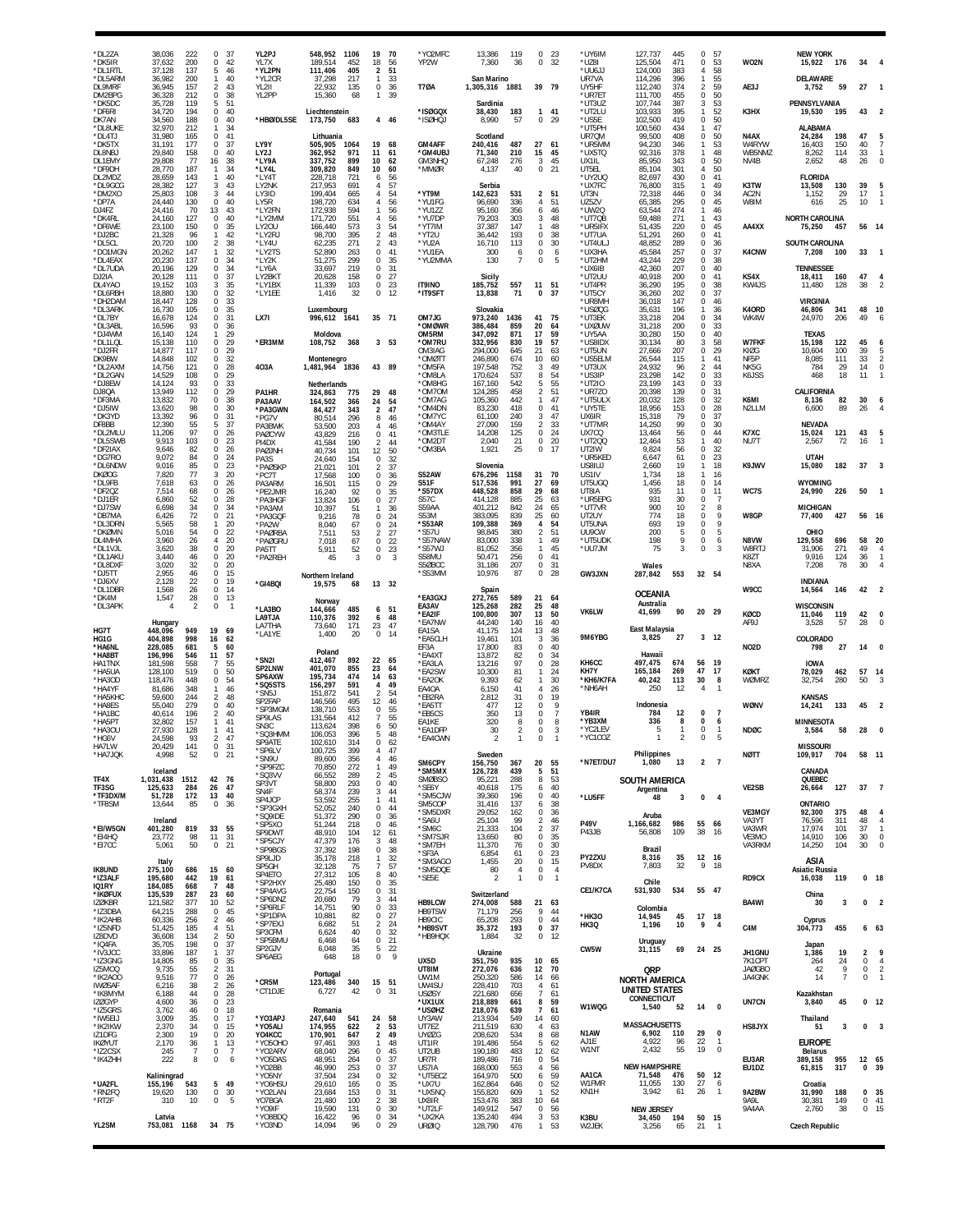| *DL2ZA<br>*DK5IR<br>'DI 1RTI                              | 38,036<br>222<br>37,632<br>200<br>137<br>37.128                                                   | $\Omega$<br>37<br>$\Omega$<br>42<br>46                                                              | YL2PJ<br>YL7X<br>*YL2PN                   | 548,952<br>1106<br>189,514<br>452<br>111,406<br>405                                    | 19<br>- 70<br>18<br>-56<br>51                                      | *YO2MFC<br>YP2W                                | 13,386<br>7,360                                   | 119<br>36                        | $\Omega$<br>$^{\circ}$               | - 23<br>32                       | *UY6IM<br>*UZ8I                                       | 127,737<br>125,504<br>124,000                                      | 445<br>471<br>383                      | $\mathbf 0$<br>$\Omega$<br>$\overline{4}$                                | -57<br>53<br>58                           | WO2N                               | <b>NEW YORK</b><br>176<br>15,922                                         | -34                      |                                              |
|-----------------------------------------------------------|---------------------------------------------------------------------------------------------------|-----------------------------------------------------------------------------------------------------|-------------------------------------------|----------------------------------------------------------------------------------------|--------------------------------------------------------------------|------------------------------------------------|---------------------------------------------------|----------------------------------|--------------------------------------|----------------------------------|-------------------------------------------------------|--------------------------------------------------------------------|----------------------------------------|--------------------------------------------------------------------------|-------------------------------------------|------------------------------------|--------------------------------------------------------------------------|--------------------------|----------------------------------------------|
| *DL5ARM<br>DL9MRF<br>DM2BPG                               | 36,982<br>200<br>36,945<br>157<br>36,328<br>212                                                   | 5<br>40<br>$\mathbf{1}$<br>$\overline{2}$<br>43<br>0<br>38                                          | *YL2CR<br>YI 211<br>YL2PP                 | 37,298<br>217<br>22,932<br>135<br>15,360<br>68                                         | $\overline{2}$<br>33<br>$\bf 0$<br>36<br>1<br>39                   | <b>T70A</b>                                    | San Marino<br>1,305,316 1881                      |                                  | 39 79                                |                                  | *UU6JJ<br>UR7VA<br>UY5HF<br>*UR7ET                    | 114,296<br>112,240<br>111,700                                      | 396<br>374<br>455                      | $\mathbf{1}$<br>$\overline{2}$<br>0                                      | 55<br>59<br>50                            | AF3J                               | DELAWARE<br>59<br>3,752                                                  | 27                       |                                              |
| *DK5DC<br>*DF6RI<br>DK7AN                                 | 35,728<br>119<br>34,720<br>194<br>34.560<br>188                                                   | 5<br>-51<br>0<br>40<br>40<br>0                                                                      | *HBØ/DL5SE                                | Liechtenstein<br>173,750<br>683                                                        | 4 46                                                               | *ISØGQX<br>*ISØHQJ                             | Sardinia<br>38,430<br>8,990                       | 183<br>57                        | 1 41<br>$\Omega$                     | - 29                             | *UT3UZ<br>*UT2LU<br>*US5E                             | 107,744<br>103,933<br>102.500                                      | 387<br>395<br>419                      | 3<br>$\mathbf{1}$<br>$\mathbf 0$                                         | -53<br>52<br>50                           | K3HX                               | PENNSYLVANIA<br>19,530<br>195                                            | 43                       |                                              |
| *DL8UKE<br>*DL4TJ<br>*DK5TX<br>DL8NBJ<br>DL1EMY<br>*DF9DH | 32,970<br>212<br>31,980<br>165<br>31,191<br>177<br>29,840<br>158<br>29,808<br>77<br>28,770<br>187 | 34<br>$\mathbf{1}$<br>$\Omega$<br>41<br>0<br>37<br>40<br>$\Omega$<br>16<br>38<br>34<br>$\mathbf{1}$ | LY9Y<br>LY2J<br>*LY9A<br>*LY4L            | Lithuania<br>505,905<br>1064<br>362,952<br>971<br>337,752<br>899<br>309,820<br>849     | 19<br>68<br>11<br>61<br>10<br>62<br>10<br>60                       | GM4AFF<br>*GM4UBJ<br>GM3NHQ<br>*MMØR           | Scotland<br>240,416<br>71,340<br>67,248<br>4,137  | 487<br>210<br>276<br>40          | 27<br>15<br>3<br>0                   | 61<br>45<br>45<br>21             | *UT5PH<br>UR7QM<br>*UR5MM<br>*UX5TQ<br>UX1IL<br>UT5EL | 100,560<br>99,500<br>94,230<br>92,316<br>85,950<br>85,104          | 434<br>408<br>346<br>378<br>343<br>301 | $\mathbf{1}$<br>0<br>$\mathbf{1}$<br>$\mathbf{1}$<br>0<br>$\overline{4}$ | 47<br>50<br>53<br>48<br>50<br>50          | N4AX<br>W4RYW<br>WB5NMZ<br>NV4B    | ALABAMA<br>24,284<br>198<br>16,403<br>150<br>114<br>8,262<br>2,652<br>48 | 47<br>40<br>33<br>26     | $\Omega$                                     |
| DL2MDZ<br>*DL9GCG<br>*DM2XO<br>*DP7A<br>D.I4F7            | 28,659<br>143<br>127<br>28,382<br>25,803<br>108<br>24,440<br>130<br>24,416<br>70                  | $\mathbf{1}$<br>40<br>3<br>43<br>44<br>3<br>0<br>40<br>13<br>43                                     | *LY4T<br>LY2NK<br>LY3ID<br>LY5R<br>*LY2FN | 228,718<br>721<br>217.953<br>691<br>199,404<br>665<br>198,720<br>634<br>172,938<br>594 | 56<br>6<br>57<br>Δ<br>54<br>56<br>4<br>56<br>-1                    | *YT9M<br>*YU1FG<br>*YU1ZZ                      | Serbia<br>142,623<br>96,690<br>95.160             | 531<br>336<br>356                | $\overline{2}$<br>4<br>6             | 51<br>51<br>46                   | *UY2UQ<br>*UX7FC<br>UT3N<br>UZ5ZV<br>*UW2Q            | 82,697<br>76,800<br>72,318<br>65.385<br>63,544                     | 430<br>315<br>446<br>295<br>274        | 0<br>$\mathbf{1}$<br>$\Omega$<br>0<br>$\mathbf{1}$                       | 41<br>49<br>34<br>45<br>46                | K3TW<br>AC2N<br>W8IM               | <b>FLORIDA</b><br>130<br>13,508<br>1,152<br>29<br>25<br>616              | 39<br>17<br>10           |                                              |
| *DK4RL<br>*DF6WE<br>*DJ2BC<br>*DL5CL                      | 24,160<br>127<br>150<br>23.100<br>21,328<br>96<br>20,720<br>100                                   | 0<br>40<br>35<br>$\Omega$<br>42<br>$\mathbf{1}$<br>38<br>$\overline{2}$                             | *LY2MM<br>LY20U<br>*LY2RJ<br>*LY4U        | 171,720<br>551<br>166,440<br>573<br>98,700<br>395<br>271<br>62,235                     | 56<br>4<br>54<br>3<br>$\overline{2}$<br>48<br>$\overline{2}$<br>43 | *YU7DP<br>*YT7IM<br>*YT2U<br>*YU2A             | 79,203<br>37,387<br>36,442<br>16,710              | 303<br>147<br>193<br>113         | 3<br>-1.<br>0<br>$\Omega$            | 48<br>48<br>38<br>30             | *UT7QB<br>*UR5IFX<br>*UT7UA<br>*UT4ULJ                | 59,488<br>51.435<br>51,291<br>48,852                               | 271<br>220<br>260<br>289               | $\mathbf{1}$<br>$\mathbf 0$<br>0<br>$\mathbf 0$                          | 43<br>45<br>41<br>36                      | AA4XX                              | <b>NORTH CAROLINA</b><br>75,250<br>457<br><b>SOUTH CAROLINA</b>          |                          | 56 14                                        |
| *DO1MGN<br>*DL4EAX<br>*DL7UDA                             | 20,262<br>147<br>20,230<br>137<br>20,196<br>129                                                   | 32<br>$\mathbf{1}$<br>$\Omega$<br>34<br>0<br>34                                                     | *LY2TS<br>*LY2K<br>*LY6A                  | 52,890<br>263<br>51,275<br>299<br>33,697<br>219                                        | 0<br>41<br>35<br>$\Omega$<br>$\Omega$<br>31                        | *YU1EA<br>*YU2MMA                              | 300<br>130                                        | 6<br>7                           | 0<br>$\Omega$                        | 6<br>5                           | *UX3HA<br>*UT2HM<br>*UX6IB                            | 45,584<br>43,244<br>42,360                                         | 257<br>229<br>207                      | 0<br>0<br>0                                                              | 37<br>38<br>40                            | K4CNW                              | 7,208<br>100<br><b>TENNESSEE</b>                                         | 33                       | $\mathbf{1}$                                 |
| DJ2IA<br>DL4YA0<br>*DL6RBH                                | 20,128<br>111<br>19,152<br>103<br>130<br>18,880                                                   | 37<br>0<br>35<br>3<br>32<br>0                                                                       | LY2BKT<br>*LY1BX<br>*LY1EE                | 20,628<br>158<br>11,339<br>103<br>1,416<br>32                                          | 27<br>$^{\circ}$<br>$\mathsf 0$<br>23<br>0<br>12                   | <b>IT9INO</b><br>*IT9SFT                       | Sicily<br>185,752<br>13,838                       | 557<br>71                        | 11<br>$\Omega$                       | 51<br>-37                        | *UT2UU<br>*UT4PR<br>*UT5CY                            | 40,918<br>36,290<br>36,260                                         | 200<br>195<br>202                      | 0<br>0<br>0                                                              | 41<br>38<br>37                            | KS4X<br>KW4JS                      | 18,411<br>160<br>11,480<br>128                                           | 47<br>38                 |                                              |
| *DH2DAM<br>*DL3ARK<br>*DI 7BY                             | 18,447<br>128<br>16,730<br>105<br>124<br>16,678                                                   | 33<br>0<br>35<br>$\Omega$<br>$\mathbf 0$<br>31                                                      | LX7I                                      | Luxembourg<br>996,612 1641                                                             | 35 71                                                              | OM7JG                                          | Slovakia<br>973,240                               | 1436                             | 41                                   | 75                               | *UR8MH<br>*USØQG<br>*UT3EK                            | 36,018<br>35,631<br>33,218                                         | 147<br>196<br>204                      | 0<br>$\mathbf{1}$<br>$\mathbf 0$                                         | 46<br>36<br>34                            | K40RD<br>WK4W                      | <b>VIRGINIA</b><br>46,806<br>341<br>24,970<br>206                        | 48<br>49                 | -10<br>6                                     |
| *DL3ABL<br>*DJ4WM<br>*DL1LQL<br>*DJ2FR                    | 16,596<br>93<br>16,140<br>124<br>15,138<br>110<br>14,877<br>117                                   | 0<br>36<br>29<br>$\mathbf{1}$<br>0<br>29<br>$\mathbf 0$<br>29                                       | *ER3MM                                    | Moldova<br>108,752<br>368                                                              | 3<br>53                                                            | *OMØWR<br>OM5RM<br>*om7ru<br>OM3IAG            | 386,484<br>347,092<br>332,956<br>294,000          | 859<br>871<br>830<br>645         | 20<br>17<br>19<br>21                 | 64<br>59<br>57<br>63             | *uxøuw<br>*UY5AA<br>*US8IDX<br>*UT5UN                 | 31,218<br>30,280<br>30,134<br>27,666                               | 200<br>150<br>80<br>207                | 0<br>$\Omega$<br>3<br>$\bf 0$                                            | 33<br>40<br>58<br>29                      | <b>W7FKF</b><br>KIØG               | <b>TEXAS</b><br>15,198<br>122<br>10,604<br>100                           | 45<br>39                 |                                              |
| DK9BW<br>*DL2AXM<br>*DL2GAN                               | 14,848<br>102<br>14,756<br>121<br>14,529<br>108                                                   | 0<br>32<br>28<br>0<br>0<br>29                                                                       | 403A                                      | Montenegro<br>1,481,964 1836                                                           | 43 89                                                              | *OMØTT<br>*OM5FA<br>*OM8LA                     | 246,890<br>197,548<br>170,624                     | 674<br>752<br>537                | 10<br>3<br>8                         | 60<br>49<br>54                   | *US5ELM<br>*UT3UX<br>*US3IP                           | 26,544<br>24,932<br>23,298                                         | 115<br>96<br>142                       | $\mathbf{1}$<br>$\overline{2}$<br>0                                      | 41<br>44<br>33                            | NF <sub>5</sub> P<br>NK5G<br>K6JSS | 8,085<br>111<br>784<br>29<br>468<br>18                                   | 33<br>14<br>11           | $\mathbf 0$                                  |
| *DJ8EW<br>DJ8QA<br>*DF3MA<br>*DJ5IW<br>*DK3YD             | 93<br>14,124<br>13,949<br>112<br>13,832<br>70<br>13,620<br>98<br>13,392<br>96                     | 33<br>$\Omega$<br>29<br>0<br>38<br>$\Omega$<br>30<br>$\Omega$<br>$\Omega$<br>31                     | PA1HR<br>PA3AAV<br>*PA3GWN<br>*PG7V       | Netherlands<br>324.863<br>775<br>164,502<br>366<br>84,427<br>343<br>80,514<br>296      | 29<br>-48<br>24<br>54<br>47<br>$\overline{2}$<br>8<br>46           | *OM8HG<br>*OM7OM<br>*OM7AG<br>*OM4DN<br>*OM7YC | 167,160<br>124,285<br>105,360<br>83,230<br>61,100 | 542<br>458<br>442<br>418<br>240  | 5<br>$\mathfrak{p}$<br>$\Omega$<br>3 | 55<br>51<br>47<br>41<br>47       | *UT2IO<br>*UR7Z0<br>*UT5ULX<br>*UY5TE<br>UX6IR        | 23,199<br>20,398<br>20,032<br>18,956<br>15,318                     | 143<br>139<br>128<br>153<br>79         | $\Omega$<br>0<br>0<br>0<br>$\Omega$                                      | 33<br>31<br>32<br>28<br>37                | K6MI<br>N2LLM                      | CALIFORNIA<br>82<br>8,136<br>6,600<br>89                                 | 30<br>26                 | 6                                            |
| DF8BB<br>*DL2MLU<br>*DL5SWB                               | 55<br>12,390<br>97<br>11,206<br>9,913<br>103                                                      | 37<br>5<br>0<br>26<br>23<br>$\Omega$                                                                | PA3BWK<br>PAØCYW<br>PI4DX                 | 53,500<br>203<br>43,829<br>216<br>41,584<br>190                                        | 4<br>46<br>0<br>41<br>2<br>44                                      | *OM4AY<br>*OM3TLE<br>*OM2DT                    | 27,090<br>14,208<br>2,040                         | 159<br>125<br>21                 | 2<br>0<br>$\Omega$                   | 33<br>24<br>20                   | *UT7MR<br>UX7CQ<br>*UT200                             | 14,250<br>13,464<br>12,464                                         | 99<br>56<br>53                         | 0<br>0<br>$\mathbf{1}$                                                   | 30<br>44<br>40                            | K7XC<br>NU7T                       | <b>NEVADA</b><br>15,024<br>121<br>2,567<br>72                            | 43<br>16                 | 5<br>$\mathbf{1}$                            |
| *DF2IAX<br>*DG7RO<br>*DL6NDW                              | 9,646<br>82<br>9.072<br>84<br>9,016<br>85                                                         | 0<br>26<br>$\mathbf 0$<br>24<br>0<br>23                                                             | PAØJNH<br>PA3S<br>*PAØSKP                 | 40,734<br>101<br>24,640<br>154<br>21.021<br>101                                        | 12<br>50<br>0<br>32<br>37<br>$\mathfrak{D}$                        | *OM3BA                                         | 1,921<br>Slovenia                                 | 25                               | 0                                    | 17                               | UT2IW<br>*UR5KED<br>US8IUJ                            | 9,824<br>6,647<br>2,660                                            | 56<br>61<br>19                         | 0<br>$\mathbf 0$<br>$\mathbf{1}$                                         | 32<br>23<br>18                            | K9JWV                              | <b>UTAH</b><br>15,080<br>182                                             | 37                       |                                              |
| <b>DKØOG</b><br>*DL9FB<br>*DF2OZ                          | 77<br>7,820<br>63<br>7,618<br>68<br>7,514                                                         | 20<br>3<br>0<br>26<br>$\mathbf 0$<br>26                                                             | *PC7T<br>PA3ARM<br>*PE2JMR                | 17,568<br>100<br>16,501<br>115<br>16,240<br>92                                         | 0<br>36<br>29<br>$\Omega$<br>$\Omega$<br>35                        | <b>S52AW</b><br>S51F<br>*S57DX                 | 676,296<br>517,536<br>448,528                     | 1158<br>991<br>858               | 31<br>27<br>29                       | 70<br>69<br>68                   | US1IV<br>UT5UGQ<br>UT8IA                              | 1.734<br>1,456<br>935                                              | 18<br>18<br>11                         | -1<br>0<br>$\mathbf 0$                                                   | 16<br>14<br>11<br>$\overline{7}$          | WC7S                               | <b>WYOMING</b><br>24,990<br>226                                          | 50                       |                                              |
| *DJ1ER<br>*DJ7SW<br>*DB7MA<br>*DL3DRN                     | 6,860<br>52<br>34<br>6,698<br>72<br>6,426<br>58<br>5,565                                          | 0<br>28<br>0<br>34<br>21<br>0<br>$\mathbf{1}$<br>20                                                 | *PA3HGF<br>*PA3AM<br>*PA3GQF<br>*PA2W     | 13,824<br>106<br>10,397<br>51<br>9,216<br>78<br>8,040<br>67                            | 27<br>0<br>36<br>0<br>24<br>0<br>24                                | <b>S57C</b><br>S59AA<br>S53M<br>*S53AR         | 414,128<br>401,212<br>383,095<br>109,388          | 885<br>842<br>839<br>369         | 25<br>24<br>25<br>4                  | 63<br>-65<br>60<br>54            | *UR5EPG<br>*UT7VR<br>UT2UY<br>UT5UNA                  | 931<br>900<br>774<br>693                                           | 30<br>10<br>18<br>19                   | 0<br>2<br>0<br>0                                                         | 8<br>9<br>9                               | W8GP                               | <b>MICHIGAN</b><br>77,400<br>427                                         |                          | 56 16                                        |
| *DKØMN<br>DL4MHA<br>*DL1VJL                               | 5,016<br>54<br>26<br>3,960<br>3,620<br>38                                                         | 22<br>0<br>20<br>$\overline{4}$<br>0<br>20                                                          | *PAØRBA<br>*PAØGRU<br>PA5TT               | 7,511<br>53<br>7,018<br>67<br>5,911<br>52                                              | 27<br>2<br>0<br>22<br>$^{\circ}$<br>23                             | *S57U<br>*S57NAW<br>*S57WJ                     | 98,845<br>83,000<br>81,052                        | 380<br>338<br>356                | $\mathfrak{p}$<br>1<br>1             | 51<br>49<br>45                   | UU9CW<br>*ut5udk<br>*UU7JM                            | 200<br>198<br>75                                                   | 5<br>9<br>3                            | 0<br>0<br>$\theta$                                                       | 5<br>6<br>3                               | N8VW<br>W8RTJ                      | OHIO<br>696<br>129,558<br>31,906<br>271                                  | 49                       | 58 20                                        |
| *DL1AKU<br>*DL8DXF<br>*DJ5TT                              | 3,440<br>46<br>3.020<br>32<br>2,955<br>46                                                         | $\Omega$<br>20<br>$\mathbf 0$<br>20<br>0<br>15                                                      | *PA2REH                                   | 45<br>3<br>Northern Ireland                                                            | 0<br>3                                                             | S58MU<br>S5ØBCC<br>*S53MM                      | 50,471<br>31.186<br>10,976                        | 256<br>207<br>87                 | 0<br>$\mathbf 0$<br>0                | -41<br>31<br>28                  | GW3JXN                                                | Wales<br>287,842                                                   | 553                                    | 32 54                                                                    |                                           | K8ZT<br>N8XA                       | 9,916<br>124<br>7,208<br>78                                              | 36<br>30                 | -1<br>$\Delta$                               |
| *DJ6XV<br>*DL1DBR<br>*DK4M                                | 22<br>2.128<br>1,568<br>26<br>28<br>1,547                                                         | $\mathbf 0$<br>19<br>0<br>14<br>$\mathbf 0$<br>13                                                   | *GI4BQI                                   | 68<br>19,575<br>Norway                                                                 | 13 32                                                              | *EA3GXJ                                        | Spain<br>272,765                                  | 589                              | 21                                   | -64                              |                                                       | <b>OCEANIA</b><br>Australia                                        |                                        |                                                                          |                                           | W9CC                               | <b>INDIANA</b><br>14,564<br>146                                          | 42                       |                                              |
| *DL3APK                                                   | $\mathcal{P}$<br>4<br>Hungary                                                                     | 0<br>$\mathbf{1}$                                                                                   | *LA3BO<br>LA9TJA<br><b>LA7THA</b>         | 144,666<br>485<br>110,376<br>392<br>171<br>73,640                                      | 6, 51<br>6<br>48<br>23<br>47                                       | EA3AV<br>*EA2IF<br>*EA7NW                      | 125,268<br>100,800<br>44,240                      | 282<br>307<br>140                | 25<br>13<br>16                       | 48<br>50<br>40                   | <b>VK6LW</b>                                          | 41,699<br>East Malaysia                                            | 90                                     | 20 29                                                                    |                                           | KØCD<br>AF9J                       | <b>WISCONSIN</b><br>11,046<br>119<br>57<br>3.528                         | 42<br>28                 | 0                                            |
| HG7T<br>HG1G<br>*HA6NL<br>*HA8BT                          | 448,096<br>949<br>404,898<br>998<br>228,085<br>681<br>196,996<br>546                              | 19<br>69<br>16<br>62<br>5<br>60<br>11<br>57                                                         | *LA1YE                                    | 1,400<br>20<br>Poland                                                                  | $\bf{0}$<br>-14                                                    | EA1SA<br>*EA5CLH<br>EF3A<br>*EA4X1             | 41,175<br>19,461<br>17,800<br>13,872              | 124<br>101<br>83<br>82           | 13<br>3<br>$\Omega$<br>$\Omega$      | 48<br>36<br>40<br>34             | 9M6YBG                                                | 3,825<br>Hawaii                                                    | 27                                     |                                                                          | $3 - 12$                                  | NO <sub>2</sub> D                  | COLORADO<br>798<br>27                                                    | 14                       | n                                            |
| HA1TNX<br>*HA5UA<br>*HA3OD<br>*HA4YF                      | 181,598<br>558<br>128,100<br>519<br>118,476<br>448<br>348                                         | 55<br>-7<br>0<br>50<br>54<br>0                                                                      | *SN2I<br>SP2LNW<br>SP6AXW<br>*SQ5STS      | 412,467<br>892<br>401,070<br>855<br>195,734<br>474<br>156,297<br>591                   | 22<br>65<br>23<br>64<br>14<br>63<br>49<br>4                        | *EA3LA<br>*EA2SW<br>*EA2OK<br>EA4OA            | 13,216<br>10,300<br>9,393<br>6.150                | 97<br>81<br>62<br>41             | $\Omega$<br>1                        | 28<br>24<br>30                   | KH6CC<br>KH7Y<br>*KH6/K7FA<br>*NH6AH                  | 497,475<br>165,184<br>40,242<br>250                                | 674<br>269<br>113<br>12                | 56<br>47<br>30<br>4                                                      | 19<br>17<br>8                             | KØKT<br>WØMRZ                      | <b>IOWA</b><br>78,029<br>462<br>32,754<br>280                            | 57<br>50                 | 14                                           |
| *HA5KHC<br><b>HA8ES</b><br>*HA1BC                         | 81,686<br>59,600<br>244<br>279<br>55.040<br>40,614<br>196                                         | 46<br>$\mathbf{1}$<br>48<br>$\overline{2}$<br>40<br>$\Omega$<br>$\overline{2}$<br>40                | *SN5J<br>SP2FAP<br>*SP3MGM                | 151,872<br>541<br>146,566<br>495<br>138,710<br>553                                     | $\mathcal{P}$<br>54<br>12<br>46<br>$\Omega$<br>55                  | *EB2RA<br>*EA5TT<br>*EB5CS                     | 2.812<br>477<br>350                               | 31<br>12<br>13                   | 4<br>$\Omega$<br>$\Omega$<br>0       | 26<br>19<br>9                    | YB4IR                                                 | Indonesia<br>784                                                   | 12                                     | $\Omega$                                                                 | $\overline{7}$                            | WØNV                               | <b>KANSAS</b><br>133<br>14,241                                           | 45                       |                                              |
| *HA5PT<br>*HA3OU<br>*HG6V                                 | 32,802<br>157<br>27,930<br>128<br>24,598<br>93                                                    | 41<br>-1<br>41<br>$\mathbf{1}$<br>47                                                                | SP9LAS<br>SN <sub>3</sub> C<br>*SQ3HMM    | 131,564<br>412<br>113,624<br>398<br>106.053<br>396                                     | 55<br>50<br>6<br>48<br>5                                           | EA1KE<br>*EA1DFP<br>*EA4CWN                    | 320<br>30                                         | 8                                | $\Omega$<br>$\Omega$                 | 8                                | *YB3XM<br>*YC2LEV<br>*YC1COZ                          | 336<br>5                                                           | 8                                      | 0<br>$\Omega$<br>$\Omega$                                                | 6<br>$\mathbf{1}$                         | <b>NDØC</b>                        | <b>MINNESOTA</b><br>58<br>3,584                                          | 28                       |                                              |
| HA7LW<br>*HA7JQK                                          | 20,429<br>141<br>52<br>4,998                                                                      | 0 31<br>0<br>-21                                                                                    | <b>SPYAIL</b><br>*SP6LV<br>*SN9U          | 102,610<br>314<br>100,725<br>399<br>89,600<br>356                                      | 0<br>-62<br>4<br>47<br>$\overline{4}$<br>46                        | SM6CPY                                         | Sweden<br>156,750                                 | 367                              | 20                                   | 55                               | *N7ET/DU7                                             | Philippines<br>1,080                                               | -13                                    |                                                                          | $2 \overline{7}$                          | <b>NØTT</b>                        | <b>MISSOURI</b><br>109,917<br>704                                        |                          | 58 11                                        |
| TF4X<br>TF3SG                                             | Iceland<br>1,031,438<br>1512<br>125,633<br>284                                                    | 42 76<br>47<br>26                                                                                   | *SP9FZC<br>*SQ3VV<br>SP3VT                | 70,850<br>272<br>66,552<br>289<br>58,800<br>293                                        | $\mathbf{1}$<br>49<br>45<br>$\overline{2}$<br>0<br>40              | *SM5MX<br><b>SMØBSO</b><br>*SE6Y               | 126,728<br>95,221<br>40,618                       | 439<br>288<br>175                | 5<br>8<br>6                          | 51<br>53<br>40                   |                                                       | <b>SOUTH AMERICA</b><br>Argentina                                  |                                        |                                                                          |                                           | VE2SB                              | CANADA<br>QUEBEC<br>127<br>26,664                                        | 37                       | $\overline{7}$                               |
| *TF3DX/M<br>*TF8SM                                        | 172<br>51,728<br>85<br>13,644                                                                     | 40<br>13<br>$\mathbf{0}$<br>36                                                                      | SN4F<br>SP4JCP<br>*SP3GXH<br>*SQ9IDE      | 58,374<br>239<br>53,592<br>255<br>52,052<br>240<br>51,372<br>290                       | 44<br>3<br>$\mathbf{1}$<br>41<br>$\bf{0}$<br>44<br>0<br>36         | *SM5CJW<br>SM5COP<br>*SM5DXR                   | 39,360<br>31,416<br>29,052                        | 196<br>137<br>162                | 0<br>6<br>$\Omega$                   | 40<br>38<br>36                   | *LU5FF                                                | 48<br>Aruba                                                        | 3                                      | 0                                                                        | $\overline{4}$                            | VE3MGY                             | <b>ONTARIO</b><br>92,300<br>375                                          | 48                       | 4                                            |
| *EI/W5GN<br>*EI4HQ                                        | Ireland<br>819<br>401,280<br>23,772<br>98                                                         | 33<br>55<br>11<br>31                                                                                | *SP5XO<br>SP9DWT<br>*SP5CJY               | 51,244<br>218<br>48,910<br>104<br>47,379<br>176                                        | 46<br>$\Omega$<br>12<br>61<br>48<br>3                              | *SA6U<br>*SM6C<br>*SM7SJR                      | 25,104<br>21,333<br>13,650                        | 99<br>104<br>80                  | 2<br>$\mathfrak{p}$<br>0             | 46<br>37<br>35                   | <b>P49V</b><br>P43JB                                  | 1,166,682<br>56,808                                                | 986<br>109                             | 55 66<br>38                                                              | -16                                       | VA3YT<br>VA3WR<br>VE3MO            | 76,596<br>311<br>17.974<br>101<br>14,910<br>106                          | 48<br>37<br>30           | $\overline{4}$<br>$\mathbf{1}$<br>$^{\circ}$ |
| *EI7CC<br><b>IK8UND</b>                                   | 50<br>5,061<br>Italy<br>275,100<br>686                                                            | $0$ 21<br>15<br>60                                                                                  | *SP9BGS<br>SP9LJD<br>SP5GH                | 37,392<br>198<br>35,178<br>218<br>75<br>32,128                                         | $\mathsf 0$<br>38<br>32<br>$\mathbf{1}$<br>57<br>$\overline{7}$    | *SM7EH<br>*SF3A<br>*SM3AGO<br>*SM5DQE          | 11,370<br>6,854<br>1,455<br>80                    | 76<br>61<br>20<br>$\overline{4}$ | $\Omega$<br>0<br>$\mathbf 0$<br>0    | 30<br>23<br>15<br>$\overline{4}$ | PY2ZXU<br>PV8DX                                       | Brazil<br>8,316<br>7,803                                           | 35<br>32                               | 12 16<br>9                                                               | 18                                        | VA3RKM                             | 14,250<br>104<br>ASIA<br>Asiatic Russia                                  | 30                       | $\mathbf 0$                                  |
| *IZ3ALF<br>IQ1RY<br>*IKØFUX                               | 195,680<br>442<br>184,085<br>668<br>287<br>135,539                                                | 19<br>61<br>$\overline{7}$<br>48<br>23<br>60                                                        | SP4ETO<br>*SP2HXY<br>*SP4AVG              | 27,312<br>105<br>25,480<br>150<br>22,754<br>150                                        | 8<br>40<br>$\mathsf 0$<br>35<br>0<br>31                            | *SE5E                                          | $\mathcal{P}$<br>Switzerland                      | $\mathbf{1}$                     | 0                                    | $\overline{1}$                   | CE1/K7CA                                              | Chile<br>531,930                                                   | 534                                    | 55 47                                                                    |                                           | RD9CX                              | 16,038<br>119<br>China                                                   |                          | 0 <sub>18</sub>                              |
| <b>IZØKBR</b><br>*IZ3DBA<br>*IK2AHB                       | 121,582<br>377<br>288<br>64,215<br>256<br>60,336                                                  | 10<br>52<br>45<br>$\mathbf 0$<br>$\overline{2}$<br>46                                               | *SP6DNZ<br>*SP6RLF<br>*SP1DPA             | 79<br>20,680<br>14,751<br>90<br>82<br>10,881                                           | 44<br>3<br>0<br>33<br>$\mathsf 0$<br>27                            | HB9LCW<br>HB9TSW<br>HB9CIC                     | 274,008<br>71,179<br>65,208                       | 588<br>256<br>293                | 21 63<br>9<br>$\mathbb O$            | 44<br>44                         | *HK30                                                 | Colombia<br>14,945                                                 | 45                                     | 17                                                                       | 18                                        | BA4WI                              | 30<br>3<br>Cyprus                                                        | 0                        | $\overline{2}$                               |
| *IZ5NFD<br>IZ8DVD<br>*IQ4FA                               | 185<br>51,425<br>134<br>36,608<br>35,705<br>198                                                   | 51<br>4<br>$\overline{2}$<br>50<br>0<br>37                                                          | *SP7EXJ<br>SP3CFM<br>*SP5BMU              | 6,682<br>51<br>40<br>6,624<br>6,468<br>64                                              | 24<br>$\overline{2}$<br>32<br>0<br>21<br>0                         | *HB9SVT<br>*HB9HQX                             | 35,372<br>1,884                                   | 193<br>32                        | 0<br>$\mathbf 0$                     | 37<br>12                         | HK3Q                                                  | 1,196<br>Uruguay                                                   | 10                                     | 9                                                                        | $\overline{4}$                            | C4M                                | 455<br>304,773<br>Japan                                                  |                          | 6 63                                         |
| *IV3JCC<br>*IZ3GNG<br>IZ5MOQ                              | 187<br>33,896<br>14,805<br>85<br>9,735<br>55                                                      | 37<br>$\mathbf{1}$<br>35<br>0<br>31<br>$\overline{2}$                                               | SP2GJV<br>SP6AEG                          | 6,048<br>35<br>18<br>648                                                               | 5<br>22<br>$\mathbf 0$<br>9                                        | UX5D<br>UT8IM                                  | Ukraine<br>351,750<br>272,076                     | 935<br>636                       | 10<br>12                             | 65<br>70                         | CW5W                                                  | 31,115<br>QRP                                                      | 69                                     | 24 25                                                                    |                                           | JH1GNU<br>7K1CPT<br><b>JAØGBO</b>  | 19<br>1,386<br>264<br>24<br>42<br>9                                      | $\overline{2}$<br>0<br>0 | 9<br>$\overline{4}$<br>$\overline{2}$        |
| *IK2A00<br><b>IWØSAF</b><br>*IK8MYM                       | 77<br>9,516<br>6,216<br>38<br>6,188<br>44                                                         | 0<br>26<br>$\overline{2}$<br>26<br>0<br>28                                                          | *CR5M<br>*CT1DJE                          | Portugal<br>123,486<br>340<br>6,727<br>42                                              | 15 51<br>$\mathbf 0$<br>31                                         | UW1M<br>UW4SU<br><b>USØSY</b>                  | 250,320<br>228,410<br>221,680                     | 586<br>703<br>656                | 14<br>4<br>7                         | 66<br>61<br>61                   |                                                       | <b>NORTH AMERICA</b><br><b>UNITED STATES</b><br><b>CONNECTICUT</b> |                                        |                                                                          |                                           | JA4GNK                             | 14<br>$\overline{7}$<br>Kazakhstan                                       | 0                        |                                              |
| IZØGYP<br>*IZ5GRS<br>*IW5EIJ                              | 4,600<br>36<br>3,762<br>46<br>35<br>3,009                                                         | 23<br>0<br>18<br>0<br>0<br>17                                                                       | *YO3APJ                                   | Romania<br>247,640<br>541                                                              | 24<br>58                                                           | *UX1UX<br>*USØHZ<br>UY3AW                      | 218,889<br>218,076<br>213,934                     | 661<br>639<br>549                | 8<br>$\overline{7}$<br>14            | 59<br>61<br>60                   | W1WQG                                                 | 1,540<br><b>MASSACHUSETTS</b>                                      | 52                                     | 14                                                                       | $\mathbf 0$                               | UN7CN                              | 45<br>3,840<br>Thailand                                                  |                          | 0 <sub>12</sub>                              |
| *IK2IKW<br>IZ1DFG<br><b>IKØYUT</b>                        | 34<br>2,370<br>19<br>2.300<br>2,170<br>36                                                         | 0<br>15<br>20<br>0<br>$\mathbf{1}$<br>13                                                            | *YO5ALI<br>YO4KCC<br>*Y050H0              | 174,955<br>622<br>170,901<br>647<br>97,461<br>393                                      | 53<br>$\overline{2}$<br>49<br>$\overline{2}$<br>48<br>$\mathbf{1}$ | UT7EZ<br><b>UYØZG</b><br>UT1IR                 | 211,519<br>208,620<br>191,486                     | 630<br>534<br>554                | $\overline{4}$<br>8<br>5             | 63<br>68<br>62                   | N1AW<br>AJ1E<br>W1NT                                  | 6,902<br>4.922<br>2,432                                            | 110<br>96<br>55                        | 29<br>22<br>19                                                           | $\mathbf 0$<br>$\mathbf{1}$<br>$^{\circ}$ | HS8JYX                             | 51<br>3<br><b>EUROPE</b>                                                 | 0                        | 3                                            |
| *IZ2CSX<br>*IK4ZHH                                        | 245<br>7<br>222<br>8<br>Kaliningrad                                                               | 0<br>$\overline{7}$<br>$\mathbf 0$<br>6                                                             | *Y02ARV<br>*Y05DAS<br>*YO2BB<br>*Y05NY    | 68,040<br>296<br>48,951<br>264<br>46,990<br>253<br>37,504<br>234                       | 0<br>45<br>37<br>0<br>37<br>0<br>$\mathsf 0$<br>32                 | UT2UB<br>UR7R<br>US7IA<br>*UT5ECZ              | 190,180<br>189,486<br>168,000<br>164,970          | 483<br>716<br>553<br>500         | 12<br>$\Omega$<br>4<br>6             | 62<br>54<br>56<br>59             | AA1CA                                                 | <b>NEW HAMPSHIRE</b><br>71,548                                     | 476                                    | 50                                                                       | 12                                        | EU3AR<br>EU1DZ                     | Belarus<br>955<br>389,158<br>61,815<br>317                               | 0                        | 12 65<br>39                                  |
| *UA2FL<br>*RN2FQ<br>*RT2F                                 | 155,196<br>543<br>19,620<br>130<br>10<br>310                                                      | 5 49<br>$\mathbf{0}$<br>30<br>0<br>-5                                                               | *Y06HSU<br>*YO2LAN<br>YO7BGA              | 29,610<br>165<br>23,684<br>153<br>21,480<br>100                                        | 0<br>35<br>$\mathbf 0$<br>31<br>2<br>38                            | *UX7U<br>*UX5NQ<br>UX8IR                       | 162,864<br>155,820<br>153,476                     | 646<br>609<br>383                | 0<br>$\mathbf{1}$<br>10              | 52<br>52<br>64                   | W1FMR<br>KN1H                                         | 11.055<br>3,942                                                    | 130<br>61                              | 27<br>26                                                                 | 6<br>$\overline{1}$                       | 9A2BW<br>9A9L                      | Croatia<br>31.990<br>188<br>30,381<br>149                                | 0                        | 0 <sub>35</sub><br>41                        |
| YL2SM                                                     | Latvia<br>753,081 1168                                                                            | 34 75                                                                                               | *YO9IF<br>*Y08BDQ<br>*YO3ND               | 19,590<br>131<br>16,422<br>96<br>14,094<br>96                                          | $\mathbf 0$<br>30<br>0<br>34<br>$\mathbf 0$<br>29                  | *UT2LF<br>*UX2KA<br><b>URØIQ</b>               | 149,912<br>135,240<br>128,790                     | 547<br>494<br>476                | $\Omega$<br>3<br>$\mathbf{1}$        | 56<br>53<br>53                   | K3BU<br>W2JEK                                         | <b>NEW JERSEY</b><br>34,450<br>3,256                               | 194<br>65                              | 50 15<br>21                                                              | -1                                        | 9A4AA                              | 38<br>2,760<br><b>Czech Republic</b>                                     | $\mathbf 0$              | 15                                           |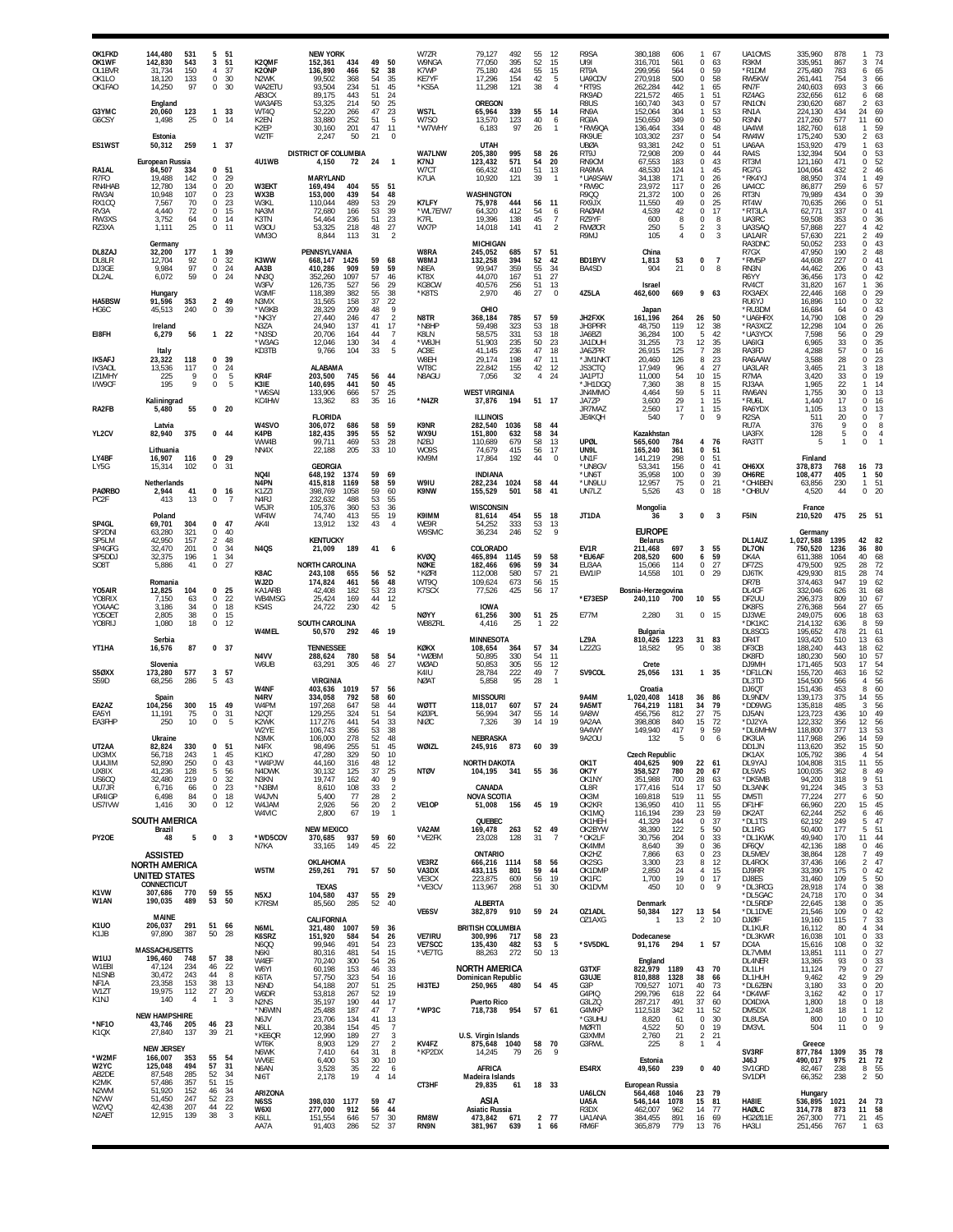| OK1FKD<br>OK1WF<br>OL1BVR<br>OK1LO<br>OK1FAO               | 144,480<br>142,830<br>31,734<br>18,120<br>14,250<br>England     | 531<br>543<br>150<br>133<br>97      | 5<br>3<br>$\overline{4}$<br>0<br>$\mathsf 0$ | 51<br>51<br>37<br>30<br>30       | K2QMF<br>K20NP<br>N2WK<br>WA2ETU<br>AB3CX<br>WA3AFS | <b>NEW YORK</b><br>152,361<br>136,890<br>99,502<br>93.504<br>89,175<br>53,325 | 434<br>466<br>368<br>234<br>443<br>214 | 49<br>52<br>54<br>51<br>51<br>50 | 50<br>38<br>35<br>45<br>24<br>25                   | W7ZR<br>W9NGA<br>K7WP<br>KE7YF<br>*KS5A   | 79,127<br>492<br>77,050<br>395<br>75,180<br>424<br>154<br>17,296<br>11,298<br>121<br><b>OREGON</b> | 55<br>52<br>55<br>42<br>38 | 12<br>15<br>15<br>$\overline{5}$<br>$\overline{4}$ | R9SA<br>UI91<br>RT9A<br>UA9CDV<br>*RT9S<br>RK9AD<br>R8US            | 380,188<br>316,701<br>299,956<br>270,918<br>262,284<br>221,572<br>160,740 | 606<br>561<br>564<br>500<br>442<br>465<br>343 | 1<br>$\Omega$<br>$\Omega$<br>$\Omega$<br>1<br>1<br>$\Omega$          | 67<br>63<br>59<br>58<br>65<br>51<br>57 | UA10MS<br>R3KM<br>*R1DM<br>RW5KW<br>RN7F<br>RZ4AG<br>RN1ON | 335,960<br>335,951<br>275,480<br>261,441<br>240,603<br>232,656<br>230,620 | 878<br>867<br>783<br>754<br>693<br>612<br>687 | 1<br>3<br>6<br>3<br>3<br>6<br>$\overline{2}$    | 73<br>74<br>65<br>66<br>66<br>68<br>63      |
|------------------------------------------------------------|-----------------------------------------------------------------|-------------------------------------|----------------------------------------------|----------------------------------|-----------------------------------------------------|-------------------------------------------------------------------------------|----------------------------------------|----------------------------------|----------------------------------------------------|-------------------------------------------|----------------------------------------------------------------------------------------------------|----------------------------|----------------------------------------------------|---------------------------------------------------------------------|---------------------------------------------------------------------------|-----------------------------------------------|----------------------------------------------------------------------|----------------------------------------|------------------------------------------------------------|---------------------------------------------------------------------------|-----------------------------------------------|-------------------------------------------------|---------------------------------------------|
| G3YMC<br>G6CSY                                             | 20,060<br>1,498<br>Estonia                                      | 123<br>25                           | 1<br>0                                       | 33<br>14                         | WT4Q<br>K2EN<br>K2EP<br>W2TF                        | 52,220<br>33,880<br>30,160<br>2.247                                           | 266<br>252<br>201<br>50                | 47<br>51<br>47<br>21             | 23<br>5<br>11<br>$\Omega$                          | WS7L<br>W7SO<br>*W7WHY                    | 65,964<br>339<br>13,570<br>123<br>6,183<br>97                                                      | 55<br>40<br>26             | 14<br>6<br>$\mathbf{1}$                            | RN9A<br>RG9A<br>*RW9QA<br><b>RK9UF</b>                              | 152,064<br>150,650<br>136,464<br>103,302                                  | 304<br>349<br>334<br>237                      | $\Omega$<br>$\Omega$<br>$\Omega$                                     | 53<br>50<br>48<br>54                   | RN1A<br>R3NN<br>UA4WI<br>RW4W                              | 224,130<br>217,260<br>182,760<br>175,240                                  | 434<br>577<br>618<br>530                      | 24<br>11<br>$\mathbf{1}$<br>$\overline{a}$      | 69<br>60<br>59<br>63                        |
| ES1WST                                                     | 50,312<br>European Russia                                       | 259<br>334                          | 1 37<br>$\mathbf{0}$                         | 51                               | 4U1WB                                               | <b>DISTRICT OF COLUMBIA</b><br>4,150                                          | 72                                     | 24                               | $\overline{1}$                                     | <b>WA7LNW</b><br>K7NJ<br>W7CT             | UTAH<br>205,380<br>995<br>123,432<br>571<br>410                                                    | 58<br>54<br>51             | 26<br>20                                           | <b>UBØA</b><br>RT9J<br>RN9CM                                        | 93,381<br>72,908<br>67,553                                                | 242<br>209<br>183<br>124                      | $\Omega$<br>$\Omega$<br>$\Omega$<br>1                                | 51<br>44<br>43<br>45                   | UA6AA<br>RA4S<br>RT3M                                      | 153,920<br>132,394<br>121,160                                             | 479<br>504<br>471<br>432                      | 1<br>$\bf 0$<br>0<br>2                          | 63<br>53<br>52<br>46                        |
| RA1AL<br>R7FO<br>RN4HAB<br>RW3AI<br>RX1CQ<br>RV3A<br>RW3XS | 84,507<br>19,488<br>12.780<br>10,948<br>7,567<br>4,440<br>3,752 | 142<br>134<br>107<br>70<br>72<br>64 | 0<br>0<br>0<br>0<br>$\mathsf 0$<br>0         | 29<br>20<br>23<br>23<br>15<br>14 | W3EKT<br>WX3B<br>W3KL<br>NA3M<br>K3TN               | <b>MARYLAND</b><br>169,494<br>153,000<br>110.044<br>72,680<br>54,464          | 404<br>439<br>489<br>166<br>236        | 55<br>54<br>53<br>53<br>51       | 51<br>48<br>29<br>39<br>23                         | K7UA<br>K7LFY<br>*WL7E/W7<br>K7FL         | 66,432<br>10,920<br>121<br>WASHINGTON<br>75,978<br>444<br>64,320<br>412<br>19,396<br>138           | 39<br>56<br>54<br>45       | 13<br>$\overline{1}$<br>11<br>6<br>$\overline{7}$  | RA9MA<br>*UA9SAW<br>*RW9C<br>R9QQ<br>RX9JX<br><b>RAØAM</b><br>RZ9YF | 48,530<br>34,138<br>23,972<br>21,372<br>11,550<br>4,539<br>600            | 171<br>117<br>100<br>49<br>42<br>8            | $\Omega$<br><sup>n</sup><br>$\Omega$<br>$\Omega$<br>$\mathbf 0$<br>0 | 26<br>26<br>26<br>25<br>17<br>8        | RG7G<br>*RK4YJ<br>UA4CC<br>RT3N<br>RT4W<br>*RT3LA<br>UA3RC | 104,064<br>88,950<br>86,877<br>79,989<br>70,635<br>62,771<br>59,508       | 374<br>259<br>434<br>266<br>337<br>353        | $\mathbf{1}$<br>6<br>0<br>0<br>$\mathbf 0$<br>0 | 49<br>57<br>39<br>51<br>41<br>36            |
| RZ3XA<br>DL8ZAJ<br>DL8LR                                   | 1,111<br>Germany<br>32,200<br>12.704                            | 25<br>177<br>92                     | $\bf 0$<br>1<br>0                            | 11<br>39<br>32                   | <b>W30U</b><br>WM30<br>K3WW                         | 53,325<br>8.844<br>PENNSYLVANIA<br>668,147                                    | 218<br>113<br>1426                     | 48<br>31<br>59                   | 27<br>-2<br>68                                     | WX7P<br>W8RA<br>W8MJ                      | 141<br>14,018<br><b>MICHIGAN</b><br>245,052<br>685<br>394<br>132,258                               | 41<br>57<br>52             | $\overline{2}$<br>51<br>42                         | <b>RWØCR</b><br>R9MJ<br><b>BD1BYV</b>                               | 250<br>105<br>China<br>1,813                                              | 5<br>4<br>53                                  | 2<br>$\Omega$<br>$\Omega$                                            | 3<br>3<br>$\overline{7}$               | UA3SAQ<br>UA1AIR<br>RA3DNC<br>R7GX<br>*RM5P                | 57,868<br>57,630<br>50,052<br>47,950<br>44.608                            | 227<br>221<br>233<br>190<br>227               | $\overline{4}$<br>2<br>$\bf 0$<br>2<br>$\bf 0$  | 42<br>49<br>43<br>48<br>41                  |
| DJ3GE<br>DL2AL                                             | 9,984<br>6,072<br>Hungary                                       | 97<br>59                            | 0<br>$\mathbf 0$                             | 24<br>24                         | AA3B<br>NN3Q<br>W3FV<br>W3MF                        | 410,286<br>352,260<br>126,735<br>118,389                                      | 909<br>1097<br>527<br>382              | 59<br>57<br>56<br>55             | 59<br>46<br>29<br>38                               | N8EA<br>KT8X<br>KG8CW<br>*K8TS            | 99,947<br>359<br>44,070<br>167<br>40,576<br>256<br>2,970<br>46                                     | 55<br>51<br>51<br>27       | 34<br>27<br>13<br>$\Omega$                         | BA4SD<br>4Z5LA                                                      | 904<br>Israel<br>462,600                                                  | 21<br>669                                     | $\Omega$                                                             | 8<br>963                               | RN3N<br>R6YY<br>RV4CT<br>RX3AEX                            | 44,462<br>36,456<br>31,820<br>22,446                                      | 206<br>173<br>167<br>168                      | 0<br>$\,0\,$<br>1<br>$\bf 0$                    | 43<br>42<br>36<br>29                        |
| <b>HA5BSW</b><br>HG6C                                      | 91,596<br>45,513                                                | 353<br>240                          | $\overline{2}$<br>$\Omega$                   | 49<br>39                         | N3MX<br>*W3KB<br>*NK3Y                              | 31,565<br>28,329<br>27,440                                                    | 158<br>209<br>246                      | 37<br>48<br>47                   | 22<br>-9<br>$\overline{2}$                         | N8TR                                      | OHIO<br>368,184<br>785                                                                             | 57                         | 59                                                 | JH2FXK                                                              | Japan<br>161,196                                                          | 264                                           | 26                                                                   | 50                                     | RU6YJ<br>*RU3DM<br>*UA6HRX                                 | 16,896<br>16,684<br>14,790                                                | 110<br>64<br>108                              | 0<br>0<br>0                                     | 32<br>43<br>29                              |
| EI8FH                                                      | Ireland<br>6,279<br>Italy                                       | 56                                  | $122$                                        |                                  | N3ZA<br>*N3SD<br>*W3AG<br>KD3TB                     | 24,940<br>20,706<br>12,046<br>9,766                                           | 137<br>164<br>130<br>104               | 41<br>44<br>34<br>33             | 17<br>$\overline{7}$<br>$\overline{4}$<br>5        | *N8HP<br>K8LN<br>HL8W*<br>AC8E            | 323<br>59,498<br>58.575<br>331<br>51,903<br>235<br>41.145<br>236                                   | 53<br>53<br>50<br>47       | 18<br>18<br>23<br>18                               | JH3PRR<br>JA6BZI<br>JA1DUH<br>JA6ZPR                                | 48,750<br>36,284<br>31,255<br>26,915                                      | 119<br>100<br>73<br>125                       | 12<br>5<br>12<br>$\overline{7}$                                      | 38<br>42<br>35<br>28                   | *RA3XCZ<br>*UA3YCX<br>UA6IGI<br>RA3FD                      | 12,298<br>7.598<br>6,965<br>4,288                                         | 104<br>56<br>33<br>57                         | 0<br>$\bf 0$<br>0<br>$\mathbf 0$                | 26<br>29<br>35<br>$\overline{16}$           |
| <b>IK5AFJ</b><br><b>IV3AOI</b><br>IZ1MHY<br>I/W9CF         | 23,322<br>13,536<br>225<br>195                                  | 118<br>117<br>9<br>9                | 0<br>0<br>0<br>$\mathbf 0$                   | 39<br>24<br>5<br>5               | KR4F<br>K3IE<br>*W6SAI<br>KC4HW                     | <b>ALABAMA</b><br>203,500<br>140,695<br>133,906<br>13,362                     | 745<br>441<br>666<br>83                | 56<br>50<br>57<br>35             | 44<br>45<br>25<br>16                               | W8EH<br>WT8C<br>N8AGU<br>*N4ZR            | 29,174<br>198<br>22,842<br>155<br>7,056<br>32<br><b>WEST VIRGINIA</b><br>37,876<br>194             | 47<br>42<br>4<br>51 17     | 11<br>12<br>24                                     | *JM1NK1<br>JS3CTQ<br>JA1PTJ<br>*JH1DGQ<br>JN4MMO<br>JA7ZP           | 20,460<br>17.949<br>11,000<br>7,360<br>4,464<br>3,600                     | 126<br>96<br>54<br>38<br>59<br>29             | 8<br>10<br>8<br>5<br>$\mathbf{1}$                                    | 23<br>27<br>15<br>15<br>11<br>15       | RA6AAW<br>UA3LAR<br>R7MA<br>RJ3AA<br>RW6AN<br>*RU6L        | 3,588<br>3,465<br>3,420<br>1.965<br>1,755<br>1,440                        | 28<br>21<br>33<br>22<br>30<br>17              | 0<br>3<br>0<br>1<br>0<br>0                      | 23<br>$18\,$<br>19<br>14<br>13<br>16        |
| RA2FB                                                      | Kaliningrad<br>5,480<br>Latvia                                  | 55                                  | 0 <sub>20</sub>                              |                                  | W4SVO                                               | <b>FLORIDA</b><br>306,072                                                     | 686                                    | 58                               | 59                                                 | K9NR                                      | <b>ILLINOIS</b><br>282,540<br>1036                                                                 | 58                         | 44                                                 | JR7MAZ<br>JE4KOH                                                    | 2,560<br>540                                                              | 17<br>-7                                      | 1<br>$\mathbf 0$                                                     | 15<br>9                                | RA6YDX<br>R <sub>2</sub> SA<br>RU7A                        | 1,105<br>511<br>376                                                       | 13<br>20<br>9                                 | 0<br>0<br>$\bf 0$                               | $\begin{array}{c} 13 \\ 7 \end{array}$<br>8 |
| YL2CV<br>LY4BF                                             | 82,940<br>Lithuania<br>16,907                                   | 375<br>116                          | $0\quad 44$<br>$\mathbf{0}$                  | 29                               | K4PB<br>WW4B<br>NN4X                                | 182,435<br>99,711<br>22,188                                                   | 395<br>469<br>205                      | 55<br>53<br>33                   | 52<br>28<br>10                                     | WX9U<br>N <sub>2</sub> BJ<br>W09S<br>KM9M | 151.800<br>632<br>110,689<br>679<br>74,679<br>415<br>17,864<br>192                                 | 58<br>58<br>56<br>44       | -34<br>13<br>17<br>$\mathbf{0}$                    | UPØL<br>UN9L<br>UN1F                                                | Kazakhstan<br>565,600<br>165,240<br>141,219                               | 784<br>361<br>298                             | 4<br>$\Omega$<br>$\Omega$                                            | 76<br>-51<br>51                        | UA3FX<br>RA3TT                                             | 128<br>Finland                                                            | 5<br>$\mathbf{1}$                             | 0<br>0                                          | 4                                           |
| LY5G                                                       | 15,314<br>Netherlands                                           | 102                                 | 0                                            | 31                               | <b>NO41</b><br>N4PN                                 | <b>GEORGIA</b><br>648,192<br>415,818                                          | 1374<br>1169                           | 59<br>58                         | 69<br>59                                           | W9IU                                      | <b>INDIANA</b><br>282,234<br>1024                                                                  | 58                         | 44                                                 | *UN8GV<br>*UN6T<br>*UN9LU                                           | 53,341<br>35,958<br>12,957                                                | 156<br>100<br>75                              | 0<br>$\Omega$<br>0                                                   | 41<br>39<br>21                         | OH6XX<br>OH6RE<br>*OH4BEN                                  | 378,873<br>108,477<br>63,856                                              | 768<br>405<br>230                             | 16<br>$\mathbf{1}$<br>$\mathbf{1}$              | 73<br>50<br>51                              |
| <b>PAØRBO</b><br>PC2F                                      | 2,944<br>413<br>Poland                                          | 41<br>13                            | $0$ 16<br>0                                  | 7                                | K1771<br>N <sub>4</sub> RJ<br>W5JR<br>WF4W          | 398,769<br>232,632<br>105,376<br>74,740                                       | 1058<br>488<br>360<br>413              | 59<br>53<br>53<br>55             | 60<br>55<br>36<br>19                               | K9NW<br>K9IMM                             | 155,529<br>501<br><b>WISCONSIN</b><br>81,614<br>454                                                | 58                         | 41<br>55 18                                        | UN7LZ<br>JT1DA                                                      | 5,526<br>Mongolia<br>36                                                   | 43<br>3                                       | $\mathbf 0$<br>0                                                     | 18<br>$\overline{\mathbf{3}}$          | *OH8UV<br>F5IN                                             | 4,520<br>France<br>210,520                                                | 44<br>475                                     | $\mathbf 0$<br>25 51                            | 20                                          |
| SP4GL<br>SP <sub>2</sub> DNI<br>SP5LM                      | 69,701<br>63,280<br>42,950                                      | 304<br>321<br>157                   | $\mathbf{0}$<br>0<br>$\overline{2}$          | -47<br>40<br>48                  | AK41                                                | 13,912<br><b>KENTUCKY</b>                                                     | 132                                    | 43                               | $\overline{4}$                                     | WF9R<br>W9SMC                             | 54,252<br>333<br>36,234<br>246                                                                     | 53<br>52                   | 13<br>9                                            |                                                                     | <b>EUROPE</b><br><b>Belarus</b>                                           |                                               |                                                                      |                                        | DL1AUZ                                                     | Germany<br>1,027,588                                                      | 1395                                          | 42 82                                           |                                             |
| SP4GFG<br>SP5DDJ<br>SO <sub>8</sub> T                      | 32,470<br>32,375<br>5,886                                       | 201<br>196<br>41                    | $\bf 0$<br>$\mathbf{1}$<br>$\bf 0$           | 34<br>34<br>27                   | <b>N4QS</b><br>K8AC                                 | 21,009<br><b>NORTH CAROLINA</b><br>243,108                                    | 189<br>655                             | 41<br>56                         | 6<br>52                                            | <b>KVØQ</b><br>NØKE<br>*KØRI              | COLORADO<br>465,894<br>1145<br>182,466<br>696<br>580<br>112,008                                    | 59<br>59<br>57             | 58<br>34<br>21                                     | EV1R<br>*EU6AF<br>EU3AA<br>EW1IP                                    | 211,468<br>208,520<br>15,066<br>14,558                                    | 697<br>600<br>114<br>101                      | 3<br>6<br>0<br>$^{\circ}$                                            | 55<br>59<br>27<br>29                   | DL70N<br>DK4A<br>DF7ZS<br>DJ6TK                            | 750,520<br>611.388<br>479,500<br>429,930                                  | 1236<br>1064<br>925<br>815                    | 36<br>40<br>28<br>28                            | 80<br>68<br>$\frac{72}{74}$                 |
| Y05AIR<br>Y08RIX                                           | Romania<br>12,825<br>7,150                                      | 104<br>63                           | 0<br>$\mathbf 0$                             | 25<br>22                         | WJ2D<br>KA1ARB<br>WB4MSG                            | 174,824<br>42,408<br>25,424                                                   | 461<br>182<br>169                      | 56<br>53<br>44                   | 48<br>23<br>12                                     | WT9Q<br>K7SCX                             | 109,624<br>673<br>77,526<br>425                                                                    | 56<br>56                   | 15<br>17                                           | *E73ESP                                                             | Bosnia-Herzegovina<br>240,110                                             | 700                                           | 10 55                                                                |                                        | DR7B<br>DL4CF<br>DF2UU                                     | 374,463<br>332,046<br>296,373                                             | 947<br>626<br>809                             | 19<br>31<br>10                                  | 62<br>68<br>67                              |
| YO4AAC<br>YO5OET<br>Y08RIJ                                 | 3,186<br>2.805<br>1,080                                         | 34<br>38<br>18                      | 0<br>$\mathsf 0$<br>0                        | 18<br>15<br>12                   | KS4S<br><b>W4MEL</b>                                | 24,722<br>SOUTH CAROLINA<br>50,570                                            | 230<br>292                             | 42<br>46 19                      | -5                                                 | <b>NØYY</b><br>WB8ZRL                     | <b>IOWA</b><br>300<br>61,256<br>4,416<br>25                                                        | $\mathbf{1}$               | 51 25<br>22                                        | <b>E77M</b>                                                         | 2,280<br><b>Bulgaria</b>                                                  | 31                                            | $\Omega$                                                             | - 15                                   | DK8FS<br>DJ3WE<br>*DK1KC<br>DL8SCG                         | 276,368<br>249,075<br>214,132<br>195,652                                  | 564<br>606<br>636<br>478                      | 27<br>18<br>8<br>21                             | 65<br>63<br>59<br>61                        |
| YT1HA                                                      | Serbia<br>16,576<br>Slovenia                                    | 87<br>577                           | 0, 37                                        |                                  | N4VV<br>W6UB                                        | <b>TENNESSEE</b><br>288,624<br>63,291                                         | 780<br>305                             | 58<br>46                         | 54<br>27                                           | KØKX<br>*WØBM<br>WØAD                     | MINNESOTA<br>108,654<br>364<br>50,895<br>330<br>305<br>50,853                                      | 57<br>54<br>55             | 34<br>11<br>12                                     | LZ9A<br>LZ2ZG                                                       | 810,426<br>18,582<br>Crete                                                | 1223<br>95                                    | 31<br>$\Omega$                                                       | 83<br>-38                              | DR4T<br>DF3CB<br>DK8FD<br>DJ9MH                            | 193,420<br>188,240<br>180,230<br>171,465                                  | 510<br>443<br>560<br>503                      | 13<br>18<br>10<br>17                            | 63<br>62<br>57<br>$\frac{54}{3}$            |
| S5ØXX<br>S59D                                              | 173,280<br>68,256                                               | 286                                 | 3<br>5                                       | 57<br>43                         | W4NF                                                | <b>VIRGINIA</b><br>403,636                                                    | 1019                                   | 57                               | 56                                                 | K4IU<br><b>NØAT</b>                       | 28,784<br>222<br>5,858<br>95                                                                       | 49<br>28                   | $\overline{7}$<br>$\mathbf{1}$                     | SV9COL                                                              | 25,056<br>Croatia                                                         | 131                                           | 1 35                                                                 |                                        | *DF1LON<br>DL3TD<br>DJ6QT                                  | 155,720<br>154,500<br>151,436                                             | 463<br>566<br>453                             | 16<br>4<br>8                                    | $\frac{52}{56}$<br>60                       |
| <b>FA2A7</b><br>EA5YI<br>EA3FHP                            | Spain<br>104.256<br>11.191<br>250                               | 300<br>75<br>10                     | 15<br>0<br>$\bf 0$                           | 49<br>31<br>5                    | N4RV<br>W4PM<br>N <sub>2</sub> QT<br>K2WK<br>W2YE   | 334,058<br>197,268<br>129,255<br>117,276<br>106,743                           | 792<br>647<br>324<br>441<br>356        | 58<br>58<br>51<br>54<br>53       | 60<br>44<br>54<br>33<br>38                         | <b>WØTT</b><br>KØJPL<br>NIØC              | <b>MISSOURI</b><br>118.017<br>607<br>56,994<br>347<br>39<br>7,326                                  | 57<br>55<br>14             | 24<br>14<br>19                                     | <b>9A4M</b><br>9A5MT<br>9A8W<br>9A2AA<br>9A4WY                      | 1,020,408<br>764,219<br>456.756<br>398,808<br>149,940                     | 1418<br>1181<br>812<br>840<br>417             | 36<br>34<br>27<br>15<br>9                                            | -86<br>79<br>75<br>72<br>59            | DL9NDV<br>*DD9WG<br>DJ5AN<br>*DJ2YA<br>*DL6MHW             | 139,173<br>135,818<br>123,723<br>122,332<br>118,800                       | 375<br>485<br>436<br>356<br>377               | 14<br>3<br>10<br>12<br>13                       | 55<br>56<br>49<br>56<br>53                  |
| UT2AA<br>UX3MX                                             | Ukraine<br>82,824<br>56,718                                     | 330<br>243                          | 0<br>-1                                      | 51<br>45                         | N3MK<br>N4FX<br>K1KO                                | 106,000<br>98,496<br>47,280                                                   | 278<br>255<br>329                      | 52<br>51<br>50                   | 48<br>45<br>10                                     | WØIZL                                     | NEBRASKA<br>245,916<br>873                                                                         |                            | 60 39                                              | 9A20U                                                               | 132<br><b>Czech Republic</b>                                              | 5                                             | $\Omega$                                                             | 6                                      | DK3UA<br>DD1JN<br>DK1AX                                    | 117,968<br>113,620<br>105,792                                             | 296<br>352<br>386                             | 14<br>15<br>$\overline{4}$                      | 59<br>50                                    |
| UU4JIM<br>UX8IX<br>US6CQ                                   | 52,890<br>41,236<br>32,480                                      | 250<br>128<br>219                   | 0<br>5<br>$\mathsf 0$                        | 43<br>56<br>32                   | *W4PJW<br>N4DWK<br>N3KN                             | 44,160<br>30,132<br>19,747                                                    | 316<br>125<br>162                      | 48<br>37<br>40                   | 12<br>25<br>9                                      | <b>NTØV</b>                               | <b>NORTH DAKOTA</b><br>104,195 341                                                                 | 55 36                      |                                                    | OK1T<br>OK7Y<br>OK1NY                                               | 404,625<br>358,527<br>351,988                                             | 909<br>780<br>700                             | 22<br>20<br>28                                                       | 61<br>67<br>63                         | DL9YAJ<br>DL5WS<br>*DK5MB                                  | 104,808<br>100,035<br>94,200                                              | 315<br>362<br>318                             | 11<br>8<br>9                                    | $\frac{54}{55}$<br>49<br>51                 |
| UU7JR<br>UR4IGP<br>US7IVW                                  | 6,716<br>6,498<br>1,416                                         | 66<br>84<br>30                      | 0<br>0<br>$0$ 12                             | 23<br>18                         | *N3BM<br>W4JVN<br>W4JAM                             | 8,610<br>5,400<br>2,926                                                       | 108<br>77<br>56                        | 33<br>28<br>20                   | $\overline{2}$<br>$\overline{2}$<br>$\overline{2}$ | VE1OP                                     | CANADA<br><b>NOVA SCOTIA</b><br>51,008<br>156                                                      |                            | 45 19                                              | OL8R<br>OK3M<br>OK2KR                                               | 177,416<br>169,818<br>136,950                                             | 514<br>519<br>410                             | 17<br>11<br>11                                                       | 50<br>55<br>55                         | DL3ANK<br>DM5TI<br>DF1HF                                   | 91,224<br>77,224<br>66,960                                                | 345<br>277<br>220                             | $\mathbf{3}$<br>6<br>15                         | 53<br>50<br>45                              |
|                                                            | SOUTH AMERICA<br>Brazil                                         |                                     |                                              |                                  | W4VIC                                               | 2,800<br><b>NEW MEXICO</b>                                                    | 67                                     | 19                               | $\mathbf{1}$                                       | VA2AM                                     | QUEBEC<br>263<br>169,478                                                                           | 52 49                      |                                                    | OK1MQ<br>OK1HEH<br>OK2BYW                                           | 116,194<br>41,329<br>38,390                                               | 239<br>244<br>122                             | 23<br>$\Omega$<br>5                                                  | 59<br>37<br>50                         | DK2AT<br>*DL1TS<br>DL1RG                                   | 62,244<br>62,192<br>50,400                                                | 252<br>249<br>177                             | 6<br>5<br>5                                     | 46<br>47<br>51                              |
| PY20E                                                      | 48<br><b>ASSISTED</b><br>NORTH AMERICA                          | 5                                   | 0                                            | 3                                | *WD5COV<br>N7KA                                     | 370,685<br>33,165<br>OKLAHOMA                                                 | 937<br>149                             | 59<br>45                         | 60<br>22                                           | *VE2FK<br>VE3RZ                           | 23,028<br>128<br>ONTARIO<br>666,216 1114                                                           | 31<br>58                   | $\overline{7}$<br>56                               | *OK2LF<br>OK4MM<br>OK2HZ<br>OK2SG                                   | 30,756<br>8,640<br>7,866<br>3,300                                         | 204<br>39<br>63<br>23                         | 0<br>$\Omega$<br>0<br>8                                              | 33<br>36<br>23<br>12                   | *DL1KWK<br>DF6QV<br>DL5MEV<br>DL4RCK                       | 49,940<br>42,136<br>38,864<br>37,436                                      | 170<br>188<br>128<br>166                      | 11<br>0<br>7<br>$\overline{2}$                  | 44<br>$\frac{46}{9}$<br>49<br>$^{47}_{42}$  |
|                                                            | UNITED STATES<br>CONNECTICUT                                    |                                     |                                              |                                  | W5TM                                                | 259,261<br><b>TEXAS</b>                                                       | 791                                    | 57 50                            |                                                    | VA3DX<br>VE3CX<br>*VE3CV                  | 433,115<br>801<br>223,875<br>609<br>113,967<br>268                                                 | 59<br>56<br>51             | 44<br>19<br>30                                     | OK1DMP<br>OK1FC<br>OK1DVM                                           | 2,850<br>1,700<br>450                                                     | 24<br>19<br>10                                | 4<br>$\mathbf 0$<br>0                                                | 15<br>17<br>9                          | DJ9RR<br>DJ8ES<br>*DL3RCG                                  | 33,390<br>31,460<br>28,918                                                | 175<br>109<br>174                             | 0<br>5<br>0                                     | 50<br>38                                    |
| K <sub>1</sub> VW<br>W1AN                                  | 307,686<br>190,035<br>MAINE                                     | 770<br>489                          | 59<br>53                                     | 55<br>50                         | N5XJ<br>K7RSM                                       | 104,580<br>85,560<br>CALIFORNIA                                               | 437<br>285                             | 55<br>52                         | 29<br>40                                           | VE6SV                                     | ALBERTA<br>910<br>382,879                                                                          | 59 24                      |                                                    | OZ1ADL<br>OZ1AXG                                                    | Denmark<br>50,384<br>1                                                    | 127<br>13                                     | 13 54<br>$\overline{2}$                                              | 10                                     | *DL5GAC<br>*DL5RDP<br>*DL1DVE<br><b>DJØIF</b>              | 24,718<br>22,645<br>21,546<br>19,160                                      | 170<br>138<br>109<br>115                      | 0<br>0<br>0<br>$\overline{7}$                   | 34<br>35<br>42<br>33                        |
| K <sub>1</sub> U <sub>O</sub><br>K1JB                      | 206,037<br>97,890<br><b>MASSACHUSETTS</b>                       | 291<br>387                          | 51<br>50                                     | 66<br>28                         | N6ML<br>K6SRZ<br>N6QQ<br>N6KI                       | 321,480<br>151,920<br>99,946<br>80,316                                        | 1007<br>584<br>491<br>481              | 59<br>54<br>54<br>54             | 36<br>26<br>23<br>15                               | <b>VE7IRU</b><br><b>VE7SCC</b><br>*VE7TG  | <b>BRITISH COLUMBIA</b><br>300,996<br>717<br>135,430<br>482<br>272<br>88,263                       | 53<br>50 13                | 58 23<br>- 5                                       | *SV5DKL                                                             | Dodecanese<br>91,176                                                      | 294                                           | 1 57                                                                 |                                        | DL1KUR<br>*DL3KWR<br>DC4A<br>DL7VMM                        | 16,112<br>16,038<br>15,616<br>13,851                                      | -80<br>101<br>108<br>111                      | 4<br>0<br>0<br>$\mathbf 0$                      | 34<br>33<br>32<br>27                        |
| W1UJ<br>W1EBI<br>N1SNB<br>NF <sub>1</sub> A                | 196,460<br>47,124<br>30,472<br>23,358                           | 748<br>234<br>243<br>153            | 57<br>46<br>44<br>38                         | 38<br>22<br>8<br>13              | W4EF<br>W6YI<br>K6TA<br>N6ND                        | 70,240<br>60,198<br>57,750<br>54,188                                          | 300<br>153<br>323<br>207               | 54<br>46<br>54<br>51             | 26<br>33<br>16<br>25                               | HI3TEJ                                    | <b>NORTH AMERICA</b><br>Dominican Republic<br>250,965<br>480                                       | 54 45                      |                                                    | G3TXF<br>G3UJE<br>G3P                                               | England<br>822,979<br>810,888<br>709,527                                  | 1189<br>1328<br>1071                          | 43<br>38<br>40                                                       | 70<br>66<br>73                         | DL4NER<br>DL1LH<br>DL1HUH<br>*DL6ZBN                       | 13,365<br>11,124<br>9,462<br>3,180                                        | 93<br>79<br>42<br>33                          | 0<br>$\bf 0$<br>9<br>$\mathbf 0$                | 33<br>27<br>29<br>$20\,$                    |
| W1ZT<br>K1NJ                                               | 19,975<br>140                                                   | 112<br>$\overline{4}$               | 27<br>$\overline{1}$                         | 20<br>3                          | W6DR<br>N <sub>2</sub> N <sub>S</sub><br>*N6WIN     | 53,818<br>35,197<br>25,488                                                    | 267<br>190<br>187                      | 52<br>44<br>47                   | 19<br>17<br>$\overline{7}$                         | *WP3C                                     | <b>Puerto Rico</b><br>718,738<br>954                                                               | 57 61                      |                                                    | G4PIQ<br>G3LZQ<br>G4MKP                                             | 299,796<br>287,217<br>112,518                                             | 618<br>491<br>342                             | 22<br>37<br>11                                                       | 64<br>60<br>52                         | *DK4WF<br>DO4DXA<br>DM5DX                                  | 3,162<br>1,800<br>1,248                                                   | 42<br>18<br>18                                | 0<br>$\mathbf 0$<br>$\mathbf{1}$                | 17<br>18<br>12                              |
| *NF10<br>K1QX                                              | <b>NEW HAMPSHIRE</b><br>43,746<br>27,840                        | 205<br>137                          | 46 23<br>39                                  | 21                               | N6JV<br>N6LL<br>*KE6QR<br>WT6K                      | 23,706<br>20,384<br>12,990<br>8,903                                           | 134<br>154<br>189<br>129               | 41<br>45<br>27<br>27             | 13<br>$\overline{7}$<br>3<br>$\overline{2}$        | KV4FZ                                     | U.S. Virgin Islands<br>875,648 1040                                                                | 58 70                      |                                                    | *G3UHU<br><b>MØRTI</b><br>G3XMM<br>G3RWL                            | 8,820<br>4,522<br>2,760<br>225                                            | 61<br>50<br>21<br>8                           | $\mathbb O$<br>$\mathbb O$<br>2<br>$\mathbf{1}$                      | 30<br>19<br>21<br>$\overline{4}$       | DL8USA<br>DM3VL                                            | 800<br>504<br>Greece                                                      | 10<br>11                                      | 0<br>0                                          | 10<br>9                                     |
| *W2MF<br>W2YC                                              | <b>NEW JERSEY</b><br>166,007<br>125,048                         | 353<br>494                          | 55<br>57                                     | 54<br>31                         | N6WK<br>WV6E<br>N6AN                                | 7,410<br>6,400<br>3,528                                                       | 64<br>53<br>35                         | 31<br>30<br>22                   | 8<br>10<br>6                                       | *KP2DX                                    | 14,245<br>79<br>AFRICA                                                                             | 26                         | - 9                                                | ES4RX                                                               | Estonia<br>49,560                                                         | 239                                           |                                                                      | $0$ 40                                 | SV3RF<br>J46J<br>SV1GRD                                    | 877,784<br>490,017<br>82,467                                              | 1309<br>975<br>238                            | 35<br>21<br>8                                   | 78<br>72<br>55                              |
| AB2DE<br>K <sub>2</sub> MK<br>N2WM                         | 87,548<br>57,486<br>51,920                                      | 285<br>357<br>152                   | 52<br>51<br>46                               | 34<br>15<br>34                   | NI6T<br><b>ARIZONA</b>                              | 2,178                                                                         | 19                                     | $\overline{4}$                   | 14                                                 | CT3HF                                     | Madeira Islands<br>29,835<br>61                                                                    |                            | 18 33                                              | UA6LCN                                                              | European Russia<br>564,468                                                | 1046                                          | 23                                                                   | - 79                                   | SV1DPI                                                     | 66,352<br>Hungary                                                         | 238                                           | $\overline{2}$                                  | 50                                          |
| N2VW<br>W2VQ<br>N <sub>2</sub> AET                         | 51,450<br>42,438<br>12,915                                      | 247<br>207<br>139                   | 52<br>44<br>38                               | 23<br>22<br>3                    | N6SS<br>W6XI<br>K6LL<br>AA7A                        | 398,030<br>277,000<br>151,554<br>91,403                                       | 1177<br>912<br>646<br>286              | 59<br>56<br>57<br>52             | 47<br>44<br>30<br>37                               | RM8W<br>RN9N                              | ASIA<br><b>Asiatic Russia</b><br>473,842<br>671<br>381,967<br>639                                  |                            | 2 77<br>1 66                                       | UA5A<br>R3DX<br>UA1ANA<br>RM <sub>6</sub> F                         | 546,144<br>462,007<br>384,455<br>365,879                                  | 1078<br>962<br>891<br>779                     | 15<br>14<br>16<br>13                                                 | 81<br>77<br>69<br>76                   | HA8IE<br>HAØLC<br><b>HG2Ø11E</b><br>HA3LI                  | 536,895<br>314,778<br>267,300<br>251,456                                  | 1021<br>873<br>771<br>767                     | 24<br>11<br>21                                  | 73<br>58<br>45<br>1 63                      |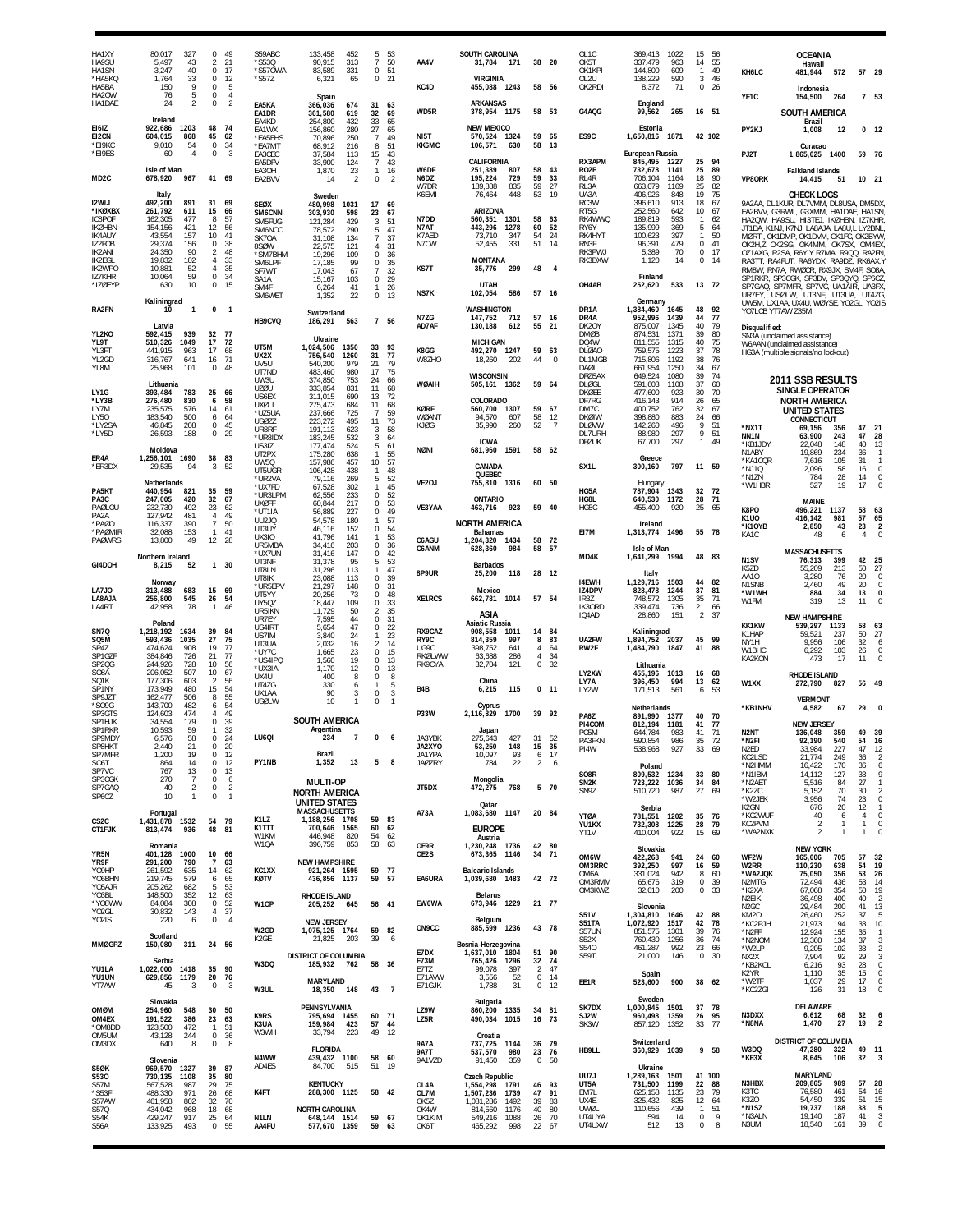| HA1XY<br>HA9SU<br>HA1SN                          | 80,017<br>327<br>5,497<br>43<br>40<br>3,247        | 0<br>$\overline{2}$<br>0                         | 49<br>21<br>17             | S59ABC<br>*S530<br>*S570WA           | 133,458<br>90,915<br>83,589                             | 452<br>$\overline{7}$<br>313<br>331                                  | 5<br>- 53<br>50<br>51<br>$\boldsymbol{0}$ | AA4V                       | SOUTH CAROLINA<br>31,784 171                          | 38                                              | - 20                 | OL <sub>1</sub> C<br>OK5T<br>OK1KPI   | 369,413<br>337,479<br>144,800           | 1022<br>963<br>609   | 15<br>14<br>$\overline{1}$        | 56<br>55<br>49 | KH6LC                                           | <b>OCEANIA</b><br>Hawaii<br>481,944                                                                                                                         | 572                | 57 29                                   |                                                 |
|--------------------------------------------------|----------------------------------------------------|--------------------------------------------------|----------------------------|--------------------------------------|---------------------------------------------------------|----------------------------------------------------------------------|-------------------------------------------|----------------------------|-------------------------------------------------------|-------------------------------------------------|----------------------|---------------------------------------|-----------------------------------------|----------------------|-----------------------------------|----------------|-------------------------------------------------|-------------------------------------------------------------------------------------------------------------------------------------------------------------|--------------------|-----------------------------------------|-------------------------------------------------|
| *HA5KQ<br>HA5BA<br>HA2QW                         | 33<br>1,764<br>150<br>9<br>5<br>76                 | 0<br>0<br>$\mathbb O$                            | 12<br>5<br>$\overline{4}$  | $*$ S57Z                             | 6,321<br>Spain                                          | 65                                                                   | $\mathbf 0$<br>21                         | KC4D                       | <b>VIRGINIA</b><br>455,088 1243                       | 58 56                                           |                      | OL2U<br>OK2RDI                        | 138,229<br>8,372                        | 590<br>71            | 3<br>$\mathbf 0$                  | 46<br>26       | YE1C                                            | Indonesia<br>154,500                                                                                                                                        | 264                |                                         | 7 53                                            |
| HA1DAE<br><b>FI617</b>                           | 24<br>$\overline{2}$<br>Ireland<br>1203            | $\mathbf 0$<br>48                                | $\overline{2}$<br>74       | EA5KA<br>EA1DR<br>EA4KD              | 366,036<br>361,580<br>254.800                           | 31<br>674<br>619<br>32<br>33<br>432                                  | 63<br>69<br>65                            | WD5R                       | ARKANSAS<br>378,954 1175<br><b>NEW MEXICO</b>         | 58 53                                           |                      | G4AQG                                 | England<br>99,562                       | 265                  | 16 51                             |                |                                                 | <b>SOUTH AMERICA</b><br><b>Brazil</b>                                                                                                                       |                    |                                         |                                                 |
| EI2CN<br>*EI9KC                                  | 922,686<br>604,015<br>868<br>9.010<br>54           | 45<br>$\mathbb O$                                | 62<br>34                   | EA1WX<br>*EA5EHS<br>*EA7MT           | 156,860<br>70,896<br>68,912                             | 280<br>27<br>250<br>-7<br>216<br>8                                   | 65<br>49<br>51                            | NI5T<br>KK6MC              | 570,524 1324<br>106,571<br>630                        | 59<br>58                                        | 65<br>13             | ES9C                                  | Estonia<br>1,650,816                    | 1871                 |                                   | 42 102         | PY2KJ                                           | 1,008<br>Curacao                                                                                                                                            | 12                 |                                         | 0 <sub>12</sub>                                 |
| *EI9ES                                           | 60<br>$\overline{4}$                               | $\mathbf 0$                                      | 3                          | FA3CFC<br>EA5DFV                     | 37,584<br>33,900                                        | 15<br>113<br>$\overline{7}$<br>124                                   | 43<br>43                                  | W6DF                       | CALIFORNIA                                            | 58                                              | 43                   | RX3APM                                | European Russia<br>845,495              | 1227                 | 25<br>25                          | 94<br>89       | PJ2T                                            | 1,865,025 1400                                                                                                                                              |                    | 59 76                                   |                                                 |
| MD <sub>2</sub> C                                | Isle of Man<br>967<br>678,920                      | 41 69                                            |                            | EA3OH<br>EA2BVV                      | 1,870<br>14                                             | 23<br>$\mathbf{1}$<br>2<br>0                                         | 16<br>$\mathcal{P}$                       | N6DZ<br>W7DR               | 251,389<br>807<br>729<br>195,224<br>189,888<br>835    | 59<br>59                                        | 33<br>27             | RO2E<br>RL <sub>4</sub> R<br>RL3A     | 732,678<br>706,104<br>663,079           | 1141<br>1164<br>1169 | 18<br>25                          | 90<br>82       | <b>VP8ORK</b>                                   | <b>Falkland Islands</b><br>14,415                                                                                                                           | 51                 | 10 21                                   |                                                 |
| <b>I2WIJ</b><br>*IKØXBX                          | Italy<br>492,200<br>891<br>261,792<br>611          | 31<br>15                                         | 69<br>66                   | <b>SEØX</b>                          | Sweden<br>480,998<br>1031                               | 17<br>598                                                            | - 69                                      | K6EMI                      | 448<br>76,464<br>ARIZONA                              | 53                                              | 19                   | UA3A<br>RC3W<br>RT5G                  | 406,926<br>396,610<br>252,560           | 848<br>913<br>642    | 19<br>18<br>10                    | 75<br>67<br>67 |                                                 | <b>CHECK LOGS</b><br>9A2AA, DL1KUR, DL7VMM, DL8USA, DM5DX<br>EA2BVV. G3RWL. G3XMM. HA1DAE. HA1SN                                                            |                    |                                         |                                                 |
| <b>IC8POF</b><br><b>IKØHBN</b>                   | 162,305<br>477<br>154,156<br>421                   | 8<br>12                                          | 57<br>56                   | SM6CNN<br>SM5FUG<br>SM6NOC           | 303,930<br>121,284<br>78,572                            | 23<br>429<br>3<br>290<br>5                                           | 67<br>51<br>47                            | N7DD<br>N7AT               | 560,351<br>1301<br>443,296<br>1278                    | 58<br>60                                        | 63<br>52             | RK4WWQ<br>RY6Y                        | 189,819<br>135,999                      | 593<br>369           | $\overline{1}$<br>5               | 62<br>64       |                                                 | HA2QW, HA9SU, HI3TEJ, IKØHBN,<br>JT1DA, K1NJ, K7NJ, LA8AJA, LA8U.L LY2BNL                                                                                   |                    | IZ7KHR                                  |                                                 |
| IK4AUY<br>IZ2FOB<br><b>IK2ANI</b>                | 43,554<br>157<br>29,374<br>156<br>90<br>24.350     | 10<br>0<br>$\overline{2}$                        | 41<br>38<br>48             | SK70A<br>8SØW<br>*SM7BHM             | 31,108<br>22,575<br>19,296                              | $\overline{7}$<br>134<br>121<br>4<br>$\mathbf 0$<br>109              | 37<br>31<br>36                            | K7AFD<br>N7CW              | 73,710<br>347<br>52,455<br>331                        | 54<br>51                                        | 24<br>14             | RK4HYT<br>RN3F<br>RK3PWJ              | 100,623<br>96,391<br>5,389              | 397<br>479<br>70     | $\mathbf{1}$<br>0<br>$\mathbf{0}$ | 50<br>41<br>17 |                                                 | MØRTI, OK1DMP, OK1DVM, OK1FC, OK2BYW<br>OK2H,Z OK2SG, OK4MM, OK7SX, OM4EX<br>OZ1AXG, R2SA, R6Y.Y R7MA, R9QQ, RA2FN                                          |                    |                                         |                                                 |
| <b>IK2EGL</b><br>IK2WPO                          | 19,832<br>102<br>10,881<br>52                      | 4<br>$\overline{4}$                              | 33<br>35                   | SM6LPF<br>SF7WT                      | 17,185<br>17.043                                        | 99<br>0<br>67<br>7                                                   | 35<br>32                                  | KS7T                       | <b>MONTANA</b><br>299<br>35,776                       | 48                                              | $\overline{4}$       | RK3DXW                                | 1,120                                   | 14                   | 0                                 | 14             |                                                 | RA3TT, RA4FUT, RA6YDX, RA9DZ, RK6AX,\<br>RM8W, RN7A, RWØCR, RX9JX, SM4F, SO8A                                                                               |                    |                                         |                                                 |
| IZ7KHR<br>*IZØEYP                                | 59<br>10,064<br>10<br>630<br>Kaliningrad           | $\mathbb O$<br>0                                 | 34<br>15                   | SA1A<br>SM4F<br>SM6WET               | 15,167<br>6,264<br>1,352                                | 103<br>0<br>41<br>$\mathbf{1}$<br>22<br>$\bf 0$                      | 29<br>26<br>13                            | <b>NS7K</b>                | <b>UTAH</b><br>102,054<br>586                         | 57 16                                           |                      | OH4AB                                 | Finland<br>252,620<br>Germany           | 533                  |                                   | 13 72          |                                                 | SP1RKR, SP3CGK, SP3DV, SP3QYQ, SP6CZ<br>SP7GAQ, SP7MFR, SP7VC, UA1AIR, UA3FX<br>UR7EY, USØLW, UT3NF, UT3UA, UT4ZG<br>UW5M, UX1AA, UX4U, WØYSE, YO2GL, YO2IS |                    |                                         |                                                 |
| <b>RA2FN</b>                                     | 10<br>$\mathbf{1}$                                 | $\bf{0}$                                         | $\mathbf{1}$               | HB9CVQ                               | Switzerland<br>186,291                                  | 563                                                                  | 7 56                                      | N7ZG                       | WASHINGTON<br>712<br>147,752                          | 57                                              | - 16                 | DR <sub>1</sub> A<br>DR4A             | 1,384,460<br>952,996                    | 1645<br>1439         | 48<br>44                          | 92<br>$77\,$   | YO7LCB YT7AW Z35M                               |                                                                                                                                                             |                    |                                         |                                                 |
| YL2KO<br>YL9T                                    | Latvia<br>592,415<br>939<br>1049<br>510,326        | 32<br>17                                         | - 77<br>72                 |                                      | Ukraine                                                 |                                                                      |                                           | AD7AF                      | 130,188<br>612<br><b>MICHIGAN</b>                     | 55                                              | 21                   | DK20Y<br><b>DMØB</b><br>DQ4W          | 875,007<br>874,531<br>811,555           | 1345<br>1371<br>1315 | 40<br>39<br>40                    | 79<br>80<br>75 | Disqualified:                                   | SN3A (unclaimed assistance)<br>W6AAN (unclaimed assistance)                                                                                                 |                    |                                         |                                                 |
| YL3FT<br>YL2GD                                   | 441,915<br>963<br>316,767<br>641                   | 17<br>16                                         | 68<br>71                   | UT5M<br>UX2X<br>UV <sub>5U</sub>     | 1.024.506<br>1350<br>1260<br>756,540<br>540,200         | 33<br>31<br>21<br>979                                                | 93<br>77<br>79                            | K8GG<br>W8ZHO              | 492,270 1247<br>202<br>18.260                         | 59<br>44                                        | 63<br>$\Omega$       | <b>DLØAO</b><br>DL1MGB                | 759,575<br>715,806                      | 1223<br>1192         | 37<br>38                          | 78<br>76       |                                                 | HG3A (multiple signals/no lockout)                                                                                                                          |                    |                                         |                                                 |
| YL8M                                             | 25,968<br>101<br>Lithuania                         | 0                                                | 48                         | UT7ND<br>UW3U                        | 483,460<br>374,850                                      | 980<br>17<br>753<br>24                                               | 75<br>66                                  | WØAIH                      | <b>WISCONSIN</b><br>505,161 1362                      | 59                                              | 64                   | DAØI<br><b>DFØSAX</b><br><b>DLØGL</b> | 661,954<br>649,524<br>591,603           | 1250<br>1080<br>1108 | 34<br>39<br>37                    | 67<br>74<br>60 |                                                 | 2011 SSB RESULTS                                                                                                                                            |                    |                                         |                                                 |
| LY1G<br>*LY3B                                    | 783<br>393,484<br>276,480<br>830                   | 25<br>6<br>14                                    | 66<br>58<br>61             | <b>UZØU</b><br>US6EX<br><b>UXØLL</b> | 333,854<br>311,015<br>275,473                           | 831<br>11<br>13<br>690<br>684<br>11                                  | 68<br>72<br>68                            | <b>KØRF</b>                | COLORADO<br>560,700 1307                              | 59                                              | 67                   | <b>DKØEE</b><br>DF7RG<br>DM7C         | 477,600<br>416,143                      | 923<br>914           | 30<br>26<br>32                    | 70<br>65<br>67 |                                                 | <b>SINGLE OPERATOR</b><br><b>NORTH AMERICA</b>                                                                                                              |                    |                                         |                                                 |
| LY7M<br>LY50<br>*LY2SA                           | 235,575<br>576<br>500<br>183,540<br>208<br>46,845  | 6<br>0                                           | 64<br>45                   | *UZ5UA<br><b>USØZZ</b><br>UR8RF      | 237,666<br>223,272<br>191,113                           | 725<br>$\overline{7}$<br>495<br>11<br>623<br>3                       | 59<br>73<br>58                            | WØANT<br>KJØG              | 94,570<br>607<br>260<br>35,990                        | 58<br>52                                        | 12<br>$\overline{7}$ | <b>DKØIW</b><br><b>DLØVW</b>          | 400,752<br>398,880<br>142,260           | 762<br>883<br>496    | 24<br>9                           | 66<br>51       | *NX1T                                           | <b>UNITED STATES</b><br>CONNECTICUT<br>69,156                                                                                                               | 356                | 47 21                                   |                                                 |
| *LY5D                                            | 26,593<br>188<br>Moldova                           | 0                                                | 29                         | *UR8IDX<br>US3IZ                     | 183,245<br>177,474                                      | 532<br>3<br>524<br>5                                                 | 64<br>61                                  | <b>NØNI</b>                | <b>IOWA</b><br>1591<br>681,960                        | 58 62                                           |                      | DL7URH<br><b>DFØUK</b>                | 88,980<br>67,700                        | 297<br>297           | 9<br>$\mathbf{1}$                 | 51<br>49       | NN1N<br>*KB1JDY                                 | 63,900<br>22,048                                                                                                                                            | 243<br>148         | 47<br>40                                | 28<br>13                                        |
| ER4A<br>*ER3DX                                   | 1,256,101<br>1690<br>94<br>29,535                  | 38<br>3                                          | 83<br>52                   | UT2PX<br>UW5Q<br>UT5UGR              | 175,280<br>157,986<br>106,428                           | 638<br>$\mathbf{1}$<br>10 <sup>°</sup><br>457<br>438<br>$\mathbf{1}$ | 55<br>57<br>48                            |                            | CANADA                                                |                                                 |                      | SX <sub>1</sub> L                     | Greece<br>300,160                       | 797                  | 11 59                             |                | N1ABY<br>*KA1CQR<br>*NJ10                       | 19,869<br>7,616<br>2,096                                                                                                                                    | 234<br>105<br>58   | 36<br>31<br>16                          | $\overline{1}$<br>$\overline{1}$<br>$\mathbf 0$ |
| PA5KT                                            | Netherlands<br>440,954<br>821                      | 35                                               | 59                         | *UR2VA<br>*UX7FD                     | 79,116<br>67,528                                        | 269<br>-5<br>302<br>1                                                | 52<br>45                                  | VE <sub>20</sub> J         | QUEBEC<br>755,810 1316                                | 60 50                                           |                      | HG5A                                  | Hungary<br>787,904                      | 1343                 | 32                                | 72             | *N1ZN<br>*W1HBR                                 | 784<br>527                                                                                                                                                  | 28<br>19           | 14<br>17                                | $\mathbf 0$<br>$\Omega$                         |
| PA3C<br>PAØLOU                                   | 247,005<br>420<br>232,730<br>492<br>481            | 32<br>23                                         | 67<br>62<br>49             | *UR3LPM<br><b>UXØFF</b><br>*UT1IA    | 62,556<br>60,844<br>56,889                              | 233<br>0<br>217<br>227                                               | 52<br>53<br>$\mathbf 0$<br>49<br>0        | VE3YAA                     | <b>ONTARIO</b><br>463,716<br>923                      | 59 40                                           |                      | HG8L<br>HG5C                          | 640,530<br>455,400                      | 1172<br>920          | 28<br>25                          | 71<br>65       | K8PO                                            | MAINE<br>496,221                                                                                                                                            | 1137               | 58                                      | 63                                              |
| PA <sub>2</sub> A<br>*PAØO<br>*PAØMIR            | 127,942<br>390<br>116,337<br>153<br>32,088         | $\overline{4}$<br>$\overline{7}$<br>$\mathbf{1}$ | 50<br>41                   | UU2JQ<br>UT3UY<br><b>UX3IO</b>       | 54.578<br>46,116<br>41.796                              | 180<br>$\mathbf{1}$<br>152<br>0<br>141<br>$\mathbf{1}$               | 57<br>54<br>53                            |                            | <b>NORTH AMERICA</b><br>Bahamas                       |                                                 |                      | EI7M                                  | Ireland<br>1,313,774                    | 1496                 | 55 78                             |                | <b>K1U0</b><br>*K10YB<br>KA1C                   | 416,142<br>2,850<br>48                                                                                                                                      | 981<br>43<br>6     | 57<br>23<br>4                           | 65<br>$\overline{2}$<br>$\Omega$                |
| <b>PAØWRS</b>                                    | 13,800<br>49<br>Northern Ireland                   | 12                                               | -28                        | UR5MBA<br>*UX7UN                     | 34,416<br>31,416                                        | 203<br>0<br>147                                                      | 36<br>$\mathbf 0$<br>42                   | C6AGU<br>C6ANM             | 1,204,320 1434<br>628,360<br>984                      | 58<br>58                                        | 72<br>- 57           | MD4K                                  | Isle of Man<br>1,641,299                | 1994                 | 48 83                             |                |                                                 | <b>MASSACHUSETTS</b>                                                                                                                                        |                    |                                         |                                                 |
| GI4DOH                                           | 8,215<br>52<br>Norway                              | 1 30                                             |                            | UT3NF<br>UT8LN<br>UT8IK              | 31,378<br>31,296<br>23,088                              | 95<br>5<br>113<br>1<br>113<br>$\Omega$                               | 53<br>47<br>39                            | 8P9UR                      | <b>Barbados</b><br>25,200<br>118                      | 28 12                                           |                      | <b>I4EWH</b>                          | Italy<br>1,129,716                      | 1503                 |                                   | 44 82          | N <sub>1</sub> SV<br>K5ZD<br>AA10               | 76,313<br>55,209<br>3,280                                                                                                                                   | 399<br>213<br>76   | 42<br>50<br>$20\,$                      | 25<br>27<br>$\mathbb O$                         |
| LA7JO<br>LA8AJA                                  | 683<br>313.488<br>256,800<br>545                   | 15<br>26                                         | 69<br>54                   | *UR5EPV<br>UT5YY<br>UY50Z            | 21,297<br>20,256<br>18,447                              | 0<br>148<br>73<br>0<br>109<br>0                                      | 31<br>48<br>33                            | XE1RCS                     | Mexico<br>662,781<br>1014                             | 57 54                                           |                      | IZ4DPV<br>IR3Z                        | 828,478<br>748.572                      | 1244<br>1305         | 37<br>35                          | 81<br>71       | N <sub>1</sub> SN <sub>B</sub><br>*W1WH<br>W1FM | 2,460<br>884<br>319                                                                                                                                         | 49<br>34<br>13     | 20<br>13<br>11                          | $\mathbf 0$<br>$\mathbf{0}$<br>$\Omega$         |
| LA4RT                                            | 178<br>42,958<br>Poland                            | $\overline{1}$                                   | 46                         | UR5IKN<br>UR7EY                      | 11,729<br>7,595                                         | 50<br>44                                                             | 35<br>$\overline{2}$<br>31<br>0           |                            | ASIA<br><b>Asiatic Russia</b>                         |                                                 |                      | IK30RD<br>IQ4AD                       | 339.474<br>28,860                       | 736<br>151           | 21<br>$\overline{2}$              | -66<br>37      |                                                 | <b>NEW HAMPSHIRE</b>                                                                                                                                        |                    |                                         |                                                 |
| SN7Q<br>SQ5M                                     | 1,218,192<br>1634<br>593,436<br>1035               | 39<br>27                                         | 84<br>75                   | US4IRT<br>US7IM<br>UT3UA             | 5,654<br>3,840<br>2,032                                 | 47<br>$\mathbf 0$<br>24<br>1<br>16<br>$\mathcal{P}$                  | 22<br>23<br>14                            | RX9CAZ<br>RY9C             | 908,558<br>1011<br>997<br>814.359                     | 14<br>8                                         | -84<br>83            | UA2FW                                 | Kaliningrad<br>1,894,752                | 2037                 | 45 99                             |                | <b>KK1KW</b><br>K1HAP<br>NY1H                   | 539,297<br>59,521<br>9,956                                                                                                                                  | 1133<br>237<br>106 | 58<br>50<br>$32\,$                      | 63<br>27<br>6                                   |
| SP4Z<br>SP1GZF<br>SP <sub>2</sub> Q <sub>G</sub> | 474,624<br>908<br>726<br>384,846<br>244,926<br>728 | 19<br>21<br>10                                   | 77<br>77<br>56             | *UY7C<br>*US4IPQ                     | 1,665<br>1.560                                          | 23<br>0<br>19<br>$\mathbf{0}$                                        | 15<br>13                                  | UG9C<br>RKØLWW<br>RK9CYA   | 398,752<br>641<br>286<br>63,688<br>32,704<br>121      | $\overline{4}$<br>$\overline{4}$<br>$\mathbf 0$ | 64<br>34<br>32       | RW2F                                  | 1,484,790<br>Lithuania                  | 1847                 | 41                                | 88             | W1BHC<br>KA2KON                                 | 6,292<br>473                                                                                                                                                | 103<br>17          | 26<br>11                                | $\Omega$<br>$\Omega$                            |
| SO8A<br>SQ1K<br>SP1NY                            | 206,052<br>507<br>177,306<br>603<br>480            | 10<br>$\overline{2}$<br>15                       | 67<br>56<br>54             | *UX3IA<br>UX4U<br>UT4ZG              | 1,170<br>400<br>330                                     | 12<br>0<br>8<br>$\Omega$<br>6<br>1                                   | 13<br>8<br>-5                             | B4B                        | China<br>115                                          |                                                 | $0$ 11               | LY2XW<br>LY7A                         | 455,196<br>396,450                      | 1013<br>994          | 16<br>13                          | 68<br>62       | W1XX                                            | <b>RHODE ISLAND</b><br>272,790                                                                                                                              | 827                | 56 49                                   |                                                 |
| SP9JZT<br>*S09G                                  | 173,949<br>162,477<br>506<br>143,700<br>482        | 8<br>6                                           | 55<br>54                   | UX1AA<br><b>USØLW</b>                | 90<br>10                                                | 0<br>3<br>1<br>0                                                     | 3<br>$\overline{1}$                       |                            | 6,215<br>Cyprus                                       |                                                 |                      | LY2W                                  | 171,513<br>Netherlands                  | 561                  | 6                                 | 53             | *KB1NHV                                         | <b>VERMONT</b><br>4,582                                                                                                                                     | 67                 | 29                                      | $\mathbf{0}$                                    |
| SP3GTS<br>SP1HJK<br>SP1RKR                       | 124,603<br>474<br>34,554<br>179<br>10,593<br>59    | $\overline{4}$<br>0<br>$\mathbf{1}$              | 49<br>39<br>32             |                                      | SOUTH AMERICA<br>Argentina                              |                                                                      |                                           | <b>P33W</b>                | 2,116,829<br>1700<br>Japan                            | 39                                              | 92                   | PA6Z<br>PI4COM                        | 891,990<br>812,194                      | 1377<br>1181         | 40<br>41                          | 70<br>77       |                                                 | <b>NEW JERSEY</b>                                                                                                                                           |                    |                                         |                                                 |
| SP9MDY<br>SP8HKT                                 | 6,576<br>58<br>2.440<br>21                         | $\Omega$<br>$\mathbf 0$                          | 24<br>20                   | LU6QI                                | 234                                                     | $\overline{7}$<br>$\Omega$                                           | -6                                        | JA3YBK<br>JA2XYO           | 427<br>275,643<br>148<br>53.250                       | 31<br>15                                        | 52<br>35             | PC5M<br>PA3FKN<br>PI4W                | 644.784<br>590,854<br>538,968           | 983<br>986<br>927    | 41<br>35<br>33 69                 | 71<br>72       | N <sub>2NT</sub><br>*N2FI<br>N <sub>2ED</sub>   | 136,048<br>92.190<br>33,984                                                                                                                                 | 359<br>540<br>227  | 49 39<br>54 16<br>47                    | 12                                              |
| SP7MFR<br>SO6T<br>SP7VC                          | 1,200<br>19<br>14<br>864<br>767<br>13              | 0<br>$\mathbf 0$<br>0                            | 12<br>12<br>13             | PY1NB                                | Brazil<br>1,352                                         | 13<br>5                                                              | 8                                         | JA1YPA<br><b>JAØZRY</b>    | 10,097<br>93<br>22<br>784                             | 6<br>$\overline{2}$                             | 17<br>6              | SO <sub>8</sub> R                     | Poland                                  |                      |                                   | 33 80          | KC2LSD<br>*N2HMM<br>*N1IBM                      | 21,774<br>16,422<br>14,112                                                                                                                                  | 249<br>170<br>127  | 36<br>36<br>33                          | $\overline{2}$<br>6<br>9                        |
| SP3CGK<br>SP7GAQ                                 | 270<br>-7<br>40<br>$\overline{2}$                  | 0<br>0                                           | 6<br>$\overline{2}$        |                                      | <b>MULTI-OP</b><br><b>NORTH AMERICA</b>                 |                                                                      |                                           | JT5DX                      | Mongolia<br>472,275<br>768                            |                                                 | 5 70                 | SN <sub>2</sub> K<br>SN9Z             | 809,532 1234<br>723,222 1036<br>510,720 | 987                  |                                   | 34 84<br>27 69 | *N2AET<br>*K2ZC                                 | 5,516<br>5,152                                                                                                                                              | 84<br>70           | $27\,$<br>30                            | $\overline{1}$<br>$\overline{2}$                |
| SP6CZ                                            | 10<br>$\mathbf{1}$<br>Portugal                     | $\mathbb O$                                      | $\overline{1}$             |                                      | UNITED STATES<br><b>MASSACHUSETTS</b>                   |                                                                      |                                           | A73A                       | Qatar<br>1,083,680 1147                               | 20 84                                           |                      | <b>YTØA</b>                           | Serbia<br>781,551 1202                  |                      |                                   | 35 76          | *W2JEK<br>K2GN<br>*KC2WUF                       | 3,956<br>676<br>40                                                                                                                                          | 74<br>20<br>6      | $\overline{23}$<br>12<br>$\overline{4}$ | $\mathbf 0$<br>$\overline{1}$<br>$\mathbf 0$    |
| CS <sub>2</sub> C<br><b>CT1FJK</b>               | 1,431,878 1532<br>813,474<br>936                   | 54 79<br>48 81                                   |                            | K1LZ<br>K1TTT<br>W1KM                | 1,188,256 1708<br>700,646 1565<br>446,948               | 59<br>54<br>820                                                      | 83<br>60 62<br>62                         |                            | <b>EUROPE</b><br>Austria                              |                                                 |                      | YU1KX<br>YT1V                         | 732,308 1225<br>410,004                 | 922                  |                                   | 28 79<br>15 69 | KC2PVM<br>*WA2NXK                               | $\overline{2}$<br>$\overline{2}$                                                                                                                            | -1<br>$\mathbf{1}$ | $\mathbf{1}$<br>$\mathbf{1}$            | $\mathbf{0}$<br>$\mathbf 0$                     |
| YR5N                                             | Romania<br>401,128 1000                            | 10 66                                            |                            | W1QA                                 | 396,759                                                 | 58<br>853                                                            | 63                                        | OE9R<br>OE2S               | 1,230,248 1736<br>673,365 1146                        | 42 80<br>34 71                                  |                      | OM6W                                  | Slovakia<br>422,268                     | 941                  | 24                                | 60             | WF2W                                            | <b>NEW YORK</b><br>165,006                                                                                                                                  | 705                | 57                                      | 32                                              |
| YR9F<br>Y09HP<br>YO6BHN                          | 291,200<br>790<br>261,592<br>635<br>219,745<br>579 | $\overline{7}$<br>14<br>6                        | 63<br>62<br>65             | KC1XX<br>KØTV                        | <b>NEW HAMPSHIRE</b><br>921,264 1595<br>436,856<br>1137 | 59<br>59                                                             | - 77<br>57                                | EA6URA                     | <b>Balearic Islands</b><br>1,039,680 1483             | 42 72                                           |                      | OM3RRC<br>OM6A                        | 392,250<br>331,024                      | 997<br>942           | 16<br>8                           | 59<br>60       | W2RR<br>*WA2JQK                                 | 110,230<br>75,050                                                                                                                                           | 638<br>356         | 54<br>53                                | $\frac{1}{19}$<br>26                            |
| Y05AJR<br>Y03BL                                  | 205,262<br>682<br>148,500<br>352                   | -5<br>12                                         | 53<br>63                   |                                      | <b>RHODE ISLAND</b>                                     |                                                                      |                                           |                            | <b>Belarus</b>                                        |                                                 |                      | OM3RMM<br>OM3KWZ                      | 65,676<br>32,010                        | 319<br>200           | $\circ$                           | 0.39<br>33     | N2MTG<br>*K2XA<br>N2EIK                         | 72,494<br>67,068<br>36,498                                                                                                                                  | 436<br>354<br>400  | 53<br>50<br>40                          | 14<br>19<br>$\overline{2}$                      |
| *Y08WW<br>YO2GL<br>YO2IS                         | 84,084<br>308<br>30,832<br>143<br>220<br>6         | $\mathbb O$<br>$\overline{4}$<br>$\mathbf 0$     | 52<br>37<br>$\overline{4}$ | W10P                                 | 205,252 645<br><b>NEW JERSEY</b>                        |                                                                      | 56 41                                     | EW6WA                      | 673,946 1229<br>Belgium                               | 21 77                                           |                      | <b>S51V</b><br>S51TA                  | Slovenia<br>1,304,810 1646<br>1.072.920 | 1517                 |                                   | 42 88<br>42 78 | N <sub>2</sub> GC<br>KM20<br>*KC2PJH            | 29,484<br>26,460<br>21,973                                                                                                                                  | 200<br>252<br>194  | 41<br>37<br>33                          | 13<br>5<br>10                                   |
| <b>MMØGPZ</b>                                    | Scotland<br>311<br>150,080                         | 24 56                                            |                            | W2GD<br>K2GE                         | 1,075,125 1764<br>21,825                                | 203<br>39                                                            | 59 82<br>6                                | ON <sub>9</sub> CC         | 885,599 1236<br>Bosnia-Herzegovina                    | 43 78                                           |                      | S57UN<br><b>S52X</b>                  | 851,575<br>760,430                      | 1301<br>1256         | 39<br>36                          | 76<br>74       | *N2FF<br>*N2NOM                                 | 12,924<br>12,360                                                                                                                                            | 155<br>134         | 35<br>$\frac{37}{33}$                   | $\overline{1}$<br>3                             |
|                                                  | Serbia                                             |                                                  |                            | W3DQ                                 | DISTRICT OF COLUMBIA<br>185,932 762                     |                                                                      | 58 36                                     | E7DX<br>E73M               | 1,637,010 1804<br>765,426<br>1296                     | 51<br>32                                        | - 90<br>74           | S540<br>S59T                          | 461,287<br>21,000                       | 992<br>146           | 23<br>$\mathbf 0$                 | 66<br>30       | *W2LP<br>NX2X<br>*KB2KOL                        | 9,205<br>7,904<br>6,216                                                                                                                                     | 102<br>92<br>93    | 29<br>28                                | $\overline{2}$<br>$\overline{3}$<br>$\mathbf 0$ |
| YU1LA<br>YU1UN<br>YT7AW                          | 1,022,000<br>1418<br>1179<br>629,856<br>45<br>3    | 35 90<br>20 76<br>0                              | 3                          |                                      | MARYLAND                                                |                                                                      |                                           | E7TZ<br>E71AVW<br>E71GJK   | 99,078<br>397<br>52<br>3,556<br>31<br>1,788           | $\overline{2}$<br>$\mathbf 0$                   | 47<br>$0$ 14<br>12   | EE1R                                  | Spain<br>523,600                        | 900                  |                                   | 38 62          | K2YR<br>*W2TF                                   | 1,110<br>1,037                                                                                                                                              | 35<br>29           | 15<br>17                                | $\mathbf{0}$<br>$\mathbf 0$                     |
|                                                  | Slovakia                                           |                                                  |                            | W3UL                                 | 18,350 148<br>PENNSYLVANIA                              | 43                                                                   | $\overline{7}$                            |                            | Bulgaria                                              |                                                 |                      | SK7DX                                 | Sweden<br>1,000,845 1501                |                      |                                   | 37 78          | *KC2ZGI                                         | 126<br>DELAWARE                                                                                                                                             | 31                 | 18                                      | $\mathbf 0$                                     |
| <b>OMØM</b><br>OM4EX<br>*OM8DD                   | 254,960<br>548<br>191,522<br>386<br>472<br>123,500 | 30 50<br>23<br>$\mathbf{1}$                      | 63<br>51                   | K9RS<br>K3UA                         | 795,694 1455<br>159,984                                 | 57<br>423                                                            | 60 71<br>44                               | LZ9W<br>LZ5R               | 860,200 1335<br>490,034 1015                          | 34 81<br>16 73                                  |                      | SJ2W<br>SK3W                          | 960,498 1359<br>857,120                 | 1352                 | 33                                | 26 95<br>77    | N3DXX<br>*N8NA                                  | 6,612<br>1,470                                                                                                                                              | 68<br>27           | 32<br>19                                | 6<br>$\overline{2}$                             |
| OM5UM<br>OM3DX                                   | 43,128<br>244<br>8<br>640                          | $\circ$<br>0                                     | - 36<br>8                  | W3WH                                 | 33,794<br><b>FLORIDA</b>                                | 223<br>49                                                            | 12                                        | <b>9A7A</b><br><b>9A7T</b> | Croatia<br>737,725 1144<br>537,570<br>980             | 36 79<br>23                                     | 76                   | HB9LL                                 | Switzerland<br>360,929 1039             |                      |                                   | 9 58           | W3DQ                                            | DISTRICT OF COLUMBIA<br>47,280                                                                                                                              | 322                | 49                                      | 11                                              |
| S5ØK                                             | Slovenia<br>969,570 1327                           | 39 87                                            |                            | N4WW<br>AD4ES                        | 439,432 1100<br>84,700                                  | 58<br>515                                                            | 60<br>51 19                               | 9A1VZD                     | 359<br>91,450                                         | $^{\circ}$                                      | -50                  | UU7J                                  | Ukraine                                 |                      | 41 100                            |                | *KE3X                                           | 8,645<br>MARYLAND                                                                                                                                           | 106                | 32                                      | 3                                               |
| S530<br><b>S57M</b><br>*S53F                     | 730,135 1108<br>987<br>567,528<br>488,330<br>971   | 35<br>29<br>26                                   | 80<br>75<br>68             | K4FT                                 | <b>KENTUCKY</b><br>288,300 1125                         |                                                                      | 58 42                                     | OL4A<br>OL7M               | Czech Republic<br>1,554,298 1791<br>1,507,236<br>1739 | 46 93<br>47                                     | 91                   | UT5A<br>EM7L                          | 1,289,163 1501<br>731,500<br>625,158    | 1199<br>1135         | 23                                | 22 88<br>-79   | N3HBX<br>K3TC                                   | 209,865<br>76,580                                                                                                                                           | 989<br>461         | 57<br>54                                | - 28<br>16                                      |
| S57AW<br>S57Q<br><b>S54K</b>                     | 461,958<br>802<br>434,042<br>968<br>917            | 32<br>18                                         | 70<br>68<br>64             |                                      | <b>NORTH CAROLINA</b>                                   |                                                                      |                                           | OK5Z<br>OK4W<br>OK1KIM     | 1492<br>1,081,286<br>814,560<br>1176                  | 39<br>40                                        | 83<br>80<br>70       | UX4E<br>UWØL<br>UT4UYA                | 325,432<br>110,656<br>594               | 825<br>439<br>14     | 12<br>$\mathbf{1}$<br>$\mathbf 0$ | 64<br>51<br>9  | K3ZO<br>*N1SZ<br>*N3ALN                         | 54,450<br>19,737<br>19,140                                                                                                                                  | 339<br>188<br>187  | 51<br>38<br>41                          | 15<br>5<br>3                                    |
| S56A                                             | 429,247<br>133,925<br>493                          | 25<br>$\circ$                                    | 55                         | N1LN<br>AA4FU                        | 648,144 1514<br>577,670 1359                            |                                                                      | 59 67<br>59 63                            | OK6T                       | 549,216 1088<br>465,292<br>998                        | 26<br>22 67                                     |                      | UT4UXW                                | 512                                     | 13                   | $\mathbf 0$                       | 8              | N3UM                                            | 18,540                                                                                                                                                      | 161                | 39                                      | $6\overline{6}$                                 |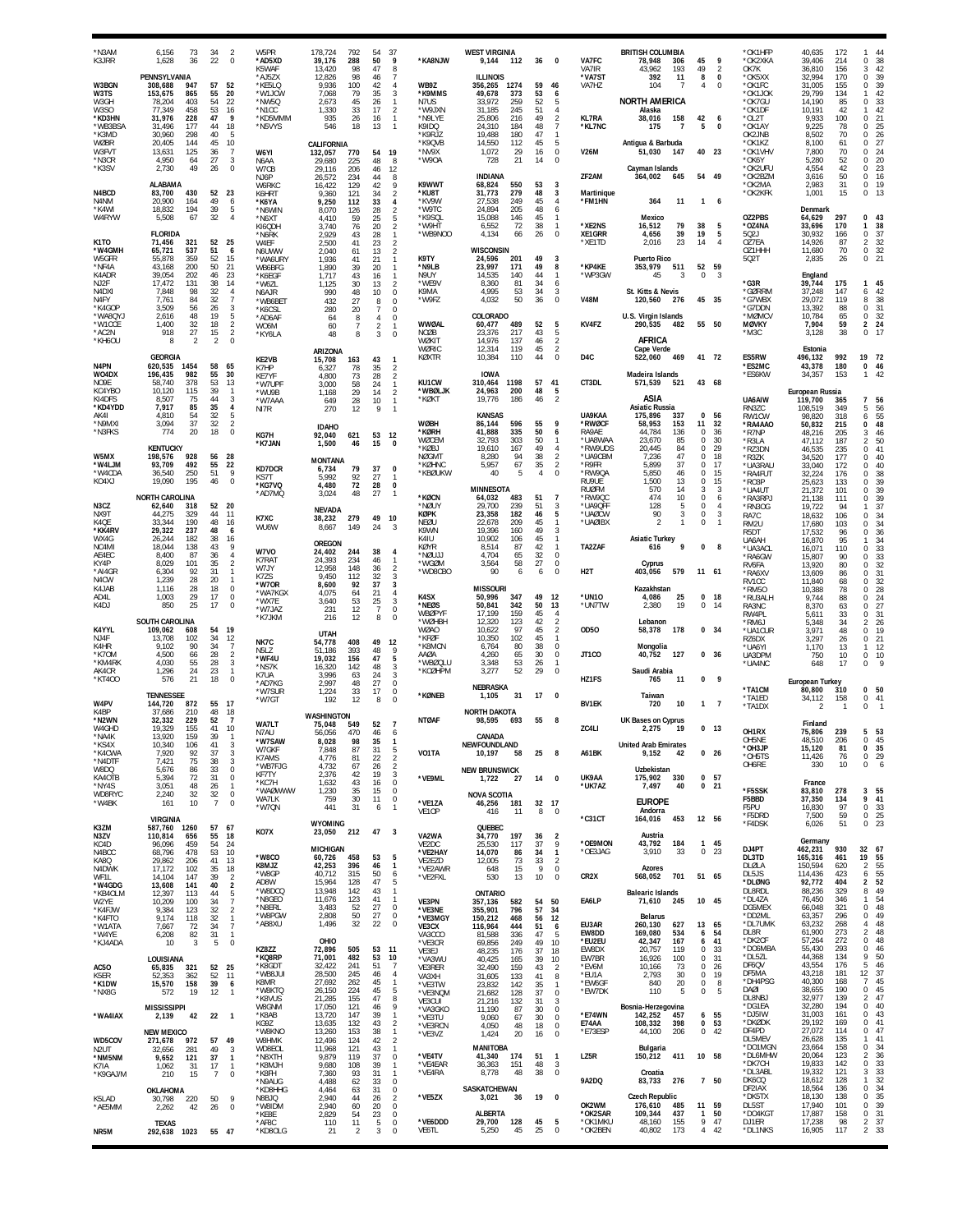| N3AM*<br>K3JRR             | 6,156<br>73<br>36<br>1.628                       | 34<br>22       | $\overline{2}$<br>$\theta$              | W5PR<br>*AD5XD            | 178.724<br>39,176          | 792<br>288                   | 54<br>50            | 37<br>9                                           | *KA8NJW                     | <b>WEST VIRGINIA</b><br>9,144<br>112               | 36             | $\Omega$                                     | VA7FC                    | <b>BRITISH COLUMBIA</b><br>78,948<br>306 | 45                          | 9                                | *OK1HFP<br>*OK2XKA       | 40.635<br>39,406           | 172<br>214        | 44<br>$\mathbf{1}$<br>38<br>0                                                        |
|----------------------------|--------------------------------------------------|----------------|-----------------------------------------|---------------------------|----------------------------|------------------------------|---------------------|---------------------------------------------------|-----------------------------|----------------------------------------------------|----------------|----------------------------------------------|--------------------------|------------------------------------------|-----------------------------|----------------------------------|--------------------------|----------------------------|-------------------|--------------------------------------------------------------------------------------|
| W3BGN                      | PENNSYLVANIA<br>308,688<br>947                   | 57             | 52                                      | K5WAF<br>*AJ5ZX<br>*KE5LQ | 13,420<br>12,826<br>9.936  | 98<br>98<br>100              | 47<br>46<br>42      | 8<br>$\overline{7}$<br>$\overline{4}$             | WB9Z                        | <b>ILLINOIS</b><br>1274<br>356,265                 | 59             | 46                                           | VA7IR<br>*VA7ST<br>VA7HZ | 43,962<br>193<br>392<br>11<br>104<br>-7  | 49<br>8<br>4                | $\overline{2}$<br>$\pmb{0}$<br>0 | OK7K<br>*OK5XX<br>*OK1FC | 36,810<br>32,994<br>31,005 | 156<br>170<br>155 | 42<br>3<br>$\mathbb O$<br>39<br>39<br>0                                              |
| W3TS<br>W3GH               | 153,675<br>865<br>78,204<br>403                  | 55<br>54       | 20<br>22                                | *W1JCW<br>*NW5Q           | 7,068<br>2,673             | 79<br>45                     | 35<br>26            | 3<br>$\mathbf{1}$                                 | *K9MMS<br>N7US              | 49,678<br>373<br>33,972<br>259                     | 53<br>52       | 6<br>5                                       |                          | <b>NORTH AMERICA</b>                     |                             |                                  | *OK1JOK<br>*OK7GU        | 29,799<br>14,190           | 134<br>85         | 42<br>$\mathbf{1}$<br>33<br>$\,0\,$                                                  |
| W3SO<br>*KD3HN             | 77,349<br>458<br>31,976<br>228                   | 53<br>47       | $\frac{16}{9}$                          | *N1CC<br>*KD5MMM          | 1,330<br>935               | 33<br>26                     | 17<br>16            | $\overline{2}$<br>$\mathbf{1}$                    | *W9JXN<br>*N9LYE            | 245<br>31,185<br>25,806<br>216                     | 51<br>49       | $\overline{4}$<br>$\overline{2}$             | <b>KL7RA</b>             | Alaska<br>158<br>38,016                  | 42                          | 6                                | *OK1DF<br>*OL2T          | 10,191<br>9,933            | 42<br>100         | $\frac{42}{21}$<br>$\mathbf{1}$<br>$\mathbb O$                                       |
| *WB3BSA<br>*K3MD           | 31,496<br>177<br>30,960<br>298                   | 44<br>40       | 18<br>$\sqrt{5}$                        | *N5VYS                    | 546                        | 18                           | 13                  | $\overline{1}$                                    | K9IDQ<br>*K9RJZ             | 24,310<br>184<br>180<br>19,488                     | 48<br>47       | $\overline{7}$<br>$\mathbf{1}$               | *KL7NC                   | 175<br>$\overline{7}$                    | 5                           | $\pmb{0}$                        | *OK1AY<br>OK2JNB         | 9,225<br>8,502             | 78<br>70          | $\frac{25}{26}$<br>$\mathbf 0$<br>$\Omega$                                           |
| <b>WØBR</b><br>W3FVT       | 20,405<br>144<br>13,631<br>125                   | 45<br>36       | 10<br>$\overline{7}$                    | W6YI                      | CALIFORNIA                 | 770                          | 54                  | 19                                                | *K9QVB<br>*NV9X             | 14.550<br>112<br>1,072<br>29                       | 45<br>16       | 5<br>$\bf 0$                                 | <b>V26M</b>              | Antiqua & Barbuda<br>51,030<br>147       |                             | 40 23                            | *OK1KZ<br>*OK1VHV        | 8.100<br>7,800             | 61<br>70          | 27<br>$\mathbf 0$<br>24<br>0                                                         |
| *N3CR                      | 4.950<br>64<br>2,730<br>49                       | 27<br>26       | 3<br>$\Omega$                           | N6AA                      | 132,057<br>29,680          | 225                          | 48                  | 8                                                 | *W90A                       | 21<br>728                                          | 14             | $\mathbf 0$                                  |                          | Cayman Islands                           |                             |                                  | *OK6Y<br>*OK2UFU         | 5,280<br>4,554             | 52<br>42          | 20<br>$\Omega$<br>23<br>0                                                            |
| *K3SV                      | ALABAMA                                          |                |                                         | W7CB<br>NJ6P              | 29,116<br>26,572           | 206<br>234                   | 46<br>44            | 12<br>8                                           | K9WWT                       | <b>INDIANA</b><br>550                              | 53             | 3                                            | ZF2AM                    | 364,002<br>645                           |                             | 54 49                            | *OK2BZM<br>*OK2MA        | 3,616<br>2,983             | 50<br>31          | 16<br>$\mathbf 0$<br>0<br>19                                                         |
| N4BCD                      | 430<br>83,700                                    | 52<br>49       | 23                                      | <b>W6RKC</b><br>K6HRT     | 16,422<br>9,360            | 129<br>121                   | 42<br>34            | 9<br>$\overline{\mathbf{c}}$                      | *KU8T                       | 68,824<br>31,773<br>279                            | 48<br>45       | 3                                            | Martinique<br>*FM1HN     |                                          |                             |                                  | *OK2KFK                  | 1,001                      | 15                | $\mathbb O$<br>13                                                                    |
| N4NM<br>*K4WI<br>W4RYW     | 20,900<br>164<br>194<br>18,832<br>5,508<br>67    | 39<br>32       | 6<br>$\overline{5}$<br>$\overline{4}$   | *K6YA<br>*N6WIN           | 9,250<br>8,070             | 112<br>126                   | 33<br>28            | 4<br>$\overline{2}$                               | *KV9W<br>*W9TC<br>*K9SQL    | 27,538<br>249<br>24,894<br>205<br>15,088<br>146    | 48<br>45       | $\overline{4}$<br>6<br>$\mathbf{1}$          |                          | 364<br>11<br>Mexico                      | 1                           | 6                                | OZ2PBS                   | Denmark<br>64,629          | 297               | 0<br>43                                                                              |
|                            | <b>FLORIDA</b>                                   |                |                                         | *N6XT<br>KI6QDH           | 4,410<br>3,740             | 59<br>76                     | 25<br>20            | 5<br>$\overline{\mathbf{c}}$                      | *W9HT<br>*WB9NOO            | 6,552<br>72<br>4,134<br>66                         | 38<br>26       | $\mathbf{1}$<br>$\bf 0$                      | *XE2NS<br>XE1GRR         | 79<br>16,512<br>4,656<br>39              | 38<br>19                    | 5<br>5                           | *OZ4NA<br>502J           | 33,696<br>30,932           | 170<br>166        | 38<br>$\mathbf{1}$<br>37<br>0                                                        |
| K1TO<br>*W4GMH             | 71,456<br>321<br>65,721<br>537                   | 52<br>51       | 25<br>6                                 | *N6RK<br>W4EF             | 2,929<br>2,500             | 43<br>41                     | 28<br>23            | $\mathbf{1}$<br>$\overline{2}$                    |                             | <b>WISCONSIN</b>                                   |                |                                              | *XE1TD                   | 23<br>2,016                              | 14                          | $\overline{4}$                   | OZ7EA<br>OZ1HHH          | 14,926<br>11,680           | 87<br>70          | 32<br>$\overline{\mathbf{c}}$<br>$\mathbb O$                                         |
| W5GFR<br>*NF4A             | 359<br>55,878<br>200<br>43,168                   | 52<br>50       | 15<br>21                                | N6UWW<br>*WA6URY          | 2,040<br>1,936             | 61<br>41                     | 13<br>21            | $\overline{\mathbf{c}}$<br>$\mathbf{1}$           | K9TY<br>*N9LB               | 24,596<br>201<br>23.997<br>171                     | 49<br>49       | 3<br>8                                       | *KP4KE                   | <b>Puerto Rico</b><br>353,979<br>511     |                             | 52 59                            | 502T                     | 2,835                      | 26                | $\frac{32}{21}$<br>0                                                                 |
| K4ADR<br>NJ <sub>2</sub> F | 39,054<br>202<br>131<br>17,472                   | 46<br>38       | 23<br>14                                | WB6BFG<br>*K6EGF          | 1,890<br>1.717             | 39<br>43                     | 20<br>16            | $\overline{1}$<br>$\overline{1}$                  | N9UY<br>*WF9V               | 14,535<br>140<br>8,360<br>81                       | 44<br>34       | $\mathbf{1}$<br>6                            | *WP3GW                   | 45<br>3                                  | $\mathbf 0$                 | 3                                | *G3R                     | England<br>39,744          | 175               | 45<br>$\mathbf{1}$                                                                   |
| N4DXI<br>N4FY              | 98<br>7.848<br>7.761<br>84                       | 32<br>32       | $\overline{4}$<br>$\overline{7}$        | *W6ZL<br>N6AJR<br>*WB6BET | 1,125<br>990<br>432        | 30<br>48<br>27               | 13<br>10<br>8       | $\overline{\mathbf{c}}$<br>$\bf 0$<br>$\mathbf 0$ | K9MA<br>*W9F7               | 4,995<br>53<br>4,032<br>50                         | 34<br>36       | 3<br>$\mathbf 0$                             | <b>V48M</b>              | St. Kitts & Nevis<br>120,560<br>-276     |                             | 45 35                            | *GØRRM<br>*G7WBX         | 37,248<br>29.072           | 147<br>119        | 42<br>6<br>38<br>8                                                                   |
| *K4GOP<br>"WA8QYJ          | 3,509<br>56<br>48<br>2,616                       | 26<br>19       | 3<br>$\,$ 5                             | *K6CSL<br>*AD6AF          | 280<br>64                  | 20<br>8                      | 7<br>$\overline{4}$ | $\Omega$<br>$\mathbf 0$                           |                             | COLORADO                                           |                |                                              |                          | U.S. Virgin Islands                      |                             |                                  | *G7DDN<br>*MØMCV         | 13,392<br>10,784           | 88<br>65          | 31<br>0<br>32<br>$\mathbb O$                                                         |
| *W1CCE<br>*AC2N            | 32<br>1,400<br>27<br>918                         | 18<br>15       | $\overline{2}$<br>$\sqrt{2}$            | W06M<br>*KY6LA            | 60<br>48                   | $\overline{7}$<br>$^{\rm 8}$ | 2<br>3              | $\mathbf{1}$<br>$\Omega$                          | WWØAL<br><b>NCØB</b>        | 60,477<br>489<br>217<br>23,376                     | 52<br>43       | 5<br>5                                       | KV4FZ                    | 290,535<br>482                           |                             | 55 50                            | <b>MØVKY</b><br>*M3C     | 7,904<br>3,128             | 59<br>38          | $\overline{2}$<br>24<br>0<br>17                                                      |
| *KH6OU                     | $\mathfrak{p}$<br>8                              | $\overline{2}$ | $\theta$                                |                           |                            |                              |                     |                                                   | WØKIT<br>WØRIC              | 14,976<br>137<br>12,314<br>119                     | 46<br>45       | $\overline{\mathbf{c}}$<br>$\sqrt{2}$        |                          | AFRICA<br>Cape Verde                     |                             |                                  |                          | Estonia                    |                   |                                                                                      |
| N4PN                       | <b>GEORGIA</b><br>620,535<br>1454                | 58             | 65                                      | KE2VB                     | ARIZONA<br>15,708          | 163                          | 43                  | $\mathbf{1}$                                      | KØXTR                       | 10,384<br>110                                      | 44             | $\mathbf 0$                                  | D <sub>4</sub> C         | 522,060<br>469                           |                             | 41 72                            | ES5RW<br>*ES2MC          | 496,132<br>43,378          | 992<br>180        | 19<br>72<br>46<br>$\pmb{0}$                                                          |
| WO4DX<br>NO9E              | 196,435<br>982<br>58,740<br>378                  | 55<br>53       | 30<br>13                                | K7HP<br>KE7YF<br>*W7UPF   | 6,327<br>4,800<br>3.000    | 78<br>73<br>58               | 35<br>28<br>24      | 2<br>$\overline{2}$<br>$\mathbf{1}$               | KU1CW                       | <b>IOWA</b><br>310,464<br>1198                     | 57             | 41                                           | CT3DL                    | Madeira Islands<br>571,539<br>521        |                             | 43 68                            | *ES6KW                   | 34,357                     | 153               | 42<br>$\mathbf{1}$                                                                   |
| KC4YBC<br>KI4DFS           | 10,120<br>115<br>8,507<br>75                     | 39<br>44       | $\mathbf{1}$<br>3                       | *WU9B                     | 1,168                      | 29<br>28                     | 14<br>10            | $\overline{2}$<br>$\overline{1}$                  | <b>WBØLJK</b><br>*KØK1      | 200<br>24,963<br>186<br>19,776                     | 48<br>46       | $\frac{5}{2}$                                |                          | ASIA                                     |                             |                                  | UA6AIW                   | European Russia<br>119,700 | 365               | $\overline{7}$<br>56                                                                 |
| *KD4YDD<br>AK41            | 7,917<br>85<br>4,810<br>54                       | 35<br>32       | $\overline{4}$<br>5                     | *W7AAA<br>NI7R            | 649<br>270                 | 12                           | 9                   | $\overline{1}$                                    |                             | <b>KANSAS</b>                                      |                |                                              | UA9KAA                   | <b>Asiatic Russia</b><br>175,896<br>337  | 0                           | 56                               | RN3ZC<br>RW1CW           | 108,519<br>98.820          | 349<br>318        | 56<br>5<br>6                                                                         |
| *N9MX<br>*N3FKS            | 37<br>3,094<br>774<br>20                         | 32<br>18       | $\sqrt{2}$<br>$\theta$                  |                           | <b>IDAHO</b>               |                              |                     |                                                   | <b>WØBH</b><br>*KØRH        | 86,144<br>596<br>41,888<br>335                     | 55<br>50       | 9<br>6                                       | *RWØCF<br>RA9AE          | 58,953<br>153<br>136<br>44.784           | 11<br>0                     | 32<br>36                         | *RA4AA0<br>*R7NP         | 50,832<br>48,216           | 215<br>205        | $\frac{55}{48}$<br>0<br>46<br>3                                                      |
|                            | <b>KENTUCKY</b>                                  |                |                                         | KG7H<br>*K7JAN            | 92,040<br>1,500            | 621<br>46                    | 53<br>15            | 12<br>$\Omega$                                    | WØCEM<br>*KØBJ              | 32,793<br>303<br>19,610<br>167                     | 50<br>49       | $\mathbf{1}$<br>$\overline{4}$               | *UA8WAA<br>*RW9UDS       | 85<br>23.670<br>20,445<br>84             | $\Omega$<br>$\Omega$        | 30<br>29                         | *R3LA<br>*RZ3DN          | 47,112<br>46,535           | 187<br>235        | 50<br>$\overline{\mathbf{c}}$<br>41<br>$\mathbf 0$                                   |
| W5MX<br>*W4LJM             | 928<br>198,576<br>93,709<br>492                  | 56<br>55       | 28<br>22                                |                           | <b>MONTANA</b>             |                              |                     |                                                   | <b>NØGMT</b><br>*KØHNC      | 94<br>8,280<br>67<br>5,957                         | 38<br>35       | $\frac{2}{2}$                                | *UA9CBM<br>*R9FR         | 47<br>7,236<br>37<br>5,899               | 0<br>0                      | 18<br>17                         | *R3ZK<br>*UA3RAU         | 34,520<br>33,040           | 177<br>172        | 40<br>$\mathbf 0$<br>40<br>0                                                         |
| *W4CDA<br>KO4XJ            | 36,540<br>250<br>19,090<br>195                   | 51<br>46       | $\mathbf{9}$<br>$\theta$                | <b>KD7DCR</b><br>KS7T     | 6.734<br>5.992             | 79<br>92                     | 37<br>27            | 0<br>-1                                           | *KBØUKW                     | 5<br>40                                            | $\overline{4}$ | $\mathbf 0$                                  | *RW9QA<br>RU9UE          | 5,850<br>46<br>1,500<br>13               | $\mathbf 0$<br>0            | 15<br>15                         | *RA4FUT<br>*RO3P         | 32,224<br>25,623           | 176<br>133        | 38<br>0<br>39<br>0                                                                   |
|                            | <b>NORTH CAROLINA</b>                            |                |                                         | *KG7VQ<br>*AD7MQ          | 4,480<br>3,024             | 72<br>48                     | 28<br>27            | 0<br>-1                                           | *KØCN                       | MINNESOTA<br>64,032<br>483                         | 51             | $\overline{7}$                               | <b>RUØFM</b><br>*RW9QC   | 570<br>14<br>474<br>10                   | 3<br>0                      | 3<br>6                           | *UA4UT<br>*RA3RPJ        | 21,372<br>21,138           | 101<br>111        | 39<br>$\mathbf 0$<br>39<br>0                                                         |
| N3CZ<br>NX9T               | 62,640<br>318<br>44,275<br>329                   | 52<br>44       | 20<br>11                                |                           | <b>NEVADA</b>              |                              |                     |                                                   | *NØUY<br><b>KØPK</b>        | 239<br>29,700<br>23,358<br>182                     | 51<br>46       | 3<br>5                                       | *UA9QFI<br>*UAØCW        | 128<br>5<br>90<br>3                      | $^{\circ}$<br>$\Omega$      | 4<br>3                           | *RN3OG<br>RA7C           | 19,722<br>18,632           | 94<br>106         | 37<br>$\mathbf{1}$<br>34<br>0                                                        |
| K4QE<br><b>*KK4RV</b>      | 33,344<br>190<br>29,322<br>237                   | 48<br>48       | 16<br>6                                 | K7XC<br>WU6W              | 38,232<br>8,667            | 279<br>149                   | 49<br>24            | 10<br>-3                                          | NEØU<br>K9WN                | 22,678<br>209<br>19.396<br>160                     | 45<br>49       | 3                                            | *UAØIBX                  | $\mathfrak{p}$                           | 0                           | -1                               | RM2U<br>R5DT             | 17,680<br>17,532           | 103<br>96         | $\frac{34}{36}$<br>$\Omega$<br>0                                                     |
| WX4G<br>NC4MI              | 182<br>26,244<br>18,044<br>138                   | 38<br>43       | 16<br>9                                 |                           | OREGON                     |                              |                     |                                                   | K4IU<br><b>KØYR</b>         | 10,902<br>106<br>8,514<br>87                       | 45<br>42       | $\mathbf{1}$<br>$\mathbf{1}$                 | TA2ZAF                   | Asiatic Turkey<br>9<br>616               | $\pmb{0}$                   | 8                                | UA6AH<br>*UA3ACL         | 16,870<br>16,071           | 95<br>110         | $\frac{34}{33}$<br>$\mathbf{1}$<br>0                                                 |
| AE4EC<br>KY4P              | 8,400<br>87<br>8,029<br>101                      | 36<br>35       | $\overline{4}$<br>$\overline{2}$        | W7VO<br>K7RAT<br>W7JY     | 24,402<br>24,393<br>12,958 | 244<br>234<br>148            | 38<br>46            | $\overline{4}$<br>$\mathbf{1}$                    | *NØUJJ<br>*WGØM             | 4,704<br>65<br>58<br>3,564                         | 32<br>27       | $\mathbf 0$<br>$\bf 0$                       |                          | Cyprus                                   |                             |                                  | *RA6GW<br>RV6FA          | 15,807<br>13,920           | 90<br>80          | $\frac{33}{32}$<br>$\Omega$<br>0                                                     |
| *AI4GR<br>N4CW             | 6,304<br>92<br>1,239<br>28                       | 31<br>20       | $\mathbf{1}$<br>$\mathbf{1}$            | K7ZS<br>*W70R             | 9,450<br>8,600             | 112<br>92                    | 36<br>32<br>37      | $\overline{\mathbf{c}}$<br>3<br>3                 | *WD8CBO                     | 90<br>6                                            | 6              | $\mathbf 0$                                  | H <sub>2</sub> T         | 403,056<br>579                           | 11 61                       |                                  | *RA6XV<br>RV1CC          | 13,609<br>11,840           | 86<br>68          | 31<br>$\mathbf 0$<br>0                                                               |
| K4JAB<br>AD4L              | 1,116<br>28<br>29<br>1,003                       | 18<br>17       | $\bf 0$<br>$\bf 0$                      | *WA7KGX<br>*WX7E          | 4,075<br>3,640             | 64<br>53                     | 21<br>25            | $\overline{4}$<br>3                               | K4SX                        | <b>MISSOURI</b><br>50,996<br>347                   | 49             | 12                                           | *UN10                    | Kazakhstan<br>4,086<br>25                | $\Omega$                    | - 18                             | *RM50<br>*RU3ALH         | 10,388<br>9,744            | 78<br>88          | $\frac{32}{28}$<br>0<br>$\mathbf 0$                                                  |
| K4DJ                       | 25<br>850                                        | 17             | $\theta$                                | *W7JAZ                    | 231                        | 12                           | $\overline{7}$      | $\mathbf 0$                                       | *NEØS<br><b>WBØPYF</b>      | 50,841<br>342<br>159<br>17.199                     | 50<br>45       | 13<br>$\overline{4}$                         | *UN7TW                   | 2,380<br>19                              | 0                           | 14                               | RA3NC<br>RW4PL           | 8,370<br>5,611             | 63<br>33          | $\frac{24}{27}$<br>0<br>31<br>0                                                      |
| K4YYL                      | <b>SOUTH CAROLINA</b><br>608<br>109,062          | 54             | 19                                      | *K7JKM                    | 216                        | 12                           | 8                   | $^{\circ}$                                        | *WØHBH<br><b>WØAO</b>       | 12,320<br>123<br>97<br>10,622                      | 42<br>45       | $\overline{2}$<br>$\overline{\mathbf{c}}$    | <b>OD50</b>              | Lebanon<br>178<br>58,378                 |                             | 0, 34                            | *RM6J<br>*UA1CUR         | 5.348<br>3,971             | 34<br>48          | 26<br>2<br>$\,0\,$<br>19                                                             |
| NJ4F<br>K4HR               | 13,708<br>102<br>90<br>9.102                     | 34<br>34       | 12<br>$\overline{7}$                    | NK7C                      | <b>UTAH</b><br>54,778      | 408<br>393                   | 49                  | 12<br>9                                           | *KFØF<br>*K8MCN             | 10,350<br>102<br>6,764<br>80                       | 45<br>38       | $\mathbf{1}$<br>0                            |                          | Mongolia                                 |                             |                                  | RZ6DX<br>*UA6YI          | 3,297<br>1,170             | 26<br>13          | 21<br>0<br>12<br>$\mathbf{1}$                                                        |
| *K70M<br>*KM4RK            | 4.500<br>66<br>4,030<br>55                       | 28<br>28       | $\sqrt{2}$<br>3                         | N5LZ<br>*WF4U             | 51.186<br>19,032           | 156<br>142                   | 48<br>47<br>48      | 5<br>3                                            | AAØA<br>*WBØQLU             | 4,260<br>65<br>3,348<br>53                         | 30<br>26       | $\bf 0$                                      | JT1CO                    | 127<br>40,752                            |                             | 0 <sub>36</sub>                  | UA3DPM<br>*UA4NC         | 750<br>648                 | 10<br>17          | 0<br>10<br>¢<br>$\Omega$                                                             |
| AK4CR<br>*KT400            | 24<br>1,296<br>576<br>21                         | 23<br>18       | $\mathbf{1}$<br>$\theta$                | *NS7K<br>K7UA<br>*AD7KG   | 16,320<br>3.996<br>2,997   | 63<br>48                     | 24<br>27            | 3<br>$\mathbf 0$                                  | *KCØHPM                     | 52<br>3,277                                        | 29             | $\overline{0}$                               | HZ1FS                    | Saudi Arabia<br>765<br>-11               | 0                           | - 9                              |                          | <b>European Turkey</b>     |                   |                                                                                      |
|                            | <b>TENNESSEE</b>                                 |                |                                         | *W7SUR<br>*W7GT           | 1,224<br>192               | 33<br>12                     | 17<br>8             | $\Omega$<br>$\Omega$                              | *KØNEB                      | <b>NEBRASKA</b><br>1,105<br>31                     | 17             | $\Omega$                                     |                          | Taiwan                                   |                             |                                  | *TA1CM<br>'TA1ED         | 80,800<br>34,112           | 310<br>158        | $\mathbf 0$<br>50<br>$\bf{0}$<br>41                                                  |
| W4PV<br>K4BP               | 144,720<br>872<br>37,686<br>210                  | 48             | 55 17<br>18                             |                           | WASHINGTON                 |                              |                     |                                                   |                             | <b>NORTH DAKOTA</b>                                |                |                                              | <b>BV1EK</b>             | 720<br>10                                |                             | 1 7                              | *TA1DX                   | 2                          | $\mathbf{1}$      | $\mathbf 0$                                                                          |
| *N2WN<br>W4GHD             | 229<br>32,332<br>19,329<br>155                   | 52<br>41       | $\overline{7}$<br>10                    | WA7LT<br>N7AU             | 75,048<br>56,056           | 549<br>470                   | 52<br>46            | $\overline{7}$<br>6                               | <b>NTØAF</b>                | 98,595<br>693                                      | 55             | -8                                           | ZC4LI                    | UK Bases on Cyprus<br>2.275<br>-19       |                             | 0 <sub>13</sub>                  | OH1RX                    | Finland<br>75,806          | 239               | 5 53                                                                                 |
| *NA4K<br>KS4X              | 13,920<br>159<br><b>IU.340</b><br>100            | 39             | -1<br>-3                                | *W7SAW<br>W7GKF           | 8,028<br>7,848             | 98<br>87                     | 35<br>31            | 5                                                 |                             | CANADA<br>NEWFOUNDLAND                             |                |                                              |                          | united Arab Emirates                     |                             |                                  | OH5NE<br>*ОН3ЈР          | 48,510<br>15,120           | 206<br>81         | 45<br>0<br>0<br>35                                                                   |
| *K4CWA<br>*N4DTF           | 92<br>7,920<br>75<br>7,421                       | 37<br>38       | $\ensuremath{\mathsf{3}}$<br>3          | K7AMS<br>*WB7FJG          | 4,776<br>4,732             | 81<br>67                     | 22<br>26            | $\sqrt{2}$<br>$\overline{2}$                      | VO1TA                       | 10,197<br>58                                       | 25             | 8                                            | A61BK                    | 9,152<br>42                              |                             | 0 <sub>26</sub>                  | *OH5TS<br>OH6RE          | 11,426<br>330              | 76<br>10          | 29<br>0<br>$\mathbf 0$<br>6                                                          |
| W8DQ<br>KA4OTB             | 5,676<br>86<br>72<br>5,394                       | 33<br>31       | $\bf 0$<br>$\mathbf 0$                  | KF7TY<br>*KC7H            | 2,376<br>1,632             | 42<br>43                     | 19<br>16            | 3<br>$\mathbb O$                                  | *VE9ML                      | <b>NEW BRUNSWICK</b><br>1,722<br>27                | 14             | $\mathbf 0$                                  | UK9AA                    | Uzbekistan<br>175,902<br>330             |                             | 0 <sub>57</sub>                  |                          | France                     |                   |                                                                                      |
| *NY4S<br>WD8RYC            | 3,051<br>48<br>32<br>2,240                       | 26<br>32       | $\mathbf{1}$<br>$\mathbf 0$             | *WAØWWW<br>WA7LK          | 1,230<br>759               | 35<br>30                     | 15<br>11            | 0<br>$\bf 0$                                      |                             | <b>NOVA SCOTIA</b>                                 |                |                                              | *UK7AZ                   | 7,497<br>40                              | 0                           | 21                               | *F5SSK<br>F5BBD          | 83,810<br>37,350           | 278<br>134        | 3 55<br>9<br>41                                                                      |
| *W4BK                      | 161<br>10                                        | $\overline{7}$ | $\theta$                                | *W7QN                     | 441                        | 31                           | 6                   | $\mathbf{1}$                                      | *VE1ZA<br>VE1OP             | 46,256<br>181<br>416<br>11                         | 32 17<br>8     | $^{\circ}$                                   |                          | <b>EUROPE</b><br>Andorra                 |                             |                                  | F5PU<br>*F5DRD           | 16,830<br>7,500            | 97<br>59          | $\frac{33}{25}$<br>0<br>$\mathbf 0$                                                  |
| K3ZM                       | <b>VIRGINIA</b><br>587,760<br>1260               | 57             | 67                                      | KO7X                      | WYOMING<br>23,050          | 212                          | 47                  | $\overline{\mathbf{3}}$                           |                             | QUEBEC                                             |                |                                              | $*$ C31CT                | 164,016<br>453                           |                             | 12 56                            | *F4DSK                   | 6,026                      | 51                | 0                                                                                    |
| N3ZV<br>KC4D<br>N4BCC      | 110,814<br>656<br>459<br>96,096<br>68,796<br>478 | 55<br>54<br>53 | 18<br>24<br>10                          |                           | MICHIGAN                   |                              |                     |                                                   | VA2WA<br>VE2DC<br>*VE2HAY   | 34,770<br>197<br>25,530<br>117<br>14,070<br>86     | 36<br>37<br>34 | $\overline{2}$<br>$\,$ 9<br>$\mathbf{1}$     | *OE9MON<br>*OE3JAG       | Austria<br>43,792<br>184<br>3,910<br>33  | $\mathbf{1}$<br>$\mathbf 0$ | 45<br>23                         | DJ4PT                    | Germany<br>462,231         | 930               | 32<br>67                                                                             |
| KA8Q                       | 29,862<br>206                                    | 41             | 13                                      | *W8CO<br>K8MJZ            | 60,726<br>42,253           | 458<br>396                   | 53<br>46            | 5<br>$\mathbf{1}$                                 | VE2EZD                      | 73<br>12,005                                       | 33             | $\overline{2}$                               |                          |                                          |                             |                                  | DL3TD<br>DLØLA           | 165,316<br>150,594         | 461<br>620        | 55<br>19<br>$\overline{a}$                                                           |
| N4DWK<br>WF1L<br>*W4GDG    | 17,172<br>102<br>14,104<br>147<br>141            | 35<br>39<br>40 | $^{18}_{\phantom{1}2}$                  | *W8GP<br>AD8W             | 40,712<br>15,964           | 315<br>128                   | 50<br>47            | 6<br>5                                            | *VE2AWR<br>*VE2FXL          | 15<br>648<br>13<br>530                             | 9<br>10        | 0<br>$\bf 0$                                 | CR <sub>2</sub> X        | <b>Azores</b><br>701<br>568,052          |                             | 51 65                            | DL5JS<br>*DLØNG          | 114,436<br>92,772          | 423<br>404        | 55<br>55<br>52<br>49<br>6<br>$\overline{2}$                                          |
| *KB4OLM                    | 13,608<br>12,397<br>113                          | 44<br>34       | $\boldsymbol{2}$<br>5<br>$\overline{7}$ | *W8DCQ<br>*N8GEO          | 13,948<br>11,676           | 142<br>123                   | 43<br>41            | $\mathbf{1}$<br>$\mathbf{1}$                      | VE3PN                       | ONTARIO                                            |                | 50                                           | EA6LP                    | <b>Balearic Islands</b><br>71,610<br>245 |                             | 10 45                            | DL8RDL<br>*DL4ZA         | 88,236<br>76,450           | 329<br>346        | 8<br>54<br>1                                                                         |
| W2YE<br>*K4FJW<br>*K4FTO   | 10,209<br>100<br>9,384<br>123<br>9,174<br>118    | 32<br>32       | $\overline{2}$<br>$\mathbf{1}$          | *N8ERL<br>*W8PGW          | 3,483<br>2,808             | 52<br>50                     | 27<br>27            | 0<br>0                                            | *VE3NE<br>*VE3MGY           | 357,136<br>582<br>355,901<br>796<br>150,212<br>468 | 54<br>57<br>56 | 34<br>12                                     |                          | <b>Belarus</b>                           |                             |                                  | DG5MEX<br>*DD2ML         | 66,048<br>63,357           | 321<br>296        | 48<br>0<br>49<br>0                                                                   |
| *W1ATA<br>*W4YE            | 7,667<br>72<br>82<br>6,208                       | 34<br>31       | $\overline{7}$<br>$\mathbf{1}$          | *AB8XU                    | 1,496                      | 32                           | 22                  | 0                                                 | VE3CX                       | 444<br>116,964                                     | 51<br>47       | 6<br>5                                       | EU3AR<br>EW8DD           | 260,130<br>627<br>169,080<br>534         | 6                           | 13 65<br>54                      | *DL7UMK<br>DL8R          | 63,232<br>61,900           | 268<br>273        | 48<br>$\overline{4}$<br>$\overline{2}$                                               |
| *KJ4ADA                    | 10<br>3                                          | 5              | $\bf 0$                                 | KZ8ZZ                     | OHIO<br>72,896             | 505                          | 53                  | 11                                                | VA3CCO<br>*VE3CR            | 81,588<br>336<br>69,856<br>249                     | 49             | 10                                           | *EU2EU<br>EW8DX          | 42,347<br>167<br>20,757<br>119           | 6<br>0                      | 41<br>33                         | *DK2CF<br>*DO6MBA        | 57,264<br>55,430           | 272<br>293        | $\begin{array}{c} 48 \\ 48 \end{array}$<br>0<br>46<br>$\mathbf 0$                    |
| AC5O                       | LOUISIANA<br>65,835<br>321                       | 52             | 25                                      | *KQ8RP<br>*K8GDT          | 71,001<br>32,422           | 482<br>241                   | 53<br>51            | 10<br>-7                                          | VE3EJ<br>*VA3WU             | 48,235<br>176<br>40,425<br>165<br>159              | 37<br>39       | 18<br>$\begin{array}{c} 10 \\ 2 \end{array}$ | EW7BR<br>*EV6M           | 16,926<br>100<br>10,166<br>73            | $\bf 0$<br>0                | 31<br>26                         | *DL5ZL<br>DF6QV          | 44,368<br>43,554           | 134<br>176        | 50<br>9<br>5                                                                         |
| K5ER<br>*K1DW              | 52,353<br>362<br>158<br>15,570                   | 52<br>39       | 11<br>$\ddot{\phantom{0}}$              | *WB8JUI<br>K8MR           | 28,500<br>27,692           | 245<br>262                   | 46<br>45            | 4<br>$\mathbf{1}$                                 | VE3RER<br>VA3XH             | 32,490<br>31,605<br>133                            | 43<br>41       | 8                                            | *EU1A<br>*EW6GF          | 2,793<br>30<br>840<br>20                 | $\bf{0}$<br>0               | 19<br>8                          | DF5MA<br>*DH4PSG         | 43,218<br>40,300           | 181<br>168        | $rac{46}{37}$<br>12<br>$\overline{7}$<br>45                                          |
| *NX8G                      | 572<br>19                                        | 12             | $\mathbf{1}$                            | *W8KTQ<br>*K8VUS          | 26,150<br>21,285           | 224<br>155                   | 45<br>47            | 5<br>8                                            | *VE3TW<br>*VE3NQM<br>VE3CUI | 23,832<br>142<br>21,682<br>128<br>21,216<br>132    | 35<br>37<br>31 | $\mathbf{1}$<br>$\bf 0$<br>3                 | *EW7DK                   | 110<br>5                                 | $\mathbf 0$                 | 5                                | <b>DAØI</b><br>DL8NBJ    | 38,655<br>32,977           | 190<br>139        | $\mathbb O$<br>$\frac{45}{47}$<br>$\overline{2}$                                     |
| *WA4IAX                    | <b>MISSISSIPPI</b><br>42<br>2,139                |                | $22 \quad 1$                            | W8GNM<br>*K8AB            | 17,050<br>13,720           | 121<br>147                   | 46<br>39            | 9<br>$\overline{1}$                               | *VA3GKO<br>*VE3TU           | 11,190<br>87<br>9,060<br>67                        | 30<br>30       | $\bf 0$<br>0                                 | *E74WN                   | Bosnia-Herzegovina<br>142,252<br>457     | 6                           | 55                               | *DG1EA<br>*DJ5IW         | 32,280<br>31,003           | 194<br>161        | $\mathbb O$<br>40<br>43<br>0                                                         |
|                            | <b>NEW MEXICO</b>                                |                |                                         | KG9Z<br>*W8KNO            | 13,635<br>13,260           | 132<br>153                   | 43<br>38            | $\overline{2}$<br>$\mathbf{1}$                    | *VE3RCN<br>*VE3VZ           | 4,050<br>48<br>1,424<br>20                         | 18<br>16       | $\bf 0$<br>$\mathbf 0$                       | <b>E74AA</b><br>*E73ESP  | 108,332<br>398<br>44,100<br>206          | $\bf{0}$<br>$\mathbf 0$     | 53<br>42                         | *DKØDK<br>DF4PD          | 29,192<br>27,072           | 169<br>114        | 41<br>0<br>47<br>$^{\circ}$                                                          |
| WD5COV<br>N2UT             | 271,678<br>972<br>32,656<br>281                  | 57<br>49       | 49<br>$\sqrt{3}$                        | W8HMK<br>WD8EOL           | 12,496<br>11,968           | 124<br>121                   | 42<br>43            | $\overline{\mathbf{c}}$<br>$\mathbf{1}$           |                             | <b>MANITOBA</b>                                    |                |                                              |                          | <b>Bulgaria</b>                          |                             |                                  | DL5MEV<br>*DO1MGN        | 26,628<br>23,664           | 135<br>158        | 41<br>$\mathbf{1}$<br>34<br>$\mathbb O$                                              |
| *NM5NM<br>K7IA             | 9,652<br>121<br>1,062<br>31                      | 37<br>17       | $\mathbf{1}$<br>$\mathbf{1}$            | *N8XTH<br>*K8MJH          | 9,879<br>9,680             | 119<br>108                   | 37<br>39            | 0<br>$\mathbf{1}$                                 | *VE4TV<br>*VE4EAR           | 41,340<br>174<br>36,363<br>151                     | 51<br>48       | $\overline{1}$<br>3                          | LZ5R                     | 411<br>150,212                           |                             | 10 58                            | *DL6MHW<br>*DK7CH        | 20,064<br>19,833           | 123<br>142        | 2<br>0                                                                               |
| *K9GAJ/M                   | 210<br>15                                        | $\overline{7}$ | $\theta$                                | *K8FH<br>*N9AUG           | 7,360<br>4,488             | 93<br>62                     | 31<br>33            | $\mathbf{1}$<br>$\,0\,$                           | *VE4RA                      | 48<br>8,778                                        | 38             | $\bf 0$                                      | 9A2DQ                    | Croatia<br>83,733<br>276                 |                             | 7 50                             | *DL3ABL<br>DK6CQ         | 19,332<br>18,612           | 121<br>128        | $\begin{array}{r} 36 \\ 33 \\ 33 \\ 32 \\ 34 \\ 35 \end{array}$<br>3<br>$\mathbf{1}$ |
| K5LAD                      | OKLAHOMA<br>220<br>30,798                        | 50             | 9                                       | *KD8HHG<br>N8BJQ          | 4,464<br>2,940             | 63<br>44                     | 31<br>26            | 0<br>$\overline{2}$                               | *VE5ZX                      | SASKATCHEWAN<br>3,021<br>36                        | 19             | 0                                            |                          | <b>Czech Republic</b>                    |                             |                                  | DF2IAX<br>*DK5TX         | 18,564<br>18,130           | 136<br>138        | $\bf 0$<br>0                                                                         |
| *AE5MM                     | 2,262<br>42                                      | 26             | $\bf 0$                                 | *W8IDM<br>*KE8E           | 2,940<br>2,829             | 60<br>54                     | 20<br>23            | 0<br>$\bf 0$                                      |                             | <b>ALBERTA</b>                                     |                |                                              | OK2WM<br>*OK2SAR         | 176,610<br>485<br>109,344<br>437         | 1                           | 11 59<br>50                      | DL5ST<br>*DO4KGT         | 17,940<br>17,887           | 101<br>158        | 39<br>$\mathbf 0$<br>$\mathbb O$<br>$\frac{31}{37}$                                  |
| NR5M                       | <b>TEXAS</b><br>292,638<br>1023                  |                | 55 47                                   | *AF8C<br>*KD8OLG          | 110<br>21                  | 11<br>$\overline{2}$         | 5<br>3              | 0<br>$^{\circ}$                                   | *VE6DDD<br>VE6TL            | 128<br>29,700<br>5,250<br>45                       | 45<br>25       | 5<br>$\bf 0$                                 | *OK1MKU<br>*OK2BEN       | 48,160<br>155<br>40,802<br>173           | 9<br>$\overline{4}$         | 47<br>42                         | DJ1ER<br>*DL1NKS         | 17,238<br>16,905           | 98<br>117         | $\frac{2}{3}$<br>2 33                                                                |
|                            |                                                  |                |                                         |                           |                            |                              |                     |                                                   |                             |                                                    |                |                                              |                          |                                          |                             |                                  |                          |                            |                   |                                                                                      |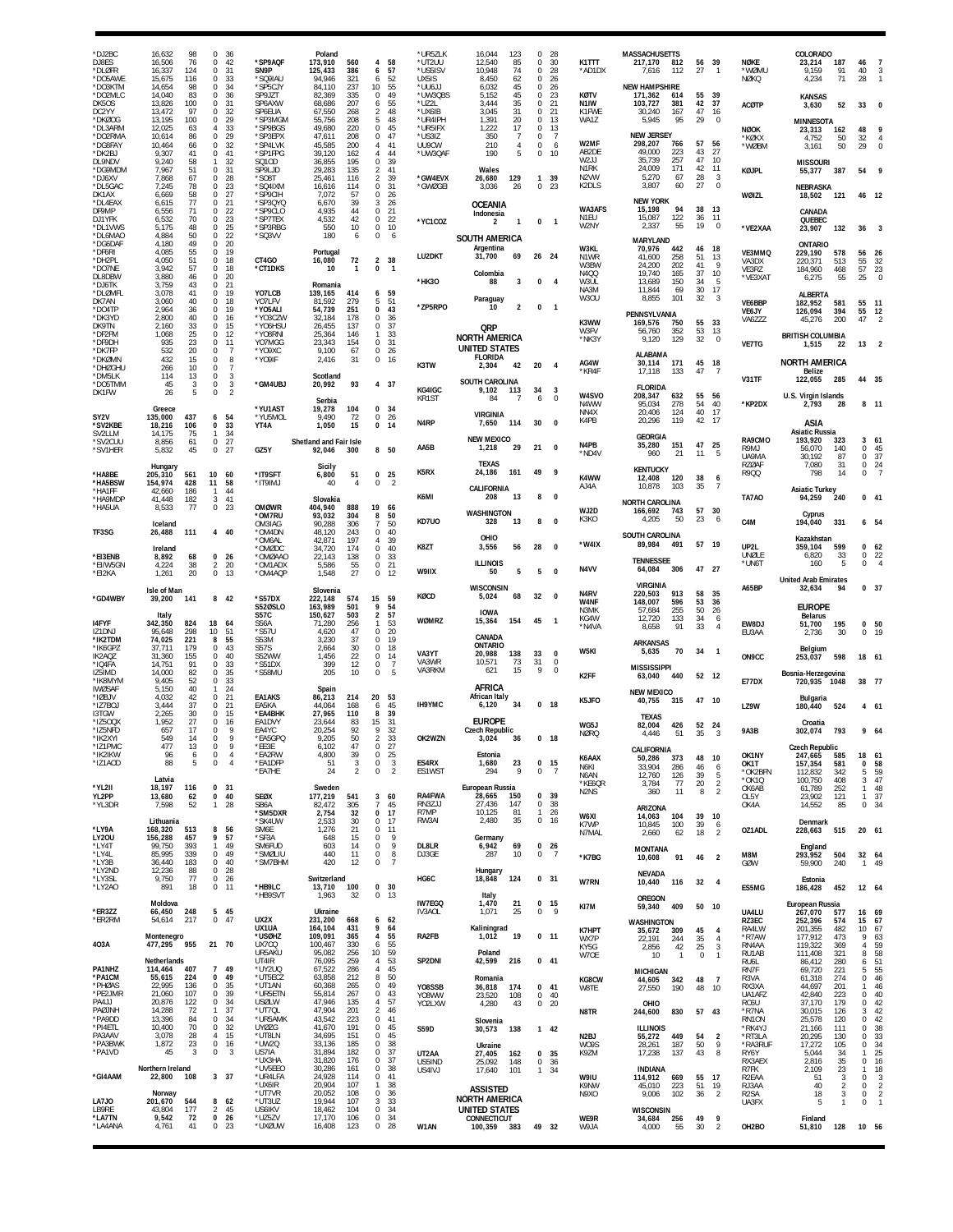| *DJ2BC<br>DJ8ES<br>*DLØFR<br>*DO5AWE<br>*DO3KTM   | 16,632<br>98<br>16,506<br>76<br>16,337<br>124<br>15,675<br>116<br>14,654<br>98 | $\Omega$<br>0<br>$\mathbf 0$<br>0<br>0             | - 36<br>42<br>31<br>33<br>34   | *SP9AQF<br>SN9P<br>*SQ9IAU<br>*SP5CJY        | Poland<br>173,910<br>125,433<br>94,946<br>84,110 | 560<br>386<br>321<br>237 | 4<br>58<br>57<br>6<br>52<br>6<br>10 <sup>1</sup><br>55              | *UR5ZLK<br>*UT2UU<br>*US5ISV<br>UX5IS<br>*UU6JJ | 16,044<br>123<br>12,540<br>85<br>10.948<br>74<br>8,450<br>62<br>6,032<br>45          | $\mathbf 0$<br>0<br>$\mathbf 0$<br>$\mathbf 0$<br>$\mathbf 0$ | - 28<br>30<br>28<br>26<br>26            | K1TTT<br>*AD1DX                                         | <b>MASSACHUSETTS</b><br>217,170<br>812<br>112<br>7,616<br><b>NEW HAMPSHIRE</b> | 27                   | 56 39<br>$\overline{1}$          | NØKE<br>'WØMU<br>NØKQ                                    | COLORADO<br>23,214<br>9,159<br>4,234                 | 187<br>91<br>71                | 46<br>40<br>28                                  | $\overline{7}$<br>3                                  |
|---------------------------------------------------|--------------------------------------------------------------------------------|----------------------------------------------------|--------------------------------|----------------------------------------------|--------------------------------------------------|--------------------------|---------------------------------------------------------------------|-------------------------------------------------|--------------------------------------------------------------------------------------|---------------------------------------------------------------|-----------------------------------------|---------------------------------------------------------|--------------------------------------------------------------------------------|----------------------|----------------------------------|----------------------------------------------------------|------------------------------------------------------|--------------------------------|-------------------------------------------------|------------------------------------------------------|
| *DO2MLC<br>DK5OS<br>DC2YY                         | 14,040<br>83<br>13,826<br>100<br>97<br>13,472<br>100                           | 0<br>0<br>0<br>0                                   | 36<br>31<br>32<br>29           | SP9JZT<br>SP6AXW<br>SP6EUA<br>'SP3MGM        | 82,369<br>68,686<br>67,550                       | 335<br>207<br>268<br>208 | $\Omega$<br>49<br>55<br>6<br>$\mathcal{P}$<br>48<br>5<br>48         | *UW3QBS<br>*UZ2L<br>*UX6IB<br>*UR4IPH           | 5,152<br>45<br>35<br>3,444<br>31<br>3,045<br>1,391<br>20                             | 0<br>$\Omega$<br>$\Omega$<br>$\Omega$                         | 23<br>21<br>21<br>13                    | KØTV<br>N <sub>1</sub> IW<br>K1FWE<br>WA1Z              | 171,362<br>614<br>103,727<br>381<br>30,240<br>167<br>95<br>5,945               | 55<br>42<br>47<br>29 | - 39<br>37<br>16<br>$\mathbf 0$  | <b>ACØTP</b>                                             | <b>KANSAS</b><br>3,630                               | 52                             | 33                                              |                                                      |
| *DKØOG<br>*DL3ARM<br>*DO2RMA<br>*DG8FAY<br>*DK2BJ | 13,195<br>12,025<br>63<br>10,614<br>86<br>10,464<br>66<br>9,307<br>41          | $\overline{4}$<br>$\Omega$<br>0<br>0               | 33<br>29<br>32<br>41           | *SP9BGS<br>*SP3EPX<br>*SP4LVK<br>*SP1FPG     | 55,756<br>49,680<br>47,611<br>45,585<br>39,120   | 220<br>208<br>200<br>162 | $\Omega$<br>45<br>47<br>$\Omega$<br>$\overline{4}$<br>41<br>4<br>44 | *UR5IFX<br>*US3IZ<br>UU9CW<br>*UW3QAF           | 1,222<br>17<br>350<br>-7<br>210<br>$\overline{4}$<br>190<br>5                        | $\Omega$<br>$\Omega$<br>$\mathbb O$<br>$\mathbf 0$            | 13<br>- 7<br>6<br>10                    | W2MF<br>AB2DE                                           | <b>NEW JERSEY</b><br>298,207<br>766<br>49.000<br>223                           | 57<br>43             | 56<br>27                         | <b>NØOK</b><br>*KØKX<br>*WØBM                            | <b>MINNESOTA</b><br>23,313<br>4,752<br>3,161         | 162<br>50<br>50                | 48<br>32<br>29                                  | $\theta$                                             |
| DL9NDV<br>*DG9MDM<br>*DJ6XV                       | 9,240<br>58<br>7,967<br>51<br>7,868<br>67                                      | 1<br>0<br>$\mathbf 0$                              | 32<br>31<br>28                 | SQ10D<br>SP9LJD<br>*SO8T                     | 36,855<br>29,283<br>25,461                       | 195<br>135<br>116        | 39<br>$\Omega$<br>$\overline{2}$<br>41<br>39<br>$\overline{2}$      | *GW4EVX                                         | Wales<br>129<br>26,680                                                               | $\mathbf{1}$                                                  | 39                                      | W2JJ<br>N <sub>1</sub> RK<br>N <sub>2</sub> VW          | 35,739<br>257<br>171<br>24.009<br>5,270<br>67                                  | 47<br>42<br>28       | 10<br>11<br>3<br>$\mathbf 0$     | <b>KØJPL</b>                                             | <b>MISSOURI</b><br>55,377                            | 387                            | 54                                              |                                                      |
| *DL5GAC<br>DK1AX<br>*DL4EAX<br>DF9MP              | 7,245<br>78<br>58<br>6.669<br>77<br>6,615<br>71<br>6,556                       | 0<br>$\Omega$<br>0<br>$\mathbb O$                  | 23<br>27<br>21<br>22           | *SQ4IXM<br>*SP9CIH<br>*SP3QYQ<br>*SP9CLO     | 16,616<br>7,072<br>6,670<br>4,935                | 114<br>57<br>39<br>44    | 0<br>31<br>$\Omega$<br>26<br>3<br>26<br>$\Omega$<br>21              | *GWØGEI                                         | 3,036<br>26<br>OCEANIA<br>Indonesia                                                  | $\mathbf 0$                                                   | 23                                      | K2DLS<br>WA3AFS                                         | 3,807<br>60<br><b>NEW YORK</b><br>15,198<br>94                                 | 27<br>38             | 13                               | WØIZL                                                    | <b>NEBRASKA</b><br>18,502<br>CANADA                  | 121                            | 46                                              | - 12                                                 |
| DJ1YFK<br>*DL1VWS<br>*DL6MAC<br>*DG6DAF           | 70<br>6,532<br>48<br>5,175<br>4,884<br>50<br>4,180<br>49                       | $\mathbb O$<br>0<br>0<br>0                         | 23<br>25<br>22<br>20           | *SP7TEX<br>*SP3RBG<br>*SQ3VV                 | 4,532<br>550<br>180                              | 42<br>10<br>6            | 22<br>0<br>10<br>$\Omega$<br>0<br>6                                 | *YC1COZ                                         | $\overline{2}$<br>$\mathbf{1}$<br><b>SOUTH AMERICA</b>                               | $\mathbf 0$                                                   | $\overline{1}$                          | N <sub>1FU</sub><br>W2NY                                | 15,087<br>122<br>2,337<br>55<br><b>MARYLAND</b>                                | 36<br>19             | 11<br>$\mathbf 0$                | *VE2XAA                                                  | QUEBEC<br>23,907<br><b>ONTARIO</b>                   | 132                            | 36                                              |                                                      |
| *DF6RI<br>*DH2PL<br>*DO7NE                        | 55<br>4,085<br>51<br>4.050<br>57<br>3,942                                      | 0<br>0<br>0                                        | 19<br>18<br>18                 | CT4GO<br>*CT1DKS                             | Portugal<br>16,080<br>10                         | 72<br>$\overline{1}$     | 38<br>$\overline{2}$<br>0<br>$\mathbf{1}$                           | LU2DKT                                          | Argentina<br>31,700<br>69<br>Colombia                                                | 26                                                            | 24                                      | W3KL<br>N1WR<br>W3BW<br>N400                            | 70,976<br>442<br>41,600<br>258<br>24,200<br>202<br>19.740<br>165               | 46<br>51<br>41<br>37 | -18<br>13<br>9<br>10             | VE3MMQ<br>VA3DX<br>VE3RZ                                 | 229,190<br>220,371<br>184,960                        | 578<br>513<br>468              | 56<br>55<br>57                                  | 26<br>$\frac{32}{23}$                                |
| DL8DBW<br>*DJ6TK<br>*DLØMFL<br>DK7AN              | 3,880<br>46<br>3,759<br>43<br>3,078<br>41<br>40<br>3,060                       | 0<br>$\mathbf 0$<br>0<br>$\Omega$                  | 20<br>21<br>19<br>18           | YO7LCB<br>YO7LFV                             | Romania<br>139,165<br>81.592                     | 414<br>279               | 6<br>59<br>51<br>5                                                  | *HK30                                           | 3<br>88<br>Paraguay                                                                  | 0                                                             | $\overline{4}$                          | W3UL<br>NA3M<br>W3OU                                    | 13,689<br>150<br>11,844<br>69<br>8,855<br>101                                  | 34<br>30<br>32       | -5<br>17<br>3                    | *VE3XAT<br>VE6BBP                                        | 6,275<br><b>ALBERTA</b><br>182,952                   | 55<br>581                      | 25<br>55                                        | 11                                                   |
| *DO4TP<br>*DK3YC<br>DK9TN<br>*DF2FM               | 2,964<br>36<br>2,800<br>40<br>33<br>2.160<br>25<br>1.068                       | 0<br>$\mathbf 0$<br>0<br>0                         | 19<br>16<br>15<br>12           | *YO5ALI<br>*YO3CZW<br>*YO6HSU<br>*Y08RNI     | 54,739<br>32,184<br>26,455<br>25,364             | 251<br>178<br>137<br>146 | $\Omega$<br>43<br>$\Omega$<br>-36<br>$\Omega$<br>37<br>33<br>-1     | *ZP5RPO                                         | 10<br>$\overline{\mathbf{2}}$<br>QRP                                                 | 0                                                             | $\overline{1}$                          | K3WW<br>W3FV                                            | PENNSYLVANIA<br>169,576<br>750<br>56,760<br>352                                | 55<br>53             | 33<br>13                         | VE6JY<br>VA6ZZZ                                          | 126,094<br>45,276<br><b>BRITISH COLUMBIA</b>         | 394<br>200                     | 55<br>47                                        | 12                                                   |
| *DF9DH<br>*DK7FP<br>*DKØMN                        | 23<br>935<br>532<br>20<br>15<br>432                                            | 0<br>$^{\circ}$<br>0                               | 11<br>7<br>8<br>$\overline{7}$ | YO7MGG<br>*YO9XC<br>*YO9IF                   | 23,343<br>9,100<br>2,416                         | 154<br>67<br>31          | 31<br>0<br>$\Omega$<br>26<br>$\mathbf 0$<br>16                      | K3TW                                            | NORTH AMERICA<br><b>UNITED STATES</b><br><b>FLORIDA</b><br>2,304<br>42               | 20                                                            | $\mathbf{A}$                            | *NK3Y<br>AG4W                                           | 129<br>9,120<br><b>ALABAMA</b><br>30,114<br>171                                | 32                   | $\mathbf{0}$<br>45 18            | VE7TG                                                    | 1,515<br><b>NORTH AMERICA</b>                        | 22                             | 13                                              |                                                      |
| *DHØGHU<br>*DM5LK<br>*DO5TMM<br>DK1FW             | 10<br>266<br>114<br>13<br>45<br>3<br>26                                        | $^{\circ}$<br>0<br>0<br>$\Omega$                   | 3<br>3<br>$\overline{2}$       | *GM4UBJ                                      | Scotland<br>20,992                               | 93                       | 4 37                                                                | KG4IGC                                          | SOUTH CAROLINA<br>9,102<br>113                                                       | 34                                                            | 3                                       | *KR4F<br>W4SVO                                          | 133<br>17,118<br><b>FLORIDA</b><br>208,347<br>632                              | 47<br>55             | $\overline{7}$<br>56             | V31TF                                                    | <b>Belize</b><br>122,055<br>U.S. Virgin Islands      | 285                            | 44 35                                           |                                                      |
| SY2V<br>*SV2KBE                                   | Greece<br>135,000<br>437<br>106<br>18.216                                      | 6<br>$\mathbf 0$                                   | 54<br>33                       | *YU1AST<br>*YU5MOL<br>YT4A                   | Serbia<br>19,278<br>9,490<br>1,050               | 104<br>72<br>15          | 0, 34<br>0<br>26<br>$\mathbf 0$<br>14                               | KR1ST<br>N <sub>4</sub> RP                      | 84<br>$\overline{7}$<br><b>VIRGINIA</b><br>114<br>7,650                              | 6<br>30                                                       | $^{\circ}$<br>$\mathbf{0}$              | N4WW<br>NN4X<br>K4PB                                    | 95,034<br>278<br>20,406<br>124<br>119<br>20,296                                | 54<br>40<br>42       | 40<br>-17<br>17                  | *KP2DX                                                   | 2,793<br>ASIA                                        | -28                            | 8 <sub>11</sub>                                 |                                                      |
| SV2LLM<br>*SV2CUU<br>*SV1HER                      | 75<br>14,175<br>8,856<br>61<br>5,832<br>45                                     | 1<br>$\mathbb O$<br>0                              | 34<br>27<br>27                 | GZ5Y                                         | Shetland and Fair Isle<br>92,046                 | 300                      | 8 50                                                                | AA5B                                            | <b>NEW MEXICO</b><br>1,218<br>29                                                     | 21                                                            | $\mathbf{0}$                            | N4PB<br>*ND4V                                           | <b>GEORGIA</b><br>35,280<br>151<br>960<br>21                                   | 47<br>11             | 25<br>5                          | RA9CMO<br>R9MJ<br>UA9MA                                  | <b>Asiatic Russia</b><br>193.920<br>56,070<br>30.192 | 323<br>140<br>87               | 3<br>$\Omega$<br>$\Omega$                       | 61<br>45<br>37                                       |
| *HA8BE<br>*HA5BSW                                 | Hungary<br>205,310<br>561<br>154,974<br>428                                    | 10<br>11                                           | 60<br>58                       | *IT9SFT<br>*IT9IMJ                           | Sicily<br>6,800<br>40                            | 51<br>$\overline{4}$     | 25<br>$\Omega$<br>0<br>$\overline{2}$                               | K5RX                                            | <b>TEXAS</b><br>24,186<br>161<br>CALIFORNIA                                          | 49                                                            | 9                                       | K4WW<br>AJ4A                                            | <b>KENTUCKY</b><br>12,408<br>120<br>10,878<br>103                              | 38<br>35             | 6<br>$\overline{7}$              | <b>RZØAF</b><br>R900                                     | 7,080<br>798                                         | 31<br>14                       | 0<br>0                                          | 24                                                   |
| *HA1FF<br>*HA9MDF<br>*HA5UA                       | 42.660<br>186<br>41,448<br>182<br>77<br>8,533                                  | $\mathbf{1}$<br>3<br>0                             | 44<br>41<br>23                 | <b>OMØWR</b><br>*OM7RU                       | Slovakia<br>404,940<br>93,032                    | 888<br>304               | 19<br>-66<br>8<br>50                                                | K6MI                                            | 208<br>13<br>WASHINGTON                                                              | 8                                                             | $\mathbf{0}$                            | WJ2D                                                    | <b>NORTH CAROLINA</b><br>166,692<br>743<br>-50                                 | 23                   | 57 30<br>- 6                     | TA7A0                                                    | <b>Asiatic Turkey</b><br>94,259<br>Cyprus            | 240                            | $0 \t 41$                                       |                                                      |
| TF3SG                                             | Iceland<br>111<br>26,488<br>Ireland                                            | 4                                                  | 40                             | OM3IAG<br>*OM4DN<br>*OM6AL<br>*OMØDC         | 90,288<br>48,120<br>42,871<br>34.720             | 306<br>243<br>197<br>174 | 7<br>50<br>40<br>$\Omega$<br>39<br>4<br>40<br>$\Omega$              | KD7U0<br>K8ZT                                   | 328<br>13<br>OHIO<br>3,556<br>56                                                     | 8<br>28                                                       | 0<br>$\mathbf{0}$                       | K3KO<br>*W4IX                                           | 4,205<br><b>SOUTH CAROLINA</b><br>89,984<br>491                                |                      | 57 19                            | C4M<br>UP2L                                              | 194,040<br>Kazakhstan<br>359,104                     | 331<br>599                     | 6 54<br>$^{\circ}$                              | 62                                                   |
| *EI3ENB<br>*EI/W5GN<br>*EI2KA                     | 8,892<br>68<br>4,224<br>38<br>1,261<br>20                                      | 0<br>2<br>0                                        | 26<br>20<br>13                 | *OMØAAO<br>*OM1ADX<br>*OM4AQP                | 22,143<br>5,586<br>1,548                         | 138<br>$\frac{55}{27}$   | 0<br>33<br>$\mathbf 0$<br>21<br>0<br>12                             | W9IIX                                           | <b>ILLINOIS</b><br>50<br>5                                                           | 5                                                             | $\Omega$                                | N4VV                                                    | <b>TENNESSEE</b><br>64,084<br>306                                              |                      | 47 27                            | UNØLE<br>*UN61                                           | 6,820<br>160<br><b>United Arab Emirates</b>          | 33<br>5                        | 0<br>$\Omega$                                   | 22                                                   |
| *GD4WBY                                           | Isle of Man<br>39,200<br>141                                                   | 8 42                                               |                                | *S57DX<br><b>S520SLO</b>                     | Slovenia<br>222,148<br>163,989                   | 574<br>501               | 15<br>59<br>9<br>54                                                 | KØCD                                            | <b>WISCONSIN</b><br>68<br>5,024                                                      | 32                                                            | $\mathbf{0}$                            | N4RV<br>W4NF<br>N3MK                                    | <b>VIRGINIA</b><br>220,503<br>913<br>148,007<br>596<br>255<br>57,684           | 58<br>53<br>50       | 35<br>36<br>26                   | A65BP                                                    | 32,634<br><b>EUROPE</b>                              | 94                             | 0, 37                                           |                                                      |
| 14FYF<br>IZ1DNJ<br>*IK2TDM                        | Italy<br>342,350<br>824<br>95,648<br>298<br>74,025<br>221                      | 18<br>10<br>8                                      | 64<br>51<br>55                 | S57C<br><b>S56A</b><br>*S57U<br>S53M         | 150,627<br>71,280<br>4,620<br>3,230              | 503<br>256<br>47<br>37   | 57<br>2<br>53<br>20<br>$\Omega$<br>0<br>19                          | WØMRZ                                           | <b>IOWA</b><br>15,364<br>154<br>CANADA                                               | 45                                                            | $\overline{1}$                          | KG4W<br>*N4VA                                           | 12,720<br>133<br>91<br>8,658                                                   | 34<br>33             | 6<br>$\overline{4}$              | EW8DJ<br>EU3AA                                           | <b>Belarus</b><br>51,700<br>2,736                    | 195<br>30                      | 0 <sub>50</sub><br>$\Omega$                     | 1 <sup>1</sup>                                       |
| *IK6GPZ<br>IK2AOZ<br>*IQ4FA                       | 37,711<br>179<br>155<br>31.360<br>14,751<br>91                                 | 0<br>$\Omega$<br>0                                 | 43<br>40<br>33                 | <b>S57S</b><br>S52WW<br>*S51DX               | 2,664<br>1,456<br>399                            | 30<br>22<br>12           | 0<br>18<br>$\Omega$<br>14<br>0<br>-7                                | VA3YT<br>VA3WR<br>VA3RKM                        | ONTARIO<br>138<br>20.988<br>10,571<br>73<br>15<br>621                                | 33<br>31<br>9                                                 | $\mathbf{0}$<br>$\mathbf 0$<br>$\Omega$ | W5KI                                                    | <b>ARKANSAS</b><br>5,635<br>70<br><b>MISSISSIPPI</b>                           | 34                   | $\overline{\phantom{0}}$         | ON9CC                                                    | Belgium<br>253,037                                   | 598                            | 18 61                                           |                                                      |
| IZ5IMD<br>*IK8MYM<br><b>IWØSAF</b><br>*IØBJV      | 14,000<br>82<br>9,405<br>52<br>40<br>5.150<br>4,032<br>42                      | $\mathbf 0$<br>0<br>-1<br>0                        | 35<br>33<br>24<br>21           | *S58MU<br><b>EA1AKS</b>                      | 205<br>Spain<br>86,213                           | 10<br>214                | $\mathbf 0$<br>5<br>20<br>53                                        |                                                 | AFRICA<br><b>African Italy</b>                                                       |                                                               |                                         | K2FF<br>K5JFO                                           | 63,040<br>440<br><b>NEW MEXICO</b><br>40,755<br>315                            |                      | 52 12<br>47 10                   | E77DX                                                    | Bosnia-Herzegovina<br>720,935 1048<br>Bulgaria       |                                | 38 77                                           |                                                      |
| *IZ7BOJ<br><b>I3TGW</b><br>*IZ5OQX<br>*IZ5NFD     | 37<br>3,444<br>2,265<br>30<br>27<br>1,952<br>657<br>17                         | $\Omega$<br>0<br>$^{\circ}$<br>0                   | 21<br>15<br>16<br>9            | EA5KA<br>*EA4BHK<br>EA1DVY<br>EA4YC          | 44.064<br>27,965<br>23,644<br>20,254             | 168<br>110<br>83<br>92   | 45<br>6<br>39<br>8<br>15<br>-31<br>9<br>32                          | IH9YMC                                          | 6,120<br>34<br><b>EUROPE</b><br><b>Czech Republic</b>                                |                                                               | 0 <sub>18</sub>                         | WG5J                                                    | <b>TEXAS</b><br>82,004<br>426                                                  |                      | 52 24                            | LZ9W<br><b>9A3B</b>                                      | 180,440<br>Croatia<br>302,074                        | 524<br>793                     | 4 61<br>9 64                                    |                                                      |
| *IK2XYI<br>*IZ1PMC<br>*IK2IKW                     | 549<br>14<br>477<br>13<br>96<br>6<br>5                                         | 0<br>0<br>0                                        | 9<br>9<br>4<br>$\overline{4}$  | *EA5GPQ<br>*EE3E<br>*EA2RW                   | 9,205<br>6,102<br>4,800                          | 50<br>47<br>39           | 2<br>33<br>0<br>27<br>25<br>0                                       | OK2WZN                                          | 3,024<br>36<br>Estonia                                                               |                                                               | 0 18                                    | <b>NØRQ</b><br>K6AAX                                    | 4,446<br>51<br>CALIFORNIA<br>50,286<br>373                                     | 35<br>48             | -3<br>10                         | OK1NY                                                    | <b>Czech Republic</b><br>247,665                     | 585                            | 18                                              | 61                                                   |
| *IZ1AOD<br>*YL2II                                 | 88<br>Latvia<br>18,197<br>116                                                  | 0<br>0                                             | 31                             | *EA1DFP<br>*EA7HE                            | 51<br>24<br>Sweden                               | 3<br>$\overline{2}$      | 0<br>3<br>0<br>$\overline{2}$                                       | ES4RX<br>ES1WST                                 | 1,680<br>23<br>9<br>294<br>European Russia                                           | $\bf 0$                                                       | 0 <sub>15</sub><br>- 7                  | N6KI<br>N6AN<br>*KE6QR<br>N <sub>2</sub> N <sub>S</sub> | 33,904<br>286<br>12,760<br>126<br>3,784<br>77<br>11<br>360                     | 46<br>39<br>20<br>8  | 6<br>5<br>$\frac{2}{2}$          | OK1T<br>*OK2BFN<br>*OK1Q<br>OK6AB                        | 157,354<br>112,832<br>100,750<br>61,789              | 581<br>342<br>408<br>252       | $\Omega$<br>5<br>3<br>$\mathbf{1}$              | 58<br>59<br>47<br>48                                 |
| YL2PP<br>*YL3DR                                   | 13,680<br>62<br>7,598<br>52<br>Lithuania                                       | $\pmb{0}$<br>-1                                    | 40<br>28                       | <b>SEØX</b><br>SB6A<br>*SM5DXR<br>*SK4UW     | 177,219<br>82,472<br>2,754<br>2,533              | 541<br>305<br>32<br>30   | 3<br>60<br>7<br>45<br>$\mathbf 0$<br>17<br>0<br>17                  | RA4FWA<br>RN3ZJJ<br>R7MP<br>RW3AI               | 28,665<br>150<br>27,436<br>147<br>10,125<br>81<br>2,480<br>35                        | 0<br>$\mathbf{1}$<br>$\mathbf 0$                              | 0, 39<br>38<br>26<br>16                 | W6XI                                                    | ARIZONA<br>14,063<br>104                                                       | 39                   | 10                               | OL5Y<br>OK4A                                             | 23,902<br>14,552<br>Denmark                          | 121<br>85                      | $\mathbf{1}$<br>$\mathsf 0$                     | 37<br>34                                             |
| *LY9A<br>LY20U<br>*LY4T<br>*LY4L                  | 168,320<br>513<br>156,288<br>457<br>393<br>99,750<br>85,995<br>339             | 8<br>9<br>$\mathbf{1}$<br>0                        | 56<br>57<br>49<br>49           | SM6E<br>*SF3A<br>SM6FUD<br>*SMØLIU           | 1,276<br>648<br>603<br>440                       | 21<br>15<br>14<br>11     | 11<br>$\Omega$<br>0<br>9<br>9<br>$\Omega$<br>0<br>8                 | DL8LR<br>DJ3GE                                  | Germany<br>6,942<br>69<br>287<br>10                                                  | $\mathbf 0$                                                   | $0$ 26<br>$\overline{7}$                | K7WP<br>N7MAL                                           | 10,845<br>100<br>2,660<br>62<br><b>MONTANA</b>                                 | 39<br>18             | 6<br>$\overline{2}$              | OZ1ADL<br>M8M                                            | 228,663<br>England<br>293,952                        | 515<br>504                     | 20 61                                           |                                                      |
| *LY3B<br>*LY2ND<br>*LY3SL                         | 183<br>36,440<br>12,236<br>88<br>77<br>9,750                                   | 0<br>0<br>$\mathbf 0$                              | 40<br>28<br>26                 | *SM7BHM                                      | 420<br>Switzerland                               | 12                       | 0<br>-7                                                             | HG6C                                            | Hungary<br>18,848<br>124                                                             |                                                               | 0 31                                    | *K7BG<br>W7RN                                           | 91<br>10,608<br><b>NEVADA</b><br>10,440<br>116                                 | 46                   | $\overline{2}$<br>$32 \quad 4$   | GØW                                                      | 59,900<br>Estonia                                    | 240                            | 32 64<br>1 49                                   |                                                      |
| *LY2AO<br>*ER3ZZ                                  | 18<br>891<br>Moldova<br>66,450<br>248                                          | $\mathbf 0$<br>5 45                                | 11                             | *HB9LC<br>*HB9SVT                            | 13,710<br>1,963<br>Ukraine                       | 100<br>32                | $\mathbf 0$<br>30<br>0<br>13                                        | <b>IW7EGQ</b><br>IV3AOL                         | Italy<br>1,470<br>21<br>1,071<br>25                                                  | $\mathbf 0$                                                   | $0$ 15<br>- 9                           | KI7M                                                    | <b>OREGON</b><br>409<br>59,340                                                 |                      | 50 10                            | ES5MG<br>UA4LU                                           | 186,428<br>European Russia<br>267,070                | 452<br>577                     | 12 64<br>16                                     | - 69                                                 |
| *ER2RM<br>403A                                    | 217<br>54,614<br>Montenegro<br>477,295<br>955                                  | $\mathbf{0}$<br>21 70                              | 47                             | UX2X<br>UX1UA<br>*USØHZ<br>UX7CQ             | 231,200<br>164,104<br>109,091<br>100,467         | 668<br>431<br>365<br>330 | 6<br>62<br>9<br>64<br>55<br>4<br>6<br>55                            | RA2FB                                           | Kaliningrad<br>1,012<br>19                                                           |                                                               | $0$ 11                                  | K7HPT<br>WX7P                                           | WASHINGTON<br>35,672<br>309<br>244<br>22,191                                   | 45<br>35             | $\overline{4}$<br>$\overline{4}$ | RZ3EC<br>RA4LW<br>*R7AW<br>RN4AA                         | 252,396<br>201,355<br>177,912<br>119,322             | 574<br>482<br>473<br>369       | 15<br>10<br>9<br>$\overline{4}$                 | 67<br>67<br>63                                       |
| PA1NHZ                                            | Netherlands<br>114,464<br>407                                                  | $\overline{7}$                                     | 49                             | UR5AKU<br>UT4IR<br>*UY2UQ                    | 95,082<br>76,095<br>67,522                       | 256<br>259<br>286        | 59<br>10<br>53<br>4<br>45<br>4                                      | SP2DNI                                          | Poland<br>42,599<br>216                                                              |                                                               | $0$ 41                                  | KY5G<br>W7OE                                            | 2,856<br>42<br>10<br>$\overline{1}$<br><b>MICHIGAN</b>                         | 25<br>$^{\circ}$     | 3<br>$\overline{1}$              | RU1AB<br>RU6L<br>RN7F                                    | 111,408<br>86,412<br>69,720                          | 321<br>280<br>221              | 8<br>6<br>5                                     | $\frac{59}{58}$<br>$\frac{51}{55}$                   |
| *PA1CM<br>*PHØAS<br>*PE2JMR<br>PA4JJ              | 55,615<br>224<br>22,995<br>136<br>21,060<br>107<br>122<br>20,876               | 0<br>0<br>0<br>0                                   | 49<br>35<br>39<br>34           | *UT5ECZ<br>*UT1AN<br>*UR5ETN<br><b>USØLW</b> | 63,858<br>60,368<br>55,814<br>47,946             | 212<br>265<br>267<br>135 | 50<br>8<br>49<br>$\Omega$<br>43<br>0<br>57<br>4                     | Y08SSB<br>Y08WW<br>YO2LXW                       | Romania<br>36,818<br>174<br>108<br>23,520<br>43<br>4,280                             | $\mathbf 0$<br>$\mathbf 0$                                    | $0$ 41<br>40<br>- 20                    | KG8CW<br>W8TE                                           | 44,605<br>342<br>190<br>27,550<br>OHIO                                         | 48<br>48             | $\overline{7}$<br>10             | R3VA<br>RX3XA<br>UA1AFZ<br>RC6U                          | 61,318<br>44,697<br>42,840<br>37,170                 | 274<br>201<br>223<br>179       | $\mathbf 0$<br>$\mathbf{1}$<br>$\mathbf 0$<br>0 | 46<br>46<br>40<br>42                                 |
| PAØJNH<br>*PA9DD<br>*PI4ETL<br>PA3AAV             | 14,288<br>72<br>13,396<br>84<br>10,400<br>70<br>3,078<br>28                    | $\mathbf{1}$<br>0<br>$\mathbf 0$<br>$\overline{4}$ | 37<br>34<br>32<br>15           | *UT7QL<br>*UR5AMK<br>UY07G<br>*UT8LN         | 47,904<br>43,542<br>41,670<br>34,695             | 201<br>223<br>191<br>151 | $\overline{2}$<br>46<br>0<br>41<br>45<br>$\Omega$<br>0<br>45        | <b>S59D</b>                                     | Slovenia<br>30,573<br>138                                                            |                                                               | $1 \quad 42$                            | N8TR<br>N <sub>2</sub> BJ                               | 244,600<br>830<br><b>ILLINOIS</b><br>449<br>55,272                             | 54                   | 57 43                            | *R7NA<br>RN10N<br>*RK4YJ<br>*RT3LA                       | 30,015<br>25,578<br>21,166<br>20,295                 | 126<br>120<br>111<br>130       | 3<br>$\Omega$<br>$\Omega$<br>$\Omega$           | 42<br>42<br>38<br>33                                 |
| *PA3BWK<br>*PA1VD                                 | 23<br>1,872<br>45<br>3                                                         | $\mathbb O$<br>0                                   | 16<br>3                        | *UW2Q<br>US7IA<br>*UX3HA                     | 33,136<br>31,894<br>31,820                       | 185<br>182<br>176        | 38<br>$\Omega$<br>0<br>37<br>$\mathbf 0$<br>37                      | UT2AA<br>US5IND                                 | Ukraine<br>27,405<br>162<br>148<br>25.092                                            | $\mathbf 0$                                                   | 0 <sub>35</sub><br>36                   | W09S<br>K9ZM                                            | 28,261<br>187<br>17,238<br>137                                                 | 50<br>43             | $\overline{2}$<br>9<br>8         | *RA3RUF<br>RY6Y<br>RX3AEX                                | 17,272<br>5,044<br>2,816                             | 105<br>34<br>35                | $\Omega$<br>$\mathbf{1}$<br>0                   | 34<br>25<br>16                                       |
| *GI4AAM                                           | Northern Ireland<br>22,800<br>108<br>Norway                                    | 3 37                                               |                                | *UV5EE0<br>*UR4LFA<br>*UX6IR<br>*UT7VR       | 30,286<br>24,928<br>20,904<br>20,052             | 161<br>114<br>107<br>108 | 0<br>38<br>0<br>41<br>38<br>$\mathbf{1}$<br>36<br>$\Omega$          | US4IVJ                                          | 17,640<br>101<br><b>ASSISTED</b>                                                     | $\mathbf{1}$                                                  | 34                                      | W9IU<br><b>K9NW</b><br>N9XO                             | <b>INDIANA</b><br>114,912<br>669<br>45,010<br>223<br>9,006<br>102              | 55<br>51<br>36       | 17<br>19<br>$\overline{2}$       | R7FK<br>R <sub>2</sub> EAA<br>RJ3AA<br>R <sub>2</sub> SA | 2,109<br>51<br>40<br>18                              | 23<br>3<br>$\overline{2}$<br>3 | $\mathbf{1}$<br>0<br>$\Omega$<br>0              | 18<br>3<br>$\overline{\mathbf{c}}$<br>$\overline{2}$ |
| LA7JO<br>LB9RE<br>*LA7TN<br>*LA4ANA               | 201,670<br>544<br>177<br>43,804<br>9,542<br>72<br>4,761<br>41                  | 8<br>$\overline{2}$<br>$\pmb{0}$<br>0              | 62<br>45<br>26<br>23           | *UT3UZ<br>US6IKV<br>*UZ5ZV<br>*UXØUW         | 19,944<br>18,462<br>17,170<br>16,408             | 107<br>104<br>106<br>123 | 33<br>3<br>$\Omega$<br>34<br>0<br>34<br>0<br>28                     | W1AN                                            | <b>NORTH AMERICA</b><br><b>UNITED STATES</b><br><b>CONNECTICUT</b><br>100,359<br>383 | 49                                                            | - 32                                    | WE9R<br>W9JA                                            | WISCONSIN<br>34,684<br>256<br>4,000<br>55                                      | 49<br>30             | -9<br>$\overline{2}$             | UA3FX<br>OH2BO                                           | 5<br>Finland<br>51,810                               | 1<br>128                       | $\mathbf 0$<br>10 56                            | $\overline{1}$                                       |
|                                                   |                                                                                |                                                    |                                |                                              |                                                  |                          |                                                                     |                                                 |                                                                                      |                                                               |                                         |                                                         |                                                                                |                      |                                  |                                                          |                                                      |                                |                                                 |                                                      |